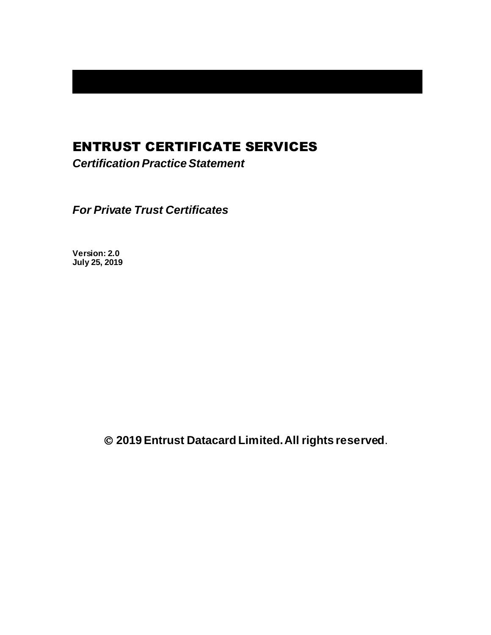# ENTRUST CERTIFICATE SERVICES

*Certification Practice Statement*

*For Private Trust Certificates*

**Version: 2.0 July 25, 2019**

© **2019Entrust Datacard Limited. All rights reserved**.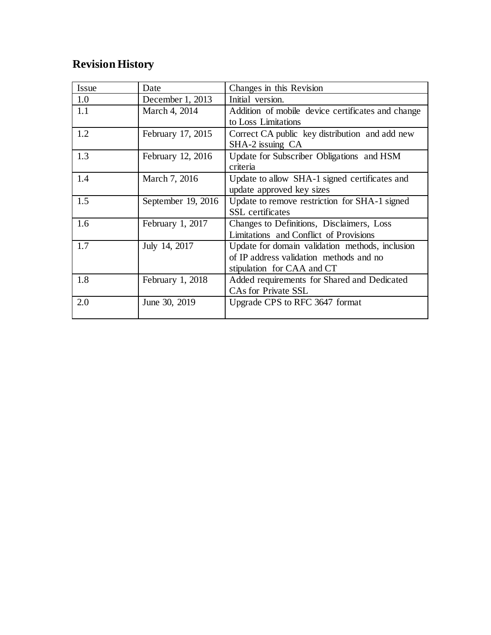# **Revision History**

| Issue | Date               | Changes in this Revision                          |
|-------|--------------------|---------------------------------------------------|
| 1.0   | December 1, 2013   | Initial version.                                  |
| 1.1   | March 4, 2014      | Addition of mobile device certificates and change |
|       |                    | to Loss Limitations                               |
| 1.2   | February 17, 2015  | Correct CA public key distribution and add new    |
|       |                    | SHA-2 issuing CA                                  |
| 1.3   | February 12, 2016  | Update for Subscriber Obligations and HSM         |
|       |                    | criteria                                          |
| 1.4   | March 7, 2016      | Update to allow SHA-1 signed certificates and     |
|       |                    | update approved key sizes                         |
| 1.5   | September 19, 2016 | Update to remove restriction for SHA-1 signed     |
|       |                    | <b>SSL</b> certificates                           |
| 1.6   | February 1, 2017   | Changes to Definitions, Disclaimers, Loss         |
|       |                    | Limitations and Conflict of Provisions            |
| 1.7   | July 14, 2017      | Update for domain validation methods, inclusion   |
|       |                    | of IP address validation methods and no           |
|       |                    | stipulation for CAA and CT                        |
| 1.8   | February 1, 2018   | Added requirements for Shared and Dedicated       |
|       |                    | <b>CAs for Private SSL</b>                        |
| 2.0   | June 30, 2019      | Upgrade CPS to RFC 3647 format                    |
|       |                    |                                                   |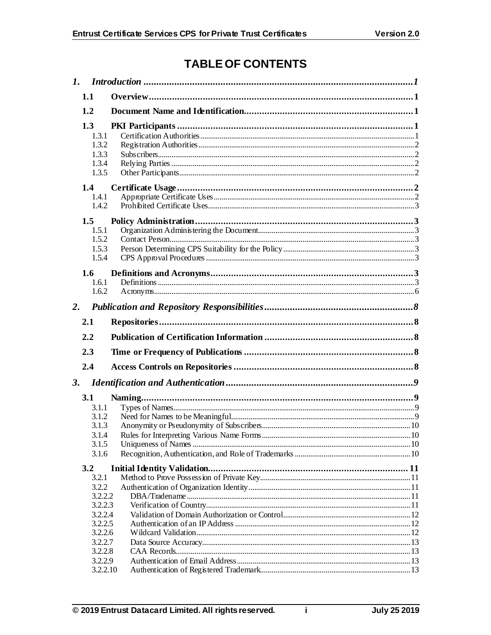# **TABLE OF CONTENTS**

| 1.1                                                                                         |  |
|---------------------------------------------------------------------------------------------|--|
| 1.2                                                                                         |  |
| 1.3<br>1.3.1<br>1.3.2<br>1.3.3<br>1.3.4<br>1.3.5                                            |  |
| 1.4<br>1.4.1<br>1.4.2                                                                       |  |
| 1.5<br>1.5.1<br>1.5.2<br>1.5.3<br>1.5.4                                                     |  |
| 1.6 <sub>1</sub><br>1.6.1<br>1.6.2                                                          |  |
| 2.                                                                                          |  |
| 2.1                                                                                         |  |
| 2.2                                                                                         |  |
|                                                                                             |  |
| 2.3                                                                                         |  |
| 2.4                                                                                         |  |
| 3.                                                                                          |  |
| 3.1<br>3.1.1<br>3.1.2<br>3.1.3<br>3.1.4<br>3.1.5<br>3.1.6                                   |  |
| 3.2                                                                                         |  |
| 3.2.1<br>3.2.2<br>3.2.2.2<br>3.2.2.3<br>3.2.2.4<br>3.2.2.5<br>3.2.2.6<br>3.2.2.7<br>3.2.2.8 |  |

 $\mathbf i$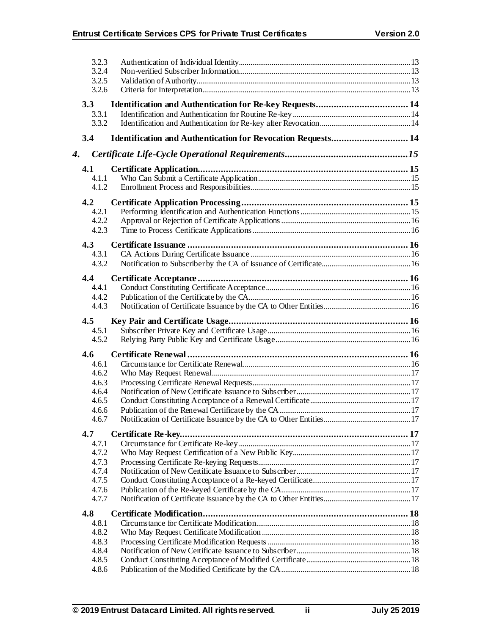|    | 3.2.3<br>3.2.4 |                                                              |  |
|----|----------------|--------------------------------------------------------------|--|
|    | 3.2.5<br>3.2.6 |                                                              |  |
|    | 3.3            |                                                              |  |
|    | 3.3.1          |                                                              |  |
|    | 3.3.2          |                                                              |  |
|    | 3.4            | Identification and Authentication for Revocation Requests 14 |  |
| 4. |                |                                                              |  |
|    | 4.1            |                                                              |  |
|    | 4.1.1          |                                                              |  |
|    | 4.1.2          |                                                              |  |
|    | 4.2            |                                                              |  |
|    | 4.2.1          |                                                              |  |
|    | 4.2.2          |                                                              |  |
|    | 4.2.3          |                                                              |  |
|    | 4.3            |                                                              |  |
|    | 4.3.1          |                                                              |  |
|    | 4.3.2          |                                                              |  |
|    | 4.4            |                                                              |  |
|    | 4.4.1          |                                                              |  |
|    | 4.4.2          |                                                              |  |
|    | 4.4.3          |                                                              |  |
|    |                |                                                              |  |
|    | 4.5            |                                                              |  |
|    | 4.5.1          |                                                              |  |
|    | 4.5.2          |                                                              |  |
|    | 4.6            |                                                              |  |
|    | 4.6.1          |                                                              |  |
|    | 4.6.2          |                                                              |  |
|    | 4.6.3          |                                                              |  |
|    | 4.6.4          |                                                              |  |
|    | 4.6.5          |                                                              |  |
|    | 4.6.6          |                                                              |  |
|    | 4.6.7          |                                                              |  |
|    | 4.7            |                                                              |  |
|    | 4.7.1          |                                                              |  |
|    | 4.7.2          |                                                              |  |
|    | 4.7.3          |                                                              |  |
|    | 4.7.4          |                                                              |  |
|    | 4.7.5          |                                                              |  |
|    | 4.7.6          |                                                              |  |
|    | 4.7.7          |                                                              |  |
|    | 4.8            |                                                              |  |
|    | 4.8.1          |                                                              |  |
|    | 4.8.2          |                                                              |  |
|    | 4.8.3          |                                                              |  |
|    | 4.8.4          |                                                              |  |
|    | 4.8.5<br>4.8.6 |                                                              |  |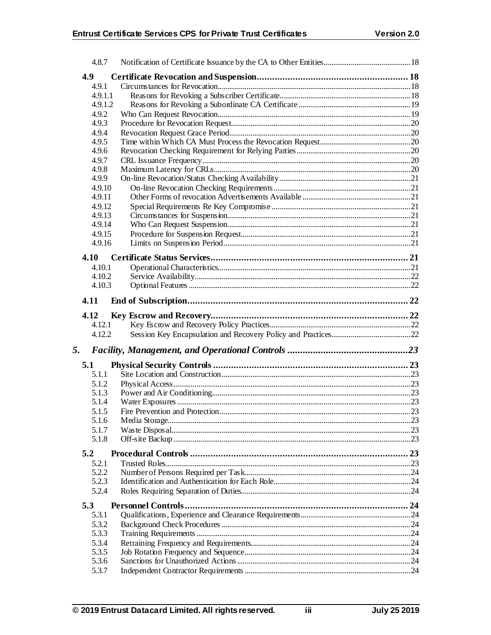|     | 4.8.7            |  |
|-----|------------------|--|
| 4.9 |                  |  |
|     | 4.9.1            |  |
|     | 4.9.1.1          |  |
|     | 4.9.1.2          |  |
|     | 4.9.2            |  |
|     | 4.9.3            |  |
|     | 4.9.4            |  |
|     | 4.9.5            |  |
|     | 4.9.6            |  |
|     | 4.9.7            |  |
|     | 4.9.8            |  |
|     | 4.9.9            |  |
|     | 4.9.10           |  |
|     | 4.9.11           |  |
|     | 4.9.12<br>4.9.13 |  |
|     | 4.9.14           |  |
|     | 4.9.15           |  |
|     | 4.9.16           |  |
|     |                  |  |
|     | 4.10             |  |
|     | 4.10.1           |  |
|     | 4.10.2           |  |
|     | 4.10.3           |  |
|     | 4.11             |  |
|     | 4.12             |  |
|     |                  |  |
|     | 4.12.1           |  |
|     | 4.12.2           |  |
|     |                  |  |
| 5.  |                  |  |
|     | 5.1              |  |
|     | 5.1.1            |  |
|     | 5.1.2            |  |
|     | 5.1.3            |  |
|     | 5.1.4            |  |
|     | 5.1.5            |  |
|     | 5.1.6            |  |
|     | 5.1.7            |  |
|     | 5.1.8            |  |
| 5.2 |                  |  |
|     | 5.2.1            |  |
|     | 5.2.2            |  |
|     | 5.2.3            |  |
|     | 5.2.4            |  |
| 5.3 |                  |  |
|     | 5.3.1            |  |
|     | 5.3.2            |  |
|     | 5.3.3            |  |
|     | 5.3.4            |  |
|     | 5.3.5            |  |
|     | 5.3.6<br>5.3.7   |  |

iii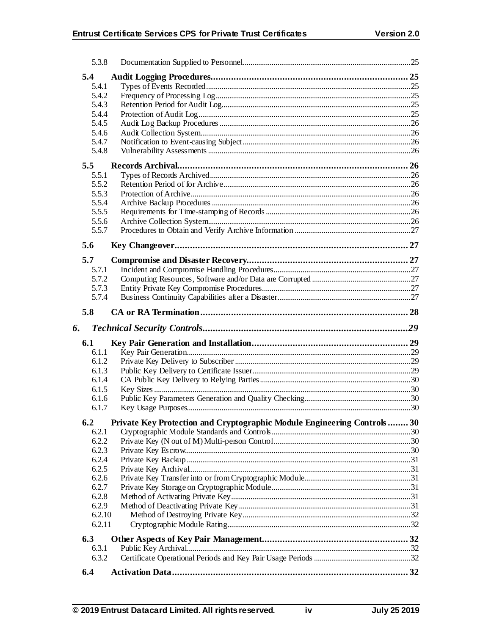| 5.3.8        |                                                                         |  |
|--------------|-------------------------------------------------------------------------|--|
| 5.4          |                                                                         |  |
| 5.4.1        |                                                                         |  |
| 5.4.2        |                                                                         |  |
| 5.4.3        |                                                                         |  |
| 5.4.4        |                                                                         |  |
| 5.4.5        |                                                                         |  |
| 5.4.6        |                                                                         |  |
| 5.4.7        |                                                                         |  |
| 5.4.8        |                                                                         |  |
| 5.5          |                                                                         |  |
| 5.5.1        |                                                                         |  |
| 5.5.2        |                                                                         |  |
| 5.5.3        |                                                                         |  |
| 5.5.4        |                                                                         |  |
| 5.5.5        |                                                                         |  |
| 5.5.6        |                                                                         |  |
| 5.5.7        |                                                                         |  |
|              |                                                                         |  |
| 5.6          |                                                                         |  |
| 5.7          |                                                                         |  |
| 5.7.1        |                                                                         |  |
| 5.7.2        |                                                                         |  |
| 5.7.3        |                                                                         |  |
| 5.7.4        |                                                                         |  |
| 5.8          |                                                                         |  |
|              |                                                                         |  |
|              |                                                                         |  |
| 6.           |                                                                         |  |
| 6.1          |                                                                         |  |
| 6.1.1        |                                                                         |  |
| 6.1.2        |                                                                         |  |
| 6.1.3        |                                                                         |  |
| 6.1.4        |                                                                         |  |
| 6.1.5        |                                                                         |  |
| 6.1.6        |                                                                         |  |
| 6.1.7        |                                                                         |  |
| 6.2          |                                                                         |  |
| 6.2.1        | Private Key Protection and Cryptographic Module Engineering Controls 30 |  |
| 6.2.2        |                                                                         |  |
| 6.2.3        |                                                                         |  |
| 6.2.4        |                                                                         |  |
| 6.2.5        |                                                                         |  |
| 6.2.6        |                                                                         |  |
| 6.2.7        |                                                                         |  |
| 6.2.8        |                                                                         |  |
| 6.2.9        |                                                                         |  |
| 6.2.10       |                                                                         |  |
| 6.2.11       |                                                                         |  |
|              |                                                                         |  |
| 6.3          |                                                                         |  |
| 6.3.1        |                                                                         |  |
| 6.3.2<br>6.4 |                                                                         |  |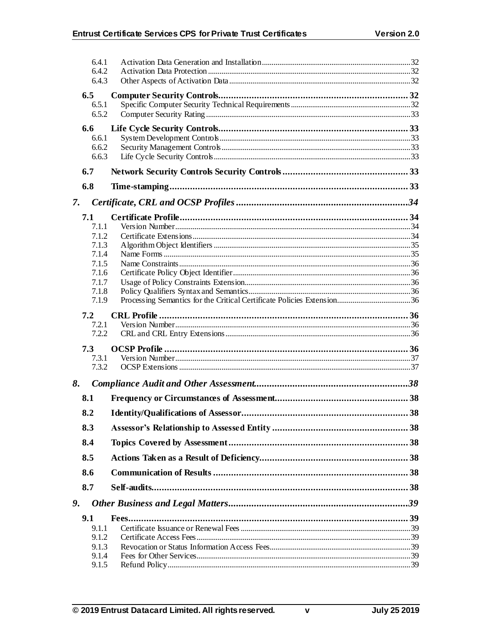|    | 6.4.1          |  |
|----|----------------|--|
|    | 6.4.2<br>6.4.3 |  |
|    |                |  |
|    | 6.5<br>6.5.1   |  |
|    | 6.5.2          |  |
|    | 6.6            |  |
|    | 6.6.1          |  |
|    | 6.6.2          |  |
|    | 6.6.3          |  |
|    | 6.7            |  |
|    | 6.8            |  |
| 7. |                |  |
|    | 7.1            |  |
|    | 7.1.1          |  |
|    | 7.1.2<br>7.1.3 |  |
|    | 7.1.4          |  |
|    | 7.1.5          |  |
|    | 7.1.6          |  |
|    | 7.1.7          |  |
|    | 7.1.8<br>7.1.9 |  |
|    |                |  |
|    | 7.2<br>7.2.1   |  |
|    | 7.2.2          |  |
|    | 7.3            |  |
|    | 7.3.1          |  |
|    | 7.3.2          |  |
| 8. |                |  |
|    | 8.1            |  |
|    | 8.2            |  |
|    | 8.3            |  |
|    | 8.4            |  |
|    | 8.5            |  |
|    | 8.6            |  |
|    | 8.7            |  |
| 9. |                |  |
|    | 9.1            |  |
|    | 9.1.1          |  |
|    | 9.1.2          |  |
|    | 9.1.3          |  |
|    | 9.1.4<br>9.1.5 |  |
|    |                |  |

 $\mathbf v$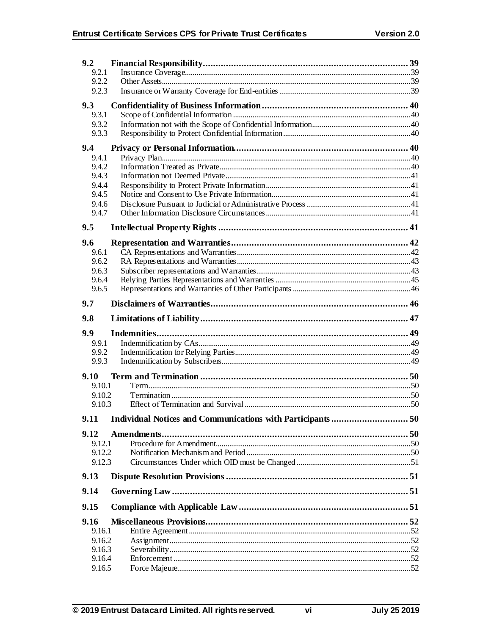| 9.2              |  |
|------------------|--|
| 9.2.1            |  |
| 9.2.2            |  |
| 9.2.3            |  |
| 9.3              |  |
| 9.3.1            |  |
| 9.3.2            |  |
| 9.3.3            |  |
| 9.4              |  |
| 9.4.1            |  |
| 9.4.2            |  |
| 9.4.3            |  |
| 9.4.4<br>9.4.5   |  |
| 9.4.6            |  |
| 9.4.7            |  |
|                  |  |
| 9.5              |  |
| 9.6              |  |
| 9.6.1            |  |
| 9.6.2            |  |
| 9.6.3<br>9.6.4   |  |
| 9.6.5            |  |
|                  |  |
| 9.7              |  |
| 9.8              |  |
| 9.9              |  |
| 9.9.1            |  |
| 9.9.2            |  |
| 9.9.3            |  |
| 9.10             |  |
| 9.10.1           |  |
| 9.10.2           |  |
| 9.10.3           |  |
|                  |  |
| 9.12             |  |
| 9.12.1           |  |
| 9.12.2           |  |
| 9.12.3           |  |
| 9.13             |  |
| 9.14             |  |
| 9.15             |  |
| 9.16             |  |
| 9.16.1           |  |
|                  |  |
| 9.16.2           |  |
| 9.16.3           |  |
| 9.16.4<br>9.16.5 |  |

vi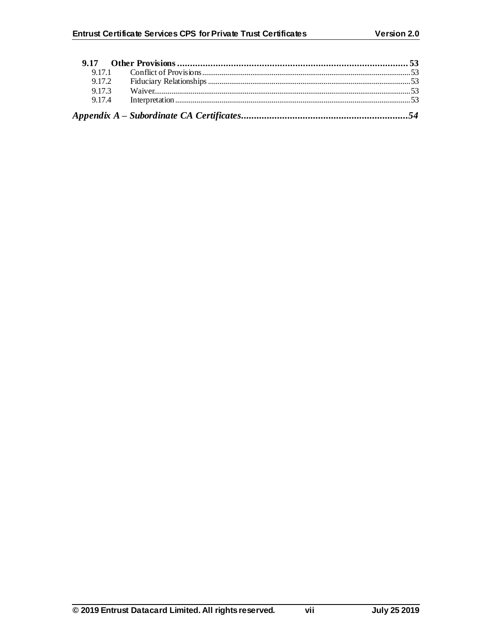| 9.17.1 |  |
|--------|--|
| 9.17.2 |  |
| 9.17.3 |  |
| 9.17.4 |  |
|        |  |

vii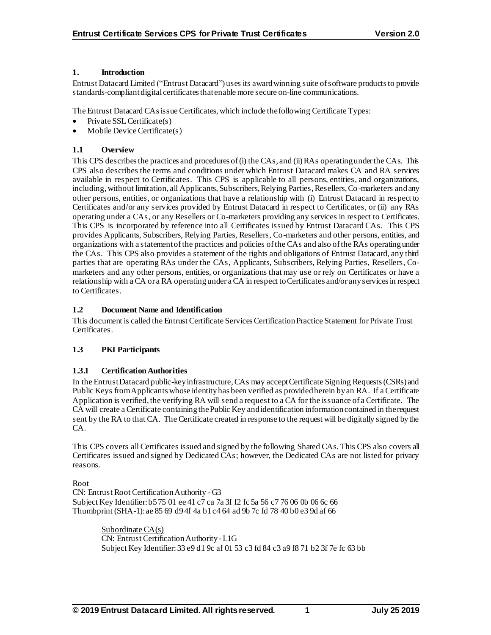## **1. Introduction**

Entrust Datacard Limited ("Entrust Datacard") uses its award winning suite of software products to provide standards-compliant digital certificates that enable more secure on-line communications.

The Entrust Datacard CAsissue Certificates, which include the following Certificate Types:

- Private SSL Certificate(s)
- Mobile Device Certificate(s)

## **1.1 Overview**

This CPS describes the practices and procedures of (i) the CAs, and (ii) RAs operating under the CAs. This CPS also describes the terms and conditions under which Entrust Datacard makes CA and RA services available in respect to Certificates. This CPS is applicable to all persons, entities, and organizations, including, without limitation, all Applicants, Subscribers, Relying Parties, Resellers, Co-marketers and any other persons, entities, or organizations that have a relationship with (i) Entrust Datacard in respect to Certificates and/or any services provided by Entrust Datacard in respect to Certificates, or (ii) any RAs operating under a CAs, or any Resellers or Co-marketers providing any services in respect to Certificates. This CPS is incorporated by reference into all Certificates issued by Entrust Datacard CAs. This CPS provides Applicants, Subscribers, Relying Parties, Resellers, Co-marketers and other persons, entities, and organizations with a statement of the practices and policies of the CAs and also of the RAs operating under the CAs. This CPS also provides a statement of the rights and obligations of Entrust Datacard, any third parties that are operating RAs under the CAs, Applicants, Subscribers, Relying Parties, Resellers, Comarketers and any other persons, entities, or organizations that may use or rely on Certificates or have a relationship with a CA or a RA operating under a CA in respect to Certificates and/or any services in respect to Certificates.

## **1.2 Document Name and Identification**

This document is called the Entrust Certificate Services Certification Practice Statement for Private Trust Certificates.

## **1.3 PKI Participants**

## **1.3.1 Certification Authorities**

In the Entrust Datacard public-key infrastructure, CAs may accept Certificate Signing Requests (CSRs) and Public Keys from Applicants whose identity has been verified as provided herein by an RA. If a Certificate Application is verified, the verifying RA will send a request to a CA for the issuance of a Certificate. The CA will create a Certificate containing the Public Key and identification information contained in the request sent by the RA to that CA. The Certificate created in response to the request will be digitally signed by the CA.

This CPS covers all Certificates issued and signed by the following Shared CAs. This CPS also covers all Certificates issued and signed by Dedicated CAs; however, the Dedicated CAs are not listed for privacy reasons.

Root

CN: Entrust Root Certification Authority -G3 Subject Key Identifier: b5 75 01 ee 41 c7 ca 7a 3f f2 fc 5a 56 c7 76 06 0b 06 6c 66 Thumbprint (SHA-1): ae 85 69 d9 4f 4a b1 c4 64 ad 9b 7c fd 78 40 b0 e3 9d af 66

> Subordinate CA(s) CN: Entrust Certification Authority -L1G Subject Key Identifier: 33 e9 d1 9c af 01 53 c3 fd 84 c3 a9 f8 71 b2 3f 7e fc 63 bb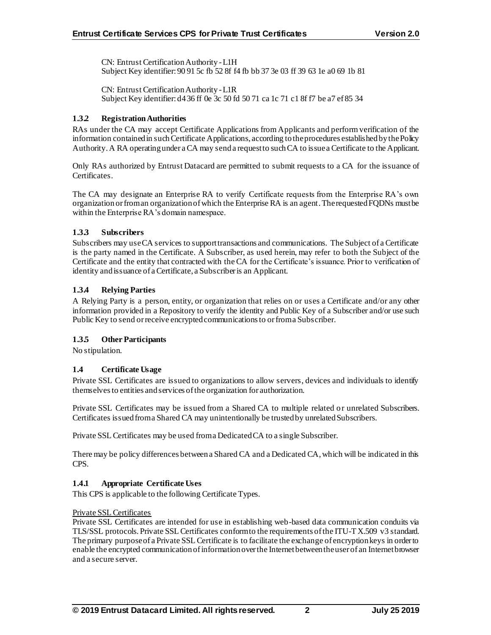CN: Entrust Certification Authority -L1H Subject Key identifier: 90 91 5c fb 52 8f f4 fb bb 37 3e 03 ff 39 63 1e a0 69 1b 81

CN: Entrust Certification Authority -L1R Subject Key identifier: d4 36 ff 0e 3c 50 fd 50 71 ca 1c 71 c1 8f f7 be a7 ef 85 34

## **1.3.2 Registration Authorities**

RAs under the CA may accept Certificate Applications from Applicants and perform verification of the information contained in such Certificate Applications, according to the procedures established by the Policy Authority. A RA operating under a CA may send a request to such CA to issue a Certificate to the Applicant.

Only RAs authorized by Entrust Datacard are permitted to submit requests to a CA for the issuance of Certificates.

The CA may designate an Enterprise RA to verify Certificate requests from the Enterprise RA's own organizationor from an organization of which the Enterprise RA is an agent. The requested FQDNs must be within the Enterprise RA's domain namespace.

## **1.3.3 Subscribers**

Subscribers may use CA services to support transactions and communications. The Subject of a Certificate is the party named in the Certificate. A Subscriber, as used herein, may refer to both the Subject of the Certificate and the entity that contracted with the CA for the Certificate's issuance. Prior to verification of identity and issuance of a Certificate, a Subscriber is an Applicant.

## **1.3.4 Relying Parties**

A Relying Party is a person, entity, or organization that relies on or uses a Certificate and/or any other information provided in a Repository to verify the identity and Public Key of a Subscriber and/or use such Public Key to send or receive encrypted communications to or from a Subscriber.

## **1.3.5 Other Participants**

No stipulation.

## **1.4 Certificate Usage**

Private SSL Certificates are issued to organizations to allow servers, devices and individuals to identify themselves to entities and services of the organization for authorization.

Private SSL Certificates may be issued from a Shared CA to multiple related or unrelated Subscribers. Certificates issued from a Shared CA may unintentionally be trusted by unrelated Subscribers.

Private SSL Certificates may be used from a Dedicated CA to a single Subscriber.

There may be policy differences between a Shared CA and a Dedicated CA, which will be indicated in this CPS.

## **1.4.1 Appropriate Certificate Uses**

This CPS is applicable to the following Certificate Types.

## Private SSL Certificates

Private SSL Certificates are intended for use in establishing web-based data communication conduits via TLS/SSL protocols. Private SSL Certificates conform to the requirements of the ITU-T X.509 v3 standard. The primary purpose of a Private SSL Certificate is to facilitate the exchange of encryption keys in order to enable the encrypted communication of information over the Internet between the user of an Internet browser and a secure server.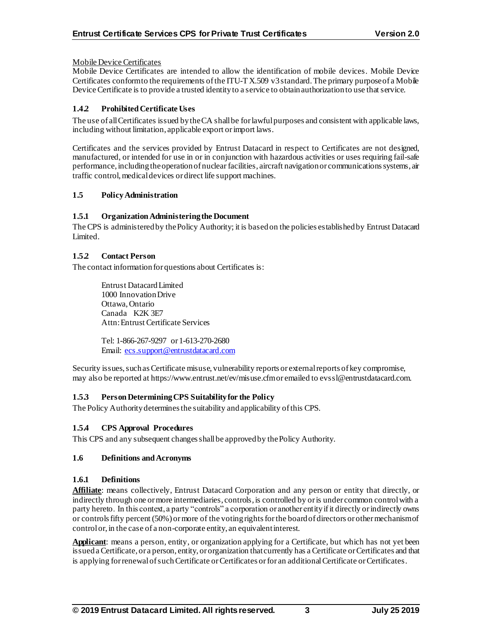## Mobile Device Certificates

Mobile Device Certificates are intended to allow the identification of mobile devices. Mobile Device Certificates conform to the requirements of the ITU-T X.509 v3 standard. The primary purpose of a Mobile Device Certificate is to provide a trusted identity to a service to obtain authorization to use that service.

# **1.4.2 Prohibited Certificate Uses**

The use of all Certificates issued by the CA shall be for lawful purposes and consistent with applicable laws, including without limitation, applicable export or import laws.

Certificates and the services provided by Entrust Datacard in respect to Certificates are not designed, manufactured, or intended for use in or in conjunction with hazardous activities or uses requiring fail-safe performance, including the operation of nuclear facilities, aircraft navigation or communications systems, air traffic control, medical devices or direct life support machines.

## **1.5 Policy Administration**

## **1.5.1 Organization Administering the Document**

The CPS is administered by the Policy Authority; it is based on the policies established by Entrust Datacard Limited.

## **1.5.2 Contact Person**

The contact information for questions about Certificates is:

Entrust Datacard Limited 1000 Innovation Drive Ottawa, Ontario Canada K2K 3E7 Attn: Entrust Certificate Services

Tel: 1-866-267-9297 or 1-613-270-2680 Email: [ecs.support@entrustdatacard.com](mailto:ecs.support@entrustdatacard.com)

Security issues, such as Certificate misuse, vulnerability reports or external reports of key compromise, may also be reported at https://www.entrust.net/ev/misuse.cfmor emailed to evssl@entrustdatacard.com.

# **1.5.3 Person Determining CPS Suitability for the Policy**

The Policy Authority determines the suitability and applicability of this CPS.

# **1.5.4 CPS Approval Procedures**

This CPS and any subsequent changes shall be approved by the Policy Authority.

## **1.6 Definitions and Acronyms**

## **1.6.1 Definitions**

**Affiliate**: means collectively, Entrust Datacard Corporation and any person or entity that directly, or indirectly through one or more intermediaries, controls, is controlled by or is under common control with a party hereto. In this context, a party "controls" a corporation or another entityif it directly or indirectly owns or controls fifty percent (50%) or more of the voting rights for the board of directors or other mechanism of controlor, in the case of a non-corporate entity, an equivalent interest.

**Applicant**: means a person, entity, or organization applying for a Certificate, but which has not yet been issued a Certificate, or a person, entity, or organization that currently has a Certificate or Certificates and that is applying for renewal of such Certificate or Certificates or for an additional Certificate or Certificates.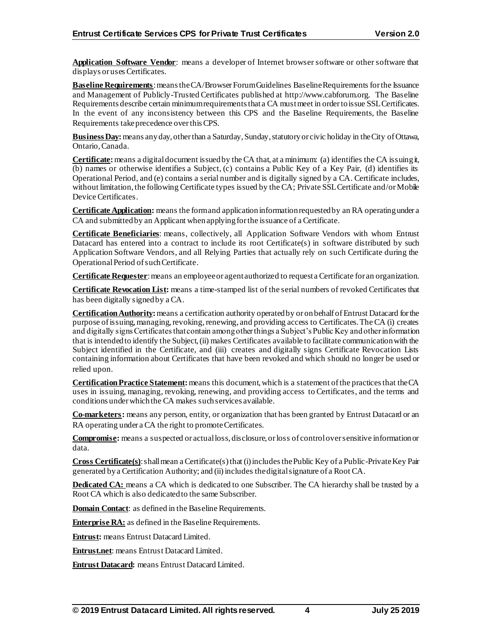Application Software Vendor: means a developer of Internet browser software or other software that displays or uses Certificates.

**Baseline Requirements**: means the CA/Browser Forum Guidelines Baseline Requirements for the Issuance and Management of Publicly-Trusted Certificates published at http://www.cabforum.org. The Baseline Requirements describe certain minimum requirements that a CA must meet in order to issue SSL Certificates. In the event of any inconsistency between this CPS and the Baseline Requirements, the Baseline Requirements take precedence over this CPS.

**Business Day:**means any day, other than a Saturday, Sunday, statutory or civic holiday in the City of Ottawa, Ontario, Canada.

**Certificate:**means a digital document issued by the CA that, at a minimum: (a) identifies the CA issuing it, (b) names or otherwise identifies a Subject, (c) contains a Public Key of a Key Pair, (d) identifies its Operational Period, and (e) contains a serial number and is digitally signed by a CA. Certificate includes, without limitation, the following Certificate types issued by the CA; Private SSL Certificate and/orMobile Device Certificates.

**Certificate Application:** means the form and application information requested by an RA operating under a CA and submitted by an Applicant when applying for the issuance of a Certificate.

**Certificate Beneficiaries**: means, collectively, all Application Software Vendors with whom Entrust Datacard has entered into a contract to include its root Certificate(s) in software distributed by such Application Software Vendors, and all Relying Parties that actually rely on such Certificate during the Operational Period of such Certificate.

**Certificate Requester**: means an employee or agent authorized to request a Certificate for an organization.

**Certificate Revocation List:** means a time-stamped list of the serial numbers of revoked Certificates that has been digitally signed by a CA.

**Certification Authority:**means a certification authority operated by or on behalf of Entrust Datacard for the purpose of issuing, managing, revoking, renewing, and providing access to Certificates.The CA (i) creates and digitally signs Certificates that contain among other things a Subject's Public Key and other information that is intended to identify the Subject, (ii) makes Certificates available to facilitate communication with the Subject identified in the Certificate, and (iii) creates and digitally signs Certificate Revocation Lists containing information about Certificates that have been revoked and which should no longer be used or relied upon.

**Certification Practice Statement:**means this document, which is a statement of the practices that the CA uses in issuing, managing, revoking, renewing, and providing access to Certificates, and the terms and conditions under which the CA makes such services available.

**Co-marketers:** means any person, entity, or organization that has been granted by Entrust Datacard or an RA operating under a CA the right to promote Certificates.

**Compromise:** means a suspected or actual loss, disclosure, or loss of control over sensitive information or data.

**Cross Certificate(s)**: shall mean a Certificate(s) that (i) includes the Public Key of a Public-Private Key Pair generated by a Certification Authority; and (ii) includes the digital signature of a Root CA.

**Dedicated CA:** means a CA which is dedicated to one Subscriber. The CA hierarchy shall be trusted by a Root CA which is also dedicated to the same Subscriber.

**Domain Contact**: as defined in the Baseline Requirements.

**Enterprise RA:** as defined in the Baseline Requirements.

**Entrust:** means Entrust Datacard Limited.

**Entrust.net**: means Entrust Datacard Limited.

**Entrust Datacard:** means Entrust Datacard Limited.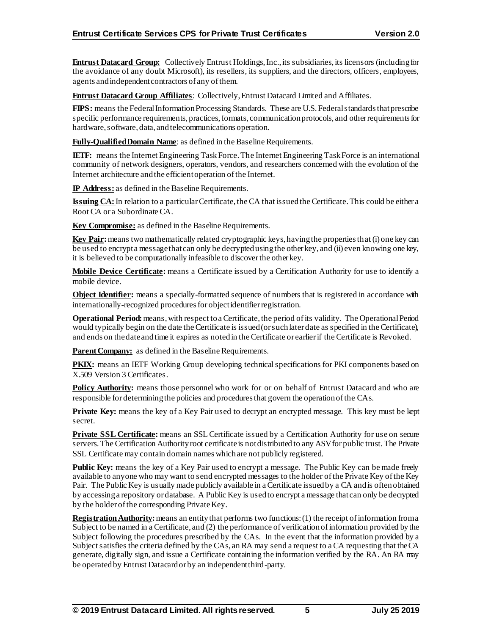**Entrust Datacard Group:** Collectively Entrust Holdings, Inc., its subsidiaries, its licensors (including for the avoidance of any doubt Microsoft), its resellers, its suppliers, and the directors, officers, employees, agents and independent contractors of any of them.

**Entrust Datacard Group Affiliates**: Collectively, Entrust Datacard Limited and Affiliates.

**FIPS:** means the Federal Information Processing Standards. These are U.S. Federal standards that prescribe specific performance requirements, practices, formats, communication protocols, and other requirements for hardware, software, data, and telecommunications operation.

**Fully-Qualified Domain Name**: as defined in the Baseline Requirements.

**IETF:** means the Internet Engineering Task Force. The Internet Engineering Task Force is an international community of network designers, operators, vendors, and researchers concerned with the evolution of the Internet architecture and the efficient operation of the Internet.

**IP Address:** as defined in the Baseline Requirements.

**Issuing CA:** In relation to a particular Certificate, the CA that issued the Certificate. This could be either a Root CA or a Subordinate CA.

**Key Compromise:** as defined in the Baseline Requirements.

**Key Pair:**means two mathematically related cryptographic keys, having the properties that (i) one key can be used to encrypt a message that can only be decrypted using the other key, and (ii) even knowing one key, it is believed to be computationally infeasible to discover the other key.

**Mobile Device Certificate:** means a Certificate issued by a Certification Authority for use to identify a mobile device.

**Object Identifier:** means a specially-formatted sequence of numbers that is registered in accordance with internationally-recognized procedures for object identifier registration.

**Operational Period:**means, with respect to a Certificate, the period of its validity. The Operational Period would typically begin on the date the Certificate is issued (or such later date as specified in the Certificate), and ends on the date and time it expires as noted in the Certificate or earlier if the Certificate is Revoked.

**Parent Company:** as defined in the Baseline Requirements.

**PKIX:** means an IETF Working Group developing technical specifications for PKI components based on X.509 Version 3 Certificates.

**Policy Authority:** means those personnel who work for or on behalf of Entrust Datacard and who are responsible for determining the policies and procedures that govern the operation of the CAs.

**Private Key:** means the key of a Key Pair used to decrypt an encrypted message. This key must be kept secret.

**Private SSL Certificate:** means an SSL Certificate issued by a Certification Authority for use on secure servers.The Certification Authority root certificate is not distributed to any ASV for public trust. The Private SSL Certificate may contain domain names which are not publicly registered.

**Public Key:** means the key of a Key Pair used to encrypt a message. The Public Key can be made freely available to anyone who may want to send encrypted messages to the holder of the Private Key of the Key Pair. The Public Key is usually made publicly available in a Certificate issued by a CA and is often obtained by accessing a repository or database. A Public Key is used to encrypt a message that can only be decrypted by the holder of the corresponding Private Key.

**Registration Authority:** means an entity that performs two functions: (1) the receipt of information from a Subject to be named in a Certificate, and (2) the performance of verification of information provided by the Subject following the procedures prescribed by the CAs. In the event that the information provided by a Subject satisfies the criteria defined by the CAs, an RA may send a request to a CA requesting that the CA generate, digitally sign, and issue a Certificate containing the information verified by the RA. An RA may be operated by Entrust Datacard or by an independent third-party.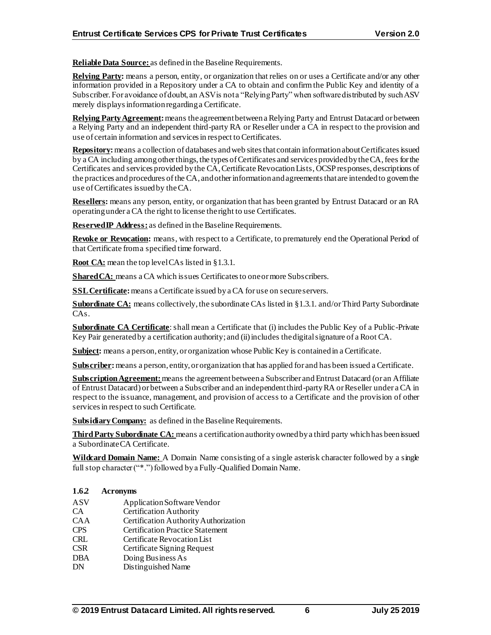**Reliable Data Source:** as defined in the Baseline Requirements.

**Relying Party:** means a person, entity, or organization that relies on or uses a Certificate and/or any other information provided in a Repository under a CA to obtain and confirm the Public Key and identity of a Subscriber. For avoidance of doubt, an ASV is not a "Relying Party" when software distributed by such ASV merely displays information regarding a Certificate.

**Relying Party Agreement:**means the agreement between a Relying Party and Entrust Datacard or between a Relying Party and an independent third-party RA or Reseller under a CA in respect to the provision and use of certain information and services in respect to Certificates.

**Repository:**means a collection of databases and web sites that contain information about Certificates issued by a CA including among other things, the types of Certificates and services provided by the CA, fees for the Certificates and services provided by the CA, Certificate Revocation Lists, OCSP responses, descriptions of the practices and procedures of the CA, and other information and agreements that are intended to govern the use of Certificates issued by the CA.

**Resellers:** means any person, entity, or organization that has been granted by Entrust Datacard or an RA operating under a CA the right to license the right to use Certificates.

**Reserved IP Address:** as defined in the Baseline Requirements.

**Revoke or Revocation:** means, with respect to a Certificate, to prematurely end the Operational Period of that Certificate from a specified time forward.

**Root CA:** mean the top level CAs listed in §1.3.1.

**Shared CA:** means a CA which issues Certificates to one or more Subscribers.

**SSL Certificate:**means a Certificate issued by a CA for use on secureservers.

**Subordinate CA:** means collectively, the subordinate CAs listed in §1.3.1. and/orThird Party Subordinate CAs.

**Subordinate CA Certificate**: shall mean a Certificate that (i) includes the Public Key of a Public-Private Key Pair generated by a certification authority; and (ii) includes the digital signature of a Root CA.

**Subject:** means a person, entity, or organization whose Public Key is contained in a Certificate.

**Subscriber:** means a person, entity, or organization that has applied for and has been issued a Certificate.

**Subscription Agreement:** means the agreement between a Subscriber and Entrust Datacard (or an Affiliate of Entrust Datacard) or between a Subscriber and an independent third-party RA or Reseller under a CA in respect to the issuance, management, and provision of access to a Certificate and the provision of other services in respect to such Certificate.

**Subsidiary Company:** as defined in the Baseline Requirements.

**Third Party Subordinate CA:** means a certification authority owned by a third party which has been issued a Subordinate CA Certificate.

**Wildcard Domain Name:** A Domain Name consisting of a single asterisk character followed by a single full stop character ("\*.") followed by a Fully-Qualified Domain Name.

## **1.6.2 Acronyms**

- ASV Application Software Vendor<br>CA Certification Authority
- Certification Authority
- CAA Certification Authority Authorization
- CPS Certification Practice Statement
- CRL Certificate Revocation List
- CSR Certificate Signing Request
- DBA Doing Business As
- DN Distinguished Name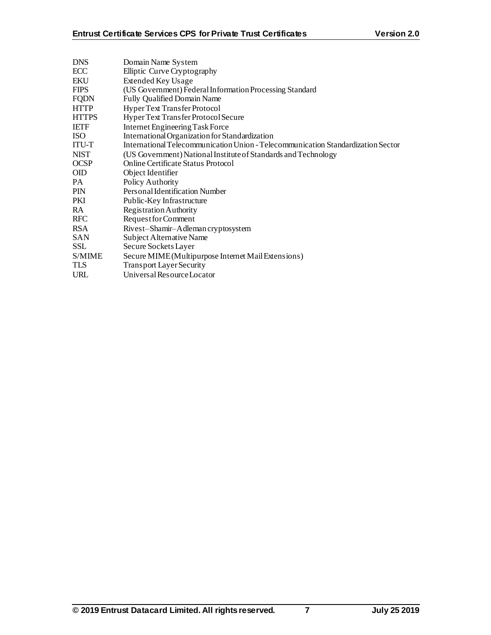| Domain Name System                                                               |
|----------------------------------------------------------------------------------|
| Elliptic Curve Cryptography                                                      |
| <b>Extended Key Usage</b>                                                        |
| (US Government) Federal Information Processing Standard                          |
| <b>Fully Qualified Domain Name</b>                                               |
| Hyper Text Transfer Protocol                                                     |
| Hyper Text Transfer Protocol Secure                                              |
| Internet Engineering Task Force                                                  |
| International Organization for Standardization                                   |
| International Telecommunication Union - Telecommunication Standardization Sector |
| (US Government) National Institute of Standards and Technology                   |
| Online Certificate Status Protocol                                               |
| Object Identifier                                                                |
| Policy Authority                                                                 |
| Personal Identification Number                                                   |
| Public-Key Infrastructure                                                        |
| Registration Authority                                                           |
| Request for Comment                                                              |
| Rivest-Shamir-Adleman cryptosystem                                               |
| Subject Alternative Name                                                         |
| Secure Sockets Layer                                                             |
| Secure MIME (Multipurpose Internet Mail Extensions)                              |
| <b>Transport Layer Security</b>                                                  |
| Universal Resource Locator                                                       |
|                                                                                  |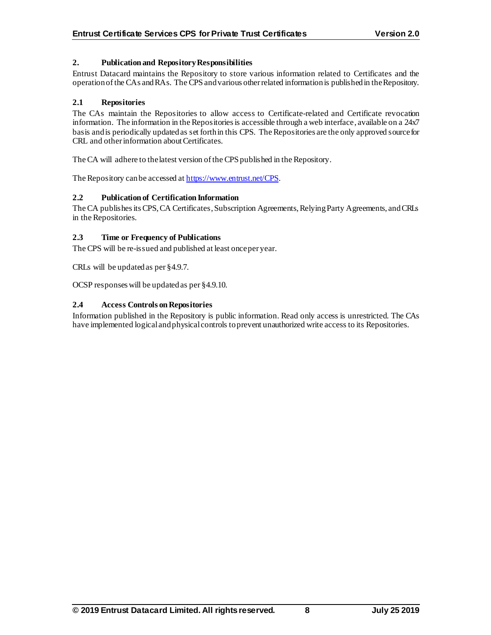## **2. Publication and Repository Responsibilities**

Entrust Datacard maintains the Repository to store various information related to Certificates and the operation of the CAs and RAs. The CPS and various other related information is published in the Repository.

## **2.1 Repositories**

The CAs maintain the Repositories to allow access to Certificate-related and Certificate revocation information. The information in the Repositories is accessible through a web interface, available on a 24x7 basis and is periodically updated as set forth in this CPS. The Repositories are the only approved source for CRL and other information about Certificates.

The CA will adhere to the latest version of the CPS published in the Repository.

The Repository can be accessed a[t https://www.entrust.net/CPS](https://www.entrust.net/CPS).

#### **2.2 Publication of Certification Information**

The CA publishes its CPS, CA Certificates, Subscription Agreements, Relying Party Agreements, and CRLs in the Repositories.

#### **2.3 Time or Frequency of Publications**

The CPS will be re-issued and published at least once per year.

CRLs will be updated as per §4.9.7.

OCSP responses will be updated as per §4.9.10.

#### **2.4 Access Controls on Repositories**

Information published in the Repository is public information. Read only access is unrestricted. The CAs have implemented logical and physical controls to prevent unauthorized write access to its Repositories.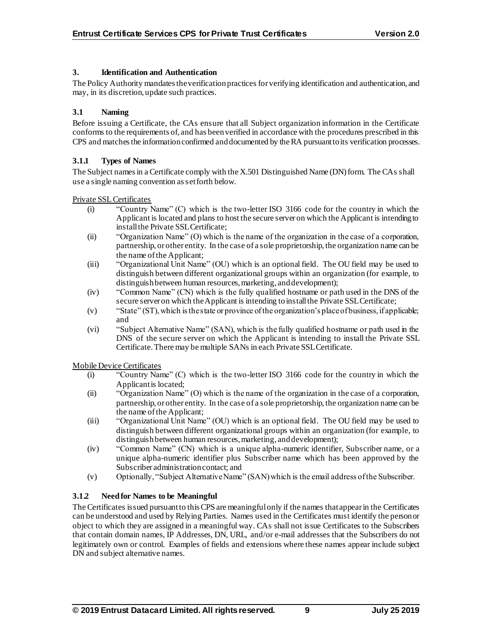## **3. Identification and Authentication**

The Policy Authority mandates the verification practices for verifying identification and authentication, and may, in its discretion, update such practices.

## **3.1 Naming**

Before issuing a Certificate, the CAs ensure that all Subject organization information in the Certificate conforms to the requirements of, and has been verified in accordance with the procedures prescribed in this CPS and matches the information confirmed and documented by the RA pursuant to its verification processes.

## **3.1.1 Types of Names**

The Subject names in a Certificate comply with the X.501 Distinguished Name (DN) form. The CAs shall use a single naming convention as set forth below.

## Private SSL Certificates

- (i) "Country Name" (C) which is the two-letter ISO 3166 code for the country in which the Applicant is located and plans to host the secure server on which the Applicant is intending to install the Private SSL Certificate;
- (ii) "Organization Name" (O) which is the name of the organization in the case of a corporation, partnership, or other entity. In the case of a sole proprietorship, the organization name can be the name of the Applicant;
- (iii) "Organizational Unit Name" (OU) which is an optional field. The OU field may be used to distinguish between different organizational groups within an organization (for example, to distinguish between human resources, marketing, and development);
- (iv) "Common Name" (CN) which is the fully qualified hostname or path used in the DNS of the secure server on which the Applicant is intending to install the Private SSL Certificate;
- (v) "State" (ST), which is the state or province of the organization's place of business, if applicable; and
- (vi) "Subject Alternative Name" (SAN), which is the fully qualified hostname or path used in the DNS of the secure server on which the Applicant is intending to install the Private SSL Certificate. There may be multiple SANs in each Private SSL Certificate.

Mobile Device Certificates

- (i) "Country Name" (C) which is the two-letter ISO 3166 code for the country in which the Applicant is located;
- (ii) "Organization Name" (O) which is the name of the organization in the case of a corporation, partnership, or other entity. In the case of a sole proprietorship, the organization name can be the name of the Applicant;
- (iii) "Organizational Unit Name" (OU) which is an optional field. The OU field may be used to distinguish between different organizational groups within an organization (for example, to distinguish between human resources, marketing, and development);
- (iv) "Common Name" (CN) which is a unique alpha-numeric identifier, Subscriber name, or a unique alpha-numeric identifier plus Subscriber name which has been approved by the Subscriber administration contact; and
- (v) Optionally, "Subject Alternative Name" (SAN) which is the email address of the Subscriber.

# **3.1.2 Need for Names to be Meaningful**

The Certificates issued pursuant to this CPS are meaningful only if the names that appear in the Certificates can be understood and used by Relying Parties. Names used in the Certificates must identify the person or object to which they are assigned in a meaningful way. CAs shall not issue Certificates to the Subscribers that contain domain names, IP Addresses, DN, URL, and/or e-mail addresses that the Subscribers do not legitimately own or control. Examples of fields and extensions where these names appear include subject DN and subject alternative names.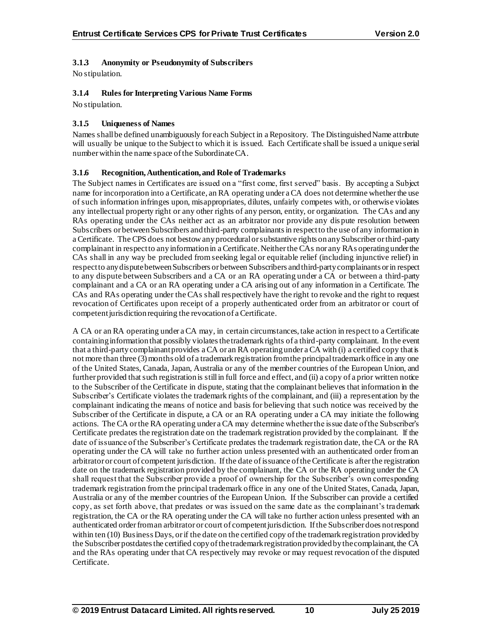## **3.1.3 Anonymity or Pseudonymity of Subscribers**

No stipulation.

## **3.1.4 Rules for Interpreting Various Name Forms**

No stipulation.

## **3.1.5 Uniqueness of Names**

Names shall be defined unambiguously for each Subject in a Repository. The Distinguished Name attribute will usually be unique to the Subject to which it is issued. Each Certificate shall be issued a unique serial number within the name space of the SubordinateCA.

## **3.1.6 Recognition, Authentication, and Role of Trademarks**

The Subject names in Certificates are issued on a "first come, first served" basis. By accepting a Subject name for incorporation into a Certificate, an RA operating under a CA does not determine whether the use of such information infringes upon, misappropriates, dilutes, unfairly competes with, or otherwise violates any intellectual property right or any other rights of any person, entity, or organization. The CAs and any RAs operating under the CAs neither act as an arbitrator nor provide any dispute resolution between Subscribers or between Subscribers and third-party complainants in respect to the use of any information in a Certificate. The CPS does not bestow any procedural or substantive rights on any Subscriber or third-party complainant in respect to any information in a Certificate. Neither the CAs nor any RAs operating under the CAs shall in any way be precluded from seeking legal or equitable relief (including injunctive relief) in respect to any dispute between Subscribers or between Subscribers and third-party complainants or in respect to any dispute between Subscribers and a CA or an RA operating under a CA or between a third-party complainant and a CA or an RA operating under a CA arising out of any information in a Certificate. The CAs and RAs operating under the CAs shall respectively have the right to revoke and the right to request revocation of Certificates upon receipt of a properly authenticated order from an arbitrator or court of competent jurisdiction requiring the revocation of a Certificate.

A CA or an RA operating under a CA may, in certain circumstances, take action in respect to a Certificate containing information that possibly violates the trademark rights of a third-party complainant. In the event that a third-party complainant provides a CA or an RA operating under a CA with (i) a certified copy that is not more than three (3) months old of a trademark registration from the principal trademark office in any one of the United States, Canada, Japan, Australia or any of the member countries of the European Union, and further provided that such registration is still in full force and effect, and (ii) a copy of a prior written notice to the Subscriber of the Certificate in dispute, stating that the complainant believes that information in the Subscriber's Certificate violates the trademark rights of the complainant, and (iii) a representation by the complainant indicating the means of notice and basis for believing that such notice was received by the Subscriber of the Certificate in dispute, a CA or an RA operating under a CA may initiate the following actions. The CA or the RA operating under a CA may determine whether the issue date of the Subscriber's Certificate predates the registration date on the trademark registration provided by the complainant. If the date of issuance of the Subscriber's Certificate predates the trademark registration date, the CA or the RA operating under the CA will take no further action unless presented with an authenticated order from an arbitrator or court of competent jurisdiction. If the date of issuance of the Certificate is after the registration date on the trademark registration provided by the complainant, the CA or the RA operating under the CA shall request that the Subscriber provide a proof of ownership for the Subscriber's own corresponding trademark registration from the principal trademark office in any one of the United States, Canada, Japan, Australia or any of the member countries of the European Union. If the Subscriber can provide a certified copy, as set forth above, that predates or was issued on the same date as the complainant's trademark registration, the CA or the RA operating under the CA will take no further action unless presented with an authenticated order from an arbitrator or court of competent jurisdiction. If the Subscriber does not respond within ten (10) Business Days, or if the date on the certified copy of the trademark registration provided by the Subscriber postdates the certified copy of the trademark registration provided by the complainant, the CA and the RAs operating under that CA respectively may revoke or may request revocation of the disputed Certificate.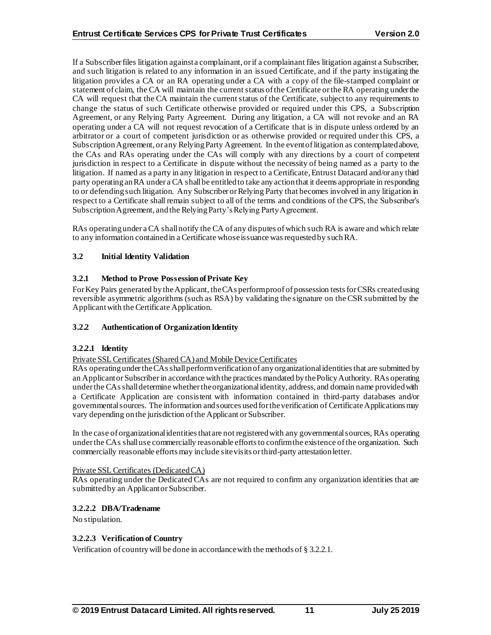If a Subscriber files litigation against a complainant, or if a complainant files litigation against a Subscriber, and such litigation is related to any information in an issued Certificate, and if the party instigating the litigation provides a CA or an RA operating under a CA with a copy of the file-stamped complaint or statement of claim, the CA will maintain the current status of the Certificate or the RA operating under the CA will request that the CA maintain the current status of the Certificate, subject to any requirements to change the status of such Certificate otherwise provided or required under this CPS, a Subscription Agreement, or any Relying Party Agreement. During any litigation, a CA will not revoke and an RA operating under a CA will not request revocation of a Certificate that is in dispute unless ordered by an arbitrator or a court of competent jurisdiction or as otherwise provided or required under this CPS, a Subscription Agreement, or any Relying Party Agreement. In the event of litigation as contemplated above, the CAs and RAs operating under the CAs will comply with any directions by a court of competent jurisdiction in respect to a Certificate in dispute without the necessity of being named as a party to the litigation. If named as a party in any litigation in respect to a Certificate, Entrust Datacard and/or any third party operating an RA under a CA shall be entitled to take any action that it deems appropriate in responding to or defending such litigation. Any Subscriber or Relying Party that becomes involved in any litigation in respect to a Certificate shall remain subject to all of the terms and conditions of the CPS, the Subscriber's Subscription Agreement, and the Relying Party's Relying Party Agreement.

RAs operating under a CA shall notify the CA of any disputes of which such RA is aware and which relate to any information contained in a Certificate whose issuance was requested by such RA.

# **3.2 Initial Identity Validation**

## **3.2.1 Method to Prove Possession of Private Key**

For Key Pairs generated by the Applicant, the CAs perform proof of possession tests for CSRs created using reversible asymmetric algorithms (such as RSA) by validating the signature on the CSR submitted by the Applicant with the Certificate Application.

## **3.2.2 Authentication of Organization Identity**

## **3.2.2.1 Identity**

Private SSL Certificates (Shared CA) and Mobile Device Certificates

RAs operating under the CAsshall perform verification of any organizational identities that are submitted by an Applicant or Subscriberin accordance with the practices mandated by the Policy Authority. RAs operating under the CAsshall determine whether the organizational identity, address, and domain name provided with a Certificate Application are consistent with information contained in third-party databases and/or governmental sources. The information and sources used for the verification of Certificate Applications may vary depending on the jurisdiction of the Applicant or Subscriber.

In the case of organizational identities that are not registered with any governmental sources, RAs operating under the CAs shall use commercially reasonable efforts to confirm the existence of the organization. Such commercially reasonable efforts may include site visits or third-party attestation letter.

## Private SSL Certificates (DedicatedCA)

RAs operating under the Dedicated CAs are not required to confirm any organization identities that are submitted by an Applicant or Subscriber.

## **3.2.2.2 DBA/Tradename**

No stipulation.

## **3.2.2.3 Verification of Country**

Verification of country will be done in accordance with the methods of § 3.2.2.1.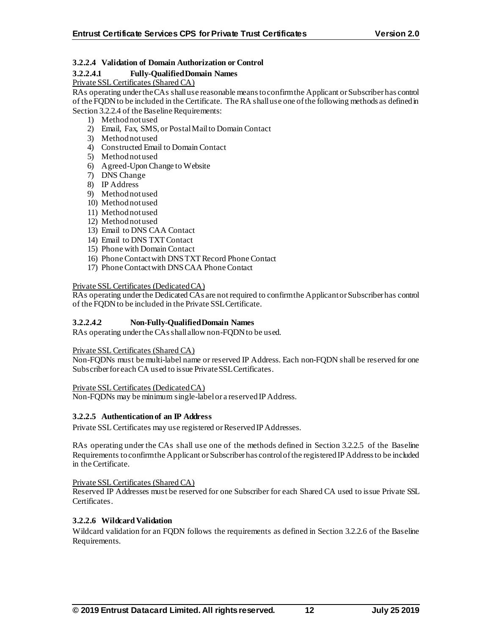## **3.2.2.4 Validation of Domain Authorization or Control**

## **3.2.2.4.1 Fully-Qualified Domain Names**

Private SSL Certificates (Shared CA)

RAs operating under the CAs shall use reasonable means to confirm the Applicant or Subscriber has control of the FQDN to be included in the Certificate. The RA shall use one of the following methods as defined in Section 3.2.2.4 of the Baseline Requirements:

- 1) Method not used
- 2) Email, Fax, SMS, or Postal Mail to Domain Contact
- 3) Method not used
- 4) Constructed Email to Domain Contact
- 5) Method not used
- 6) Agreed-Upon Change to Website
- 7) DNS Change
- 8) IP Address
- 9) Method not used
- 10) Method not used
- 11) Method not used
- 12) Method not used
- 13) Email to DNS CAA Contact
- 14) Email to DNS TXT Contact
- 15) Phone with Domain Contact
- 16) Phone Contact with DNS TXT Record Phone Contact
- 17) Phone Contact with DNS CAA Phone Contact

## Private SSL Certificates (DedicatedCA)

RAs operating under the Dedicated CAs are not required to confirm the Applicant or Subscriber has control of the FQDN to be included in the Private SSL Certificate.

## **3.2.2.4.2 Non-Fully-Qualified Domain Names**

RAs operating under the CAs shall allow non-FODN to be used.

## Private SSL Certificates (Shared CA)

Non-FQDNs must be multi-label name or reserved IP Address. Each non-FQDN shall be reserved for one Subscriber for each CA used to issue Private SSL Certificates.

Private SSL Certificates (DedicatedCA)

Non-FQDNs may be minimum single-label or a reserved IP Address.

## **3.2.2.5 Authentication of an IP Address**

Private SSL Certificates may use registered or Reserved IP Addresses.

RAs operating under the CAs shall use one of the methods defined in Section 3.2.2.5 of the Baseline Requirements to confirm the Applicant or Subscriber has control of the registered IP Address to be included in the Certificate.

## Private SSL Certificates (Shared CA)

Reserved IP Addresses must be reserved for one Subscriber for each Shared CA used to issue Private SSL Certificates.

## **3.2.2.6 Wildcard Validation**

Wildcard validation for an FQDN follows the requirements as defined in Section 3.2.2.6 of the Baseline Requirements.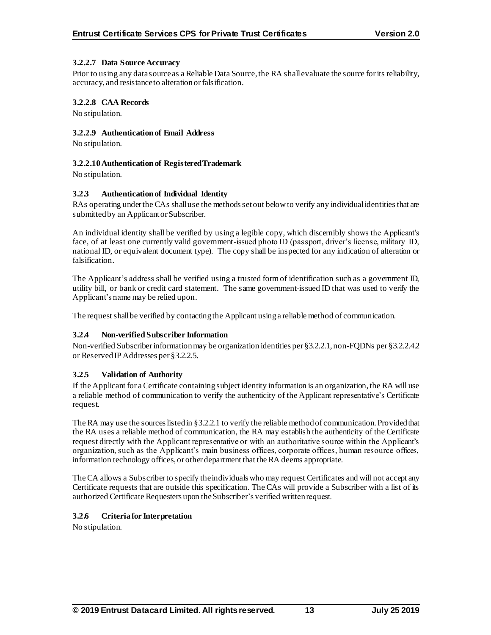## **3.2.2.7 Data Source Accuracy**

Prior to using any data source as a Reliable Data Source, the RA shall evaluate the source for its reliability, accuracy, and resistance to alteration or falsification.

## **3.2.2.8 CAA Records**

No stipulation.

## **3.2.2.9 Authentication of Email Address**

No stipulation.

## **3.2.2.10Authentication of Registered Trademark**

No stipulation.

## **3.2.3 Authentication of Individual Identity**

RAs operating under the CAs shall use the methods set out below to verify any individual identities that are submitted by an Applicant or Subscriber.

An individual identity shall be verified by using a legible copy, which discernibly shows the Applicant's face, of at least one currently valid government-issued photo ID (passport, driver's license, military ID, national ID, or equivalent document type). The copy shall be inspected for any indication of alteration or falsification.

The Applicant's address shall be verified using a trusted form of identification such as a government ID, utility bill, or bank or credit card statement. The same government-issued ID that was used to verify the Applicant's name may be relied upon.

The request shall be verified by contacting the Applicant using a reliable method of communication.

# **3.2.4 Non-verified Subscriber Information**

Non-verified Subscriber information may be organization identities per §3.2.2.1, non-FQDNs per §3.2.2.4.2 or Reserved IP Addresses per §3.2.2.5.

## **3.2.5 Validation of Authority**

If the Applicant for a Certificate containing subject identity information is an organization, the RA will use a reliable method of communication to verify the authenticity of the Applicant representative's Certificate request.

The RA may use the sources listed in §3.2.2.1 to verify the reliable method of communication. Provided that the RA uses a reliable method of communication, the RA may establish the authenticity of the Certificate request directly with the Applicant representative or with an authoritative source within the Applicant's organization, such as the Applicant's main business offices, corporate offices, human resource offices, information technology offices, or other department that the RA deems appropriate.

The CA allows a Subscriberto specify the individuals who may request Certificates and will not accept any Certificate requests that are outside this specification. The CAs will provide a Subscriber with a list of its authorized Certificate Requesters upon the Subscriber's verified written request.

## **3.2.6 Criteria for Interpretation**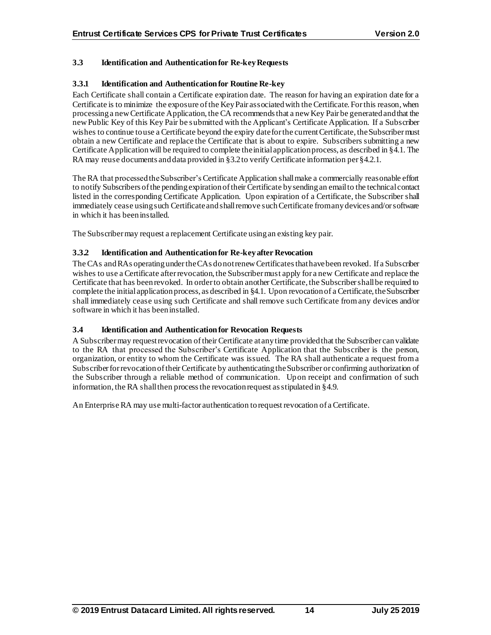# **3.3 Identification and Authentication for Re-key Requests**

## **3.3.1 Identification and Authentication for Routine Re-key**

Each Certificate shall contain a Certificate expiration date. The reason for having an expiration date for a Certificate is to minimize the exposure of the Key Pair associated with the Certificate. For this reason, when processing a new Certificate Application, the CA recommends that a new Key Pair be generated and that the new Public Key of this Key Pair be submitted with the Applicant's Certificate Application. If a Subscriber wishes to continue to use a Certificate beyond the expiry date for the current Certificate, the Subscriber must obtain a new Certificate and replace the Certificate that is about to expire. Subscribers submitting a new Certificate Application will be required to complete the initial application process, as described in §4.1. The RA may reuse documents and data provided in §3.2 to verify Certificate information per §4.2.1.

The RA that processed the Subscriber's Certificate Application shall make a commercially reasonable effort to notify Subscribers of the pending expiration of their Certificate by sending an email to the technical contact listed in the corresponding Certificate Application. Upon expiration of a Certificate, the Subscriber shall immediately cease using such Certificate and shall remove such Certificate from any devices and/or software in which it has been installed.

The Subscriber may request a replacement Certificate using an existing key pair.

## **3.3.2 Identification and Authentication for Re-key after Revocation**

The CAs and RAs operating under the CAs do not renew Certificates that have been revoked. If a Subscriber wishes to use a Certificate after revocation, the Subscriber must apply for a new Certificate and replace the Certificate that has been revoked. In order to obtain another Certificate, the Subscriber shall be required to complete the initial application process, as described in §4.1. Upon revocation of a Certificate, the Subscriber shall immediately cease using such Certificate and shall remove such Certificate from any devices and/or software in which it has been installed.

## **3.4 Identification and Authentication for Revocation Requests**

A Subscriber may request revocation of their Certificate at any time provided that the Subscriber can validate to the RA that processed the Subscriber's Certificate Application that the Subscriber is the person, organization, or entity to whom the Certificate was issued. The RA shall authenticate a request from a Subscriber for revocation of their Certificate by authenticating the Subscriber or confirming authorization of the Subscriber through a reliable method of communication. Upon receipt and confirmation of such information, the RA shall then process the revocation request as stipulated in §4.9.

An Enterprise RA may use multi-factor authentication to request revocation of a Certificate.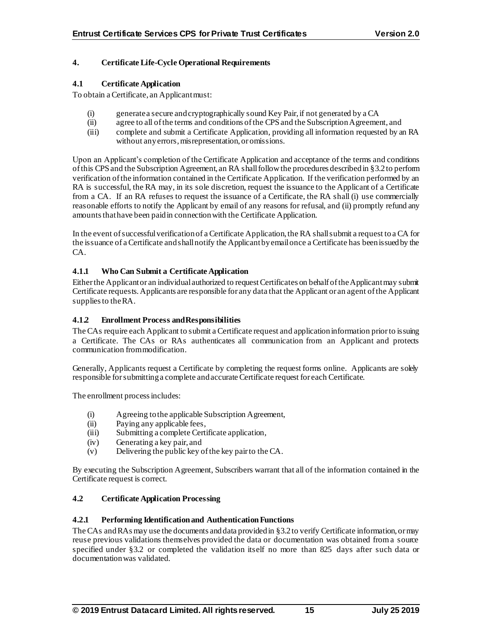## **4. Certificate Life-Cycle Operational Requirements**

#### **4.1 Certificate Application**

To obtain a Certificate, an Applicant must:

- (i) generate a secure and cryptographically sound Key Pair, if not generated by a CA
- (ii) agree to all of the terms and conditions of the CPS and the Subscription Agreement, and
- (iii) complete and submit a Certificate Application, providing all information requested by an RA without any errors, misrepresentation, or omissions.

Upon an Applicant's completion of the Certificate Application and acceptance of the terms and conditions of this CPSand the Subscription Agreement, an RA shall follow the procedures described in §3.2to perform verification of the information contained in the Certificate Application. If the verification performed by an RA is successful, the RA may, in its sole discretion, request the issuance to the Applicant of a Certificate from a CA. If an RA refuses to request the issuance of a Certificate, the RA shall (i) use commercially reasonable efforts to notify the Applicant by email of any reasons for refusal, and (ii) promptly refund any amounts that have been paid in connection with the Certificate Application.

In the event of successful verification of a Certificate Application, the RA shall submit a request to a CA for the issuance of a Certificate and shall notify the Applicant by email once a Certificate has been issued by the CA.

## **4.1.1 Who Can Submit a Certificate Application**

Either the Applicant or an individual authorized to request Certificates on behalf of the Applicant may submit Certificate requests. Applicants are responsible for any data that the Applicant or an agent of the Applicant supplies to the RA.

## **4.1.2 Enrollment Process and Responsibilities**

The CAs require each Applicant to submit a Certificate request and application information prior to issuing a Certificate. The CAs or RAs authenticates all communication from an Applicant and protects communication from modification.

Generally, Applicants request a Certificate by completing the request forms online. Applicants are solely responsible for submitting a complete and accurate Certificate request for each Certificate.

The enrollment process includes:

- (i) Agreeing to the applicable Subscription Agreement,
- (ii) Paying any applicable fees,
- (iii) Submitting a complete Certificate application,
- (iv) Generating a key pair, and
- (v) Delivering the public key of the key pair to the CA.

By executing the Subscription Agreement, Subscribers warrant that all of the information contained in the Certificate request is correct.

## **4.2 Certificate Application Processing**

## **4.2.1 Performing Identification and Authentication Functions**

The CAs and RAs may use the documents and data provided in §3.2 to verify Certificate information, or may reuse previous validations themselves provided the data or documentation was obtained from a source specified under §3.2 or completed the validation itself no more than 825 days after such data or documentation was validated.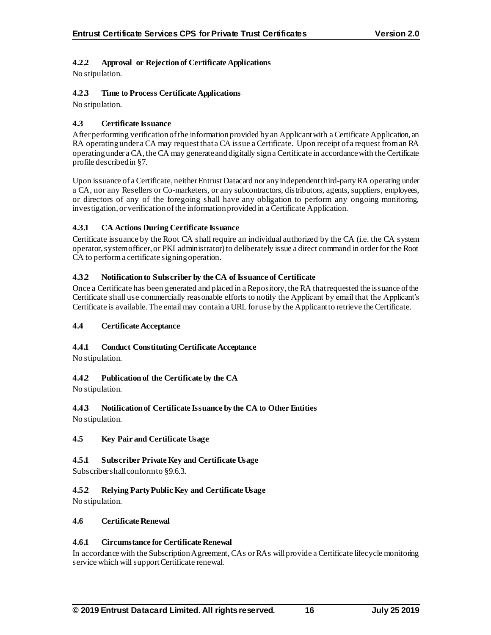# **4.2.2 Approval or Rejection of Certificate Applications**

No stipulation.

# **4.2.3 Time to Process Certificate Applications**

No stipulation.

# **4.3 Certificate Issuance**

After performing verification of the information provided by an Applicant with a Certificate Application, an RA operating under a CA may request that a CA issue a Certificate. Upon receipt of a request from an RA operating under a CA, the CA may generate and digitally sign a Certificate in accordance with the Certificate profile described in §7.

Upon issuance of a Certificate, neither Entrust Datacard nor any independent third-party RA operating under a CA, nor any Resellers or Co-marketers, or any subcontractors, distributors, agents, suppliers, employees, or directors of any of the foregoing shall have any obligation to perform any ongoing monitoring, investigation, or verification of the information provided in a Certificate Application.

# **4.3.1 CA Actions During Certificate Issuance**

Certificate issuance by the Root CA shall require an individual authorized by the CA (i.e. the CA system operator, system officer, or PKI administrator) to deliberately issue a direct command in order for the Root CA to perform a certificate signing operation.

## **4.3.2 Notification to Subscriber by the CA of Issuance of Certificate**

Once a Certificate has been generated and placed in a Repository, the RA that requested the issuance of the Certificate shall use commercially reasonable efforts to notify the Applicant by email that the Applicant's Certificate is available. The email may contain a URL for use by the Applicant to retrieve the Certificate.

## **4.4 Certificate Acceptance**

## **4.4.1 Conduct Constituting Certificate Acceptance**

No stipulation.

# **4.4.2 Publication of the Certificate by the CA**

No stipulation.

# **4.4.3 Notification of Certificate Issuance by the CA to Other Entities**

No stipulation.

# **4.5 Key Pair and Certificate Usage**

# **4.5.1 Subscriber Private Key and Certificate Usage**

Subscriber shall conform to §9.6.3.

# **4.5.2 Relying Party Public Key and Certificate Usage**

No stipulation.

## **4.6 Certificate Renewal**

## **4.6.1 Circumstance for Certificate Renewal**

In accordance with the Subscription Agreement, CAs or RAs will provide a Certificate lifecycle monitoring service which will support Certificate renewal.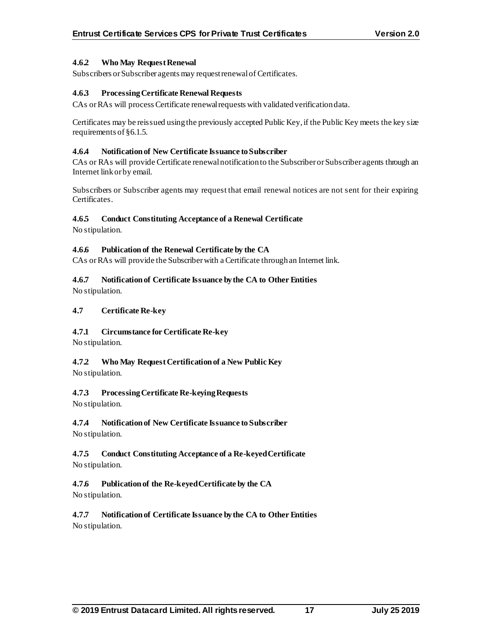## **4.6.2 Who May Request Renewal**

Subscribers or Subscriber agents may request renewal of Certificates.

## **4.6.3 Processing Certificate Renewal Requests**

CAs or RAs will process Certificate renewal requests with validated verification data.

Certificates may be reissued using the previously accepted Public Key, if the Public Key meets the key size requirements of §6.1.5.

#### **4.6.4 Notification of New Certificate Issuance to Subscriber**

CAs or RAs will provide Certificate renewal notification to the Subscriber or Subscriber agents through an Internet link or by email.

Subscribers or Subscriber agents may request that email renewal notices are not sent for their expiring Certificates.

## **4.6.5 Conduct Constituting Acceptance of a Renewal Certificate**

No stipulation.

## **4.6.6 Publication of the Renewal Certificate by the CA**

CAs or RAs will provide the Subscriber with a Certificate through an Internet link.

## **4.6.7 Notification of Certificate Issuance by the CA to Other Entities**

No stipulation.

## **4.7 Certificate Re-key**

## **4.7.1 Circumstance for Certificate Re-key**

No stipulation.

# **4.7.2 Who May Request Certification of a New Public Key**

No stipulation.

# **4.7.3 Processing Certificate Re-keying Requests**

No stipulation.

# **4.7.4 Notification of New Certificate Issuance to Subscriber**

No stipulation.

## **4.7.5 Conduct Constituting Acceptance of a Re-keyed Certificate** No stipulation.

# **4.7.6 Publication of the Re-keyed Certificate by the CA**

No stipulation.

## **4.7.7 Notification of Certificate Issuance by the CA to Other Entities** No stipulation.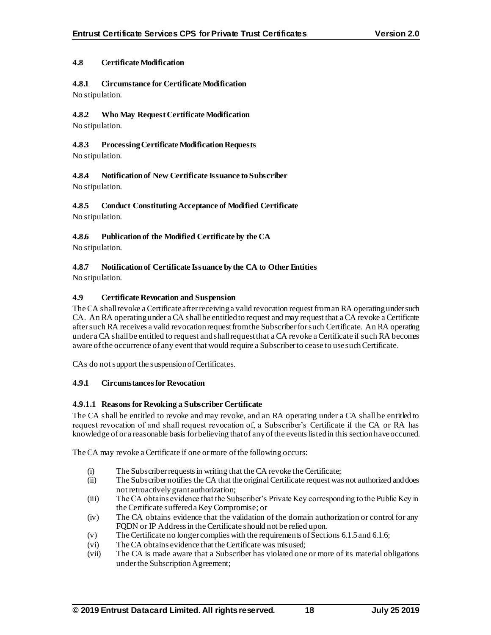## **4.8 Certificate Modification**

**4.8.1 Circumstance for Certificate Modification** No stipulation.

# **4.8.2 Who May Request Certificate Modification**

No stipulation.

## **4.8.3 Processing Certificate Modification Requests**

No stipulation.

# **4.8.4 Notification of New Certificate Issuance to Subscriber**

No stipulation.

**4.8.5 Conduct Constituting Acceptance of Modified Certificate** No stipulation.

# **4.8.6 Publication of the Modified Certificate by the CA**

No stipulation.

# **4.8.7 Notification of Certificate Issuance by the CA to Other Entities**

No stipulation.

# **4.9 Certificate Revocation and Suspension**

The CA shall revoke a Certificate after receiving a valid revocation request from an RA operating under such CA. An RA operating under a CA shall be entitled to request and may request that a CA revoke a Certificate after such RA receives a valid revocation request from the Subscriber for such Certificate. An RA operating under a CA shall be entitled to request and shall request that a CA revoke a Certificate if such RA becomes aware of the occurrence of any event that would require a Subscriber to cease to use such Certificate.

CAs do not support the suspension of Certificates.

## **4.9.1 Circumstances for Revocation**

## **4.9.1.1 Reasons for Revoking a Subscriber Certificate**

The CA shall be entitled to revoke and may revoke, and an RA operating under a CA shall be entitled to request revocation of and shall request revocation of, a Subscriber's Certificate if the CA or RA has knowledge of or a reasonable basis for believing that of any of the events listed in this section have occurred.

The CA may revoke a Certificate if one or more of the following occurs:

- (i) The Subscriber requests in writing that the CA revoke the Certificate;
- (ii) The Subscriber notifies the CA that the original Certificate request was not authorized and does not retroactively grant authorization;
- (iii) The CA obtains evidence that the Subscriber's Private Key corresponding to the Public Key in the Certificate suffered a Key Compromise; or
- (iv) The CA obtains evidence that the validation of the domain authorization or control for any FQDN or IP Address in the Certificate should not be relied upon.
- (v) The Certificate no longer complies with the requirements of Sections 6.1.5 and 6.1.6;
- (vi) The CA obtains evidence that the Certificate was misused;
- (vii) The CA is made aware that a Subscriber has violated one or more of its material obligations under the Subscription Agreement;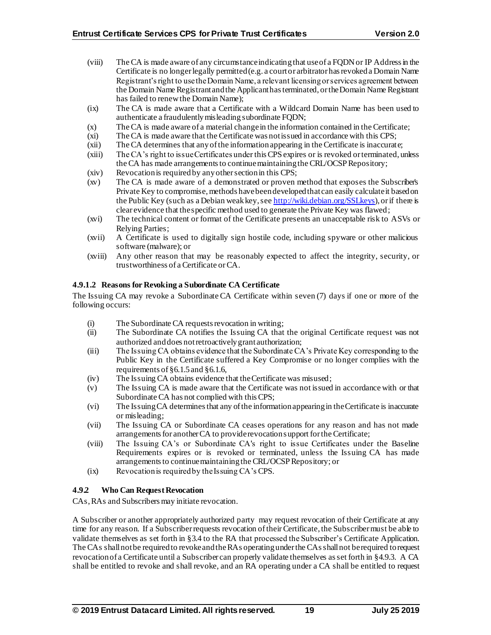- (viii) The CA is made aware of any circumstance indicating that use of a FQDNor IP Addressin the Certificate is no longer legally permitted (e.g. a court or arbitrator has revoked a Domain Name Registrant's right to use the Domain Name, a relevant licensing or services agreement between the Domain Name Registrant and the Applicant has terminated, or the Domain Name Registrant has failed to renew the Domain Name);
- (ix) The CA is made aware that a Certificate with a Wildcard Domain Name has been used to authenticate a fraudulently misleading subordinate FQDN;
- (x) The CA is made aware of a material change in the information contained in the Certificate;
- (xi) The CA is made aware that the Certificate was not issued in accordance with this CPS;
- (xii) The CA determines that any of the information appearing in the Certificate is inaccurate;
- (xiii) The CA's right to issue Certificates under this CPS expires or is revoked or terminated, unless the CA has made arrangements to continue maintaining the CRL/OCSP Repository;
- (xiv) Revocation is required by any other section in this CPS;
- (xv) The CA is made aware of a demonstrated or proven method that exposes the Subscriber's Private Key to compromise, methods have been developed that can easily calculate it based on the Public Key (such as a Debian weak key, se[e http://wiki.debian.org/SSLkeys](http://wiki.debian.org/SSLkeys)), or if there is clear evidence that the specific method used to generate the Private Key was flawed;
- (xvi) The technical content or format of the Certificate presents an unacceptable risk to ASVs or Relying Parties;
- (xvii) A Certificate is used to digitally sign hostile code, including spyware or other malicious software (malware); or
- (xviii) Any other reason that may be reasonably expected to affect the integrity, security, or trustworthiness of a Certificate or CA.

#### **4.9.1.2 Reasons for Revoking a Subordinate CA Certificate**

The Issuing CA may revoke a Subordinate CA Certificate within seven (7) days if one or more of the following occurs:

- (i) The Subordinate CA requests revocation in writing;
- (ii) The Subordinate CA notifies the Issuing CA that the original Certificate request was not authorized and does not retroactively grant authorization;
- (iii) The Issuing CA obtains evidence that the Subordinate CA's Private Key corresponding to the Public Key in the Certificate suffered a Key Compromise or no longer complies with the requirements of §6.1.5 and §6.1.6,
- (iv) The Issuing CA obtains evidence that the Certificate was misused;
- (v) The Issuing CA is made aware that the Certificate was not issued in accordance with or that Subordinate CA has not complied with thisCPS;
- (vi) The Issuing CA determines that any of the information appearing in the Certificate is inaccurate or misleading;
- (vii) The Issuing CA or Subordinate CA ceases operations for any reason and has not made arrangements for another CA to provide revocation support for the Certificate;
- (viii) The Issuing CA's or Subordinate CA's right to issue Certificates under the Baseline Requirements expires or is revoked or terminated, unless the Issuing CA has made arrangements to continue maintaining the CRL/OCSP Repository; or
- (ix) Revocation is required by the Issuing CA's CPS.

## **4.9.2 Who Can Request Revocation**

CAs, RAs and Subscribers may initiate revocation.

A Subscriber or another appropriately authorized party may request revocation of their Certificate at any time for any reason. If a Subscriber requests revocation of their Certificate, the Subscriber must be able to validate themselves as set forth in §3.4 to the RA that processed the Subscriber's Certificate Application. The CAs shall not be required to revoke and the RAs operating under the CAsshall not be required to request revocation of a Certificate until a Subscriber can properly validate themselves as set forth in §4.9.3. A CA shall be entitled to revoke and shall revoke, and an RA operating under a CA shall be entitled to request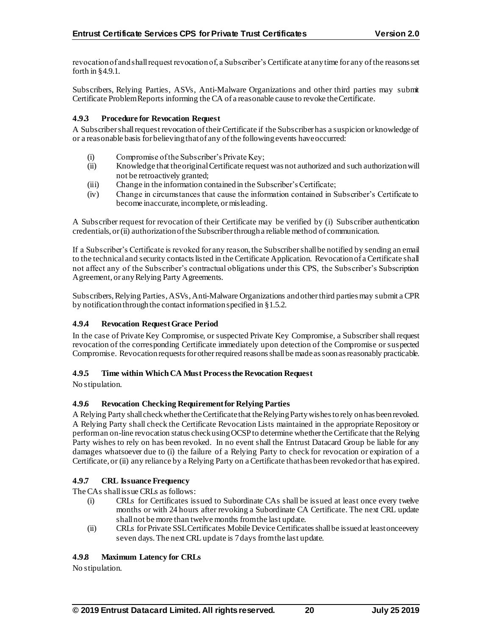revocation of and shall request revocation of, a Subscriber's Certificate at any time for any of the reasons set forth in §4.9.1.

Subscribers, Relying Parties, ASVs, Anti-Malware Organizations and other third parties may submit Certificate Problem Reports informing the CA of a reasonable cause to revoke the Certificate.

## **4.9.3 Procedure for Revocation Request**

A Subscriber shall request revocation of their Certificate if the Subscriber has a suspicion or knowledge of or a reasonable basis for believing that of any of the following events have occurred:

- (i) Compromise of the Subscriber's Private Key;
- (ii) Knowledge that the original Certificate request was not authorized and such authorization will not be retroactively granted;
- (iii) Change in the information contained in the Subscriber's Certificate;
- (iv) Change in circumstances that cause the information contained in Subscriber's Certificate to become inaccurate, incomplete, or misleading.

A Subscriber request for revocation of their Certificate may be verified by (i) Subscriber authentication credentials, or (ii) authorization of the Subscriber through a reliable method of communication.

If a Subscriber's Certificate is revoked for any reason, the Subscriber shall be notified by sending an email to the technical and security contacts listed in the Certificate Application. Revocation of a Certificate shall not affect any of the Subscriber's contractual obligations under this CPS, the Subscriber's Subscription Agreement, or any Relying Party Agreements.

Subscribers,Relying Parties, ASVs, Anti-Malware Organizations and other third parties may submit a CPR by notification through the contact information specified in §1.5.2.

# **4.9.4 Revocation Request Grace Period**

In the case of Private Key Compromise, or suspected Private Key Compromise, a Subscriber shall request revocation of the corresponding Certificate immediately upon detection of the Compromise or suspected Compromise. Revocation requests for other required reasons shall be made as soon as reasonably practicable.

## **4.9.5 Time within Which CA Must Process the Revocation Request**

No stipulation.

## **4.9.6 Revocation Checking Requirement for Relying Parties**

A Relying Party shall check whether the Certificatethat the Relying Party wishes to rely on has been revoked. A Relying Party shall check the Certificate Revocation Lists maintained in the appropriate Repository or perform an on-line revocation status check using OCSP to determine whether the Certificate that the Relying Party wishes to rely on has been revoked. In no event shall the Entrust Datacard Group be liable for any damages whatsoever due to (i) the failure of a Relying Party to check for revocation or expiration of a Certificate, or (ii) any reliance by a Relying Party on a Certificate that has been revoked or that has expired.

## **4.9.7 CRL Issuance Frequency**

The CAs shall issue CRI s as follows:

- (i) CRLs for Certificates issued to Subordinate CAs shall be issued at least once every twelve months or with 24 hours after revoking a Subordinate CA Certificate. The next CRL update shall not be more than twelve months from the last update.
- (ii) CRLs for Private SSLCertificates Mobile Device Certificates shall be issued at least once every seven days. The next CRL update is 7 days from the last update.

## **4.9.8 Maximum Latency for CRLs**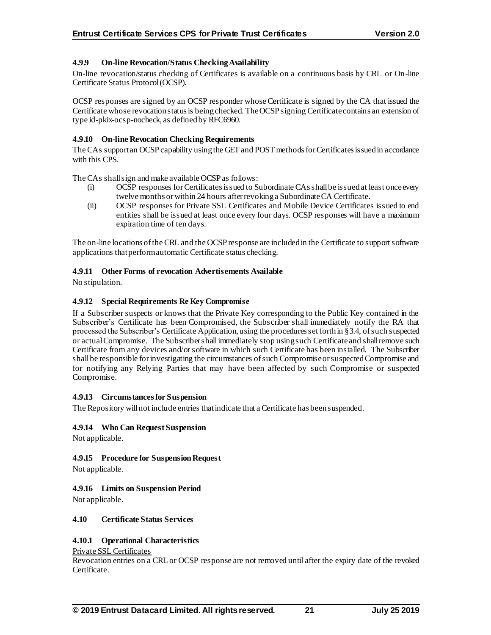# **4.9.9 On-line Revocation/Status Checking Availability**

On-line revocation/status checking of Certificates is available on a continuous basis by CRL or On-line Certificate Status Protocol (OCSP).

OCSP responses are signed by an OCSP responder whose Certificate is signed by the CA that issued the Certificate whose revocation status is being checked. The OCSP signing Certificate contains an extension of type id-pkix-ocsp-nocheck, as defined by RFC6960.

## **4.9.10 On-line Revocation Checking Requirements**

The CAs support an OCSP capability using the GET and POST methods for Certificates issued in accordance with this CPS.

The CAs shall sign and make available OCSP as follows:

- (i) OCSP responses for Certificates issued to Subordinate CAs shall be issued at least once every twelve months or within 24 hours after revoking a Subordinate CA Certificate.
- (ii) OCSP responses for Private SSL Certificates and Mobile Device Certificates issued to end entities shall be issued at least once every four days. OCSP responses will have a maximum expiration time of ten days.

The on-line locations of the CRL and the OCSP response are included in the Certificate to support software applications that perform automatic Certificate status checking.

## **4.9.11 Other Forms of revocation Advertisements Available**

No stipulation.

## **4.9.12 Special Requirements Re Key Compromise**

If a Subscriber suspects or knows that the Private Key corresponding to the Public Key contained in the Subscriber's Certificate has been Compromised, the Subscriber shall immediately notify the RA that processed the Subscriber's Certificate Application, using the procedures set forth in §3.4, of such suspected or actual Compromise. The Subscriber shall immediately stop using such Certificateand shall remove such Certificate from any devices and/or software in which such Certificate has been installed. The Subscriber shall be responsible for investigating the circumstances of such Compromise or suspected Compromise and for notifying any Relying Parties that may have been affected by such Compromise or suspected Compromise.

## **4.9.13 Circumstances for Suspension**

The Repository will not include entries that indicate that a Certificate has been suspended.

## **4.9.14 Who Can Request Suspension**

Not applicable.

## **4.9.15 Procedure for Suspension Request**

Not applicable.

## **4.9.16 Limits on Suspension Period**

Not applicable.

## **4.10 Certificate Status Services**

## **4.10.1 Operational Characteristics**

#### Private SSL Certificates

Revocation entries on a CRL or OCSP response are not removed until after the expiry date of the revoked Certificate.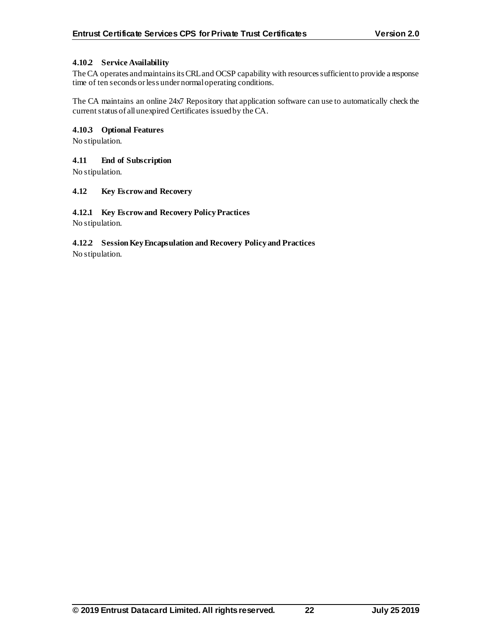## **4.10.2 Service Availability**

The CA operates and maintains its CRL and OCSP capability with resources sufficient to provide a response time of ten seconds or less under normal operating conditions.

The CA maintains an online 24x7 Repository that application software can use to automatically check the current status of all unexpired Certificates issued by the CA.

## **4.10.3 Optional Features**

No stipulation.

#### **4.11 End of Subscription**

No stipulation.

#### **4.12 Key Escrow and Recovery**

## **4.12.1 Key Escrow and Recovery Policy Practices**

No stipulation.

# **4.12.2 Session Key Encapsulation and Recovery Policy and Practices**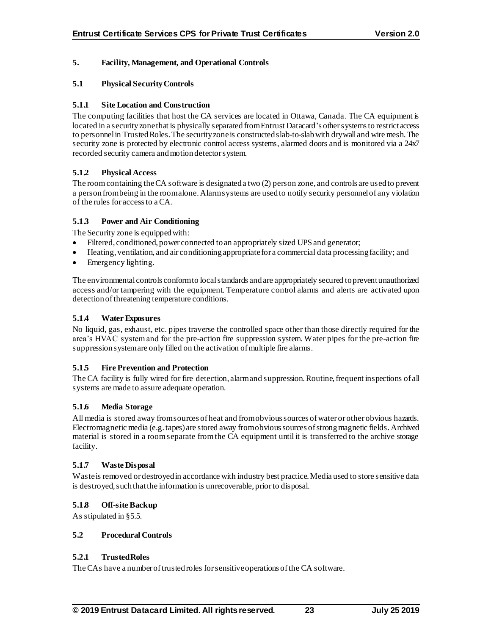## **5. Facility, Management, and Operational Controls**

#### **5.1 Physical Security Controls**

#### **5.1.1 Site Location and Construction**

The computing facilities that host the CA services are located in Ottawa, Canada. The CA equipment is located in a security zone that is physically separated from Entrust Datacard's other systems to restrict access to personnel in Trusted Roles.The security zone is constructed slab-to-slab with drywall and wire mesh. The security zone is protected by electronic control access systems, alarmed doors and is monitored via a  $24x7$ recorded security camera and motion detector system.

## **5.1.2 Physical Access**

The room containing the CA software is designated a two (2) person zone, and controls are used to prevent a person from being in the room alone. Alarm systems are used to notify security personnel of any violation of the rules for access to a CA.

#### **5.1.3 Power and Air Conditioning**

The Security zone is equipped with:

- Filtered, conditioned, power connected to an appropriately sized UPS and generator;
- Heating, ventilation, and air conditioning appropriate for a commercial data processing facility; and
- Emergency lighting.

The environmental controls conform to local standards and are appropriately secured to prevent unauthorized access and/or tampering with the equipment. Temperature control alarms and alerts are activated upon detection of threatening temperature conditions.

#### **5.1.4 Water Exposures**

No liquid, gas, exhaust, etc. pipes traverse the controlled space other than those directly required for the area's HVAC system and for the pre-action fire suppression system. Water pipes for the pre-action fire suppression system are only filled on the activation of multiple fire alarms.

#### **5.1.5 Fire Prevention and Protection**

The CA facility is fully wired for fire detection, alarm and suppression. Routine, frequent inspections of all systems are made to assure adequate operation.

#### **5.1.6 Media Storage**

All media is stored away from sources of heat and from obvious sources of water or other obvious hazards. Electromagnetic media (e.g. tapes) are stored away from obvious sources of strong magnetic fields. Archived material is stored in a room separate from the CA equipment until it is transferred to the archive storage facility.

#### **5.1.7 Waste Disposal**

Waste is removed or destroyed in accordance with industry best practice. Media used to store sensitive data is destroyed, such that the information is unrecoverable, prior to disposal.

## **5.1.8 Off-site Backup**

As stipulated in §5.5.

#### **5.2 Procedural Controls**

#### **5.2.1 Trusted Roles**

The CAs have a number of trusted roles for sensitive operations of the CA software.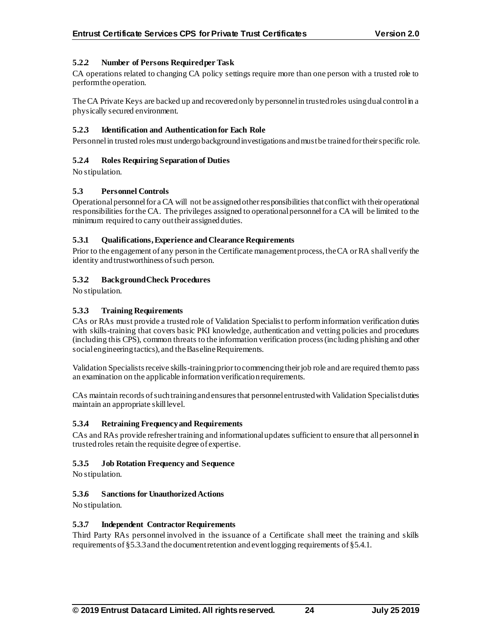## **5.2.2 Number of Persons Required per Task**

CA operations related to changing CA policy settings require more than one person with a trusted role to perform the operation.

The CA Private Keys are backed up and recovered only by personnel in trusted roles using dual control in a physically secured environment.

## **5.2.3 Identification and Authentication for Each Role**

Personnel in trusted roles must undergo background investigations and must be trained fortheir specific role.

## **5.2.4 Roles Requiring Separation of Duties**

No stipulation.

## **5.3 Personnel Controls**

Operational personnel for a CA will not be assigned other responsibilities that conflict with their operational responsibilities for the CA. The privileges assigned to operational personnel for a CA will be limited to the minimum required to carry out their assigned duties.

#### **5.3.1 Qualifications, Experience and Clearance Requirements**

Prior to the engagement of any person in the Certificate management process, the CA or RA shall verify the identity and trustworthiness of such person.

## **5.3.2 Background Check Procedures**

No stipulation.

## **5.3.3 Training Requirements**

CAs or RAs must provide a trusted role of Validation Specialist to perform information verification duties with skills-training that covers basic PKI knowledge, authentication and vetting policies and procedures (including this CPS), common threats to the information verification process (including phishing and other social engineering tactics), and the Baseline Requirements.

Validation Specialists receive skills-training prior to commencing their job role and are required them to pass an examination on the applicable information verification requirements.

CAs maintain records of such training and ensures that personnel entrusted with Validation Specialist duties maintain an appropriate skill level.

## **5.3.4 Retraining Frequency and Requirements**

CAs and RAs provide refresher training and informational updates sufficient to ensure that all personnel in trusted roles retain the requisite degree of expertise.

## **5.3.5 Job Rotation Frequency and Sequence**

No stipulation.

## **5.3.6 Sanctions for Unauthorized Actions**

No stipulation.

## **5.3.7 Independent Contractor Requirements**

Third Party RAs personnel involved in the issuance of a Certificate shall meet the training and skills requirements of §5.3.3and the document retention and event logging requirements of §5.4.1.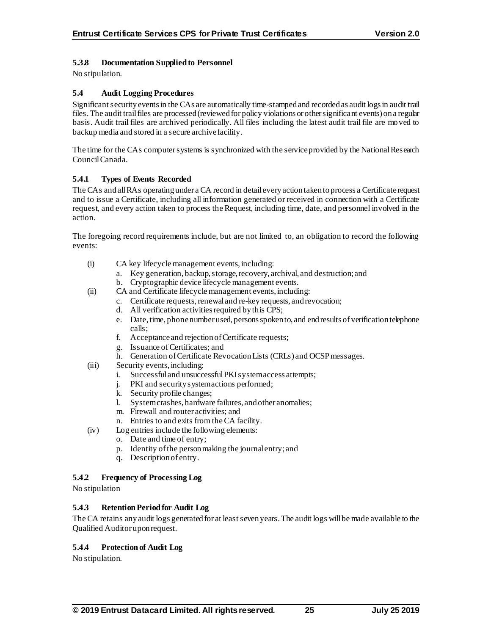## **5.3.8 Documentation Supplied to Personnel**

No stipulation.

## **5.4 Audit Logging Procedures**

Significant security events in the CAs are automatically time-stamped and recorded as audit logs in audit trail files. The audit trail files are processed (reviewed for policy violations or other significant events) on a regular basis. Audit trail files are archived periodically. All files including the latest audit trail file are moved to backup media and stored in a secure archive facility.

The time for the CAs computer systems is synchronized with the service provided by the National Research Council Canada.

## **5.4.1 Types of Events Recorded**

The CAs and all RAs operating under a CA record in detail every action taken to process a Certificaterequest and to issue a Certificate, including all information generated or received in connection with a Certificate request, and every action taken to process the Request, including time, date, and personnel involved in the action.

The foregoing record requirements include, but are not limited to, an obligation to record the following events:

- (i) CA key lifecycle management events, including:
	- a. Key generation, backup, storage, recovery, archival, and destruction; and
	- b. Cryptographic device lifecycle management events.
- (ii) CA and Certificate lifecycle management events, including:
	- c. Certificate requests, renewal and re-key requests, and revocation;
	- d. All verification activities required by this CPS;
	- e. Date, time, phone number used, persons spoken to, and end results of verification telephone calls;
	- f. Acceptance and rejection of Certificate requests;
	- g. Issuance of Certificates; and
	- h. Generation of Certificate Revocation Lists (CRLs) and OCSP messages.
- (iii) Security events, including:
	- i. Successful and unsuccessful PKI system access attempts;
	- j. PKI and security system actions performed;
	- k. Security profile changes;
	- l. System crashes, hardware failures, and other anomalies;
	- m. Firewall and router activities; and
	- n. Entries to and exits from the CA facility.
- (iv) Log entries include the following elements:
	- o. Date and time of entry;
	- p. Identity of the personmaking the journal entry; and
	- q. Description of entry.

## **5.4.2 Frequency of Processing Log**

No stipulation

## **5.4.3 Retention Period for Audit Log**

The CA retains any audit logs generated for at least seven years. The audit logs will be made available to the Qualified Auditor upon request.

## **5.4.4 Protection of Audit Log**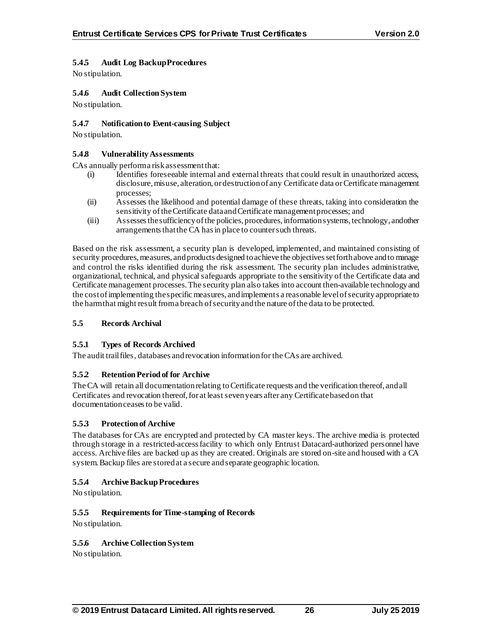# **5.4.5 Audit Log Backup Procedures**

No stipulation.

## **5.4.6 Audit Collection System**

No stipulation.

## **5.4.7 Notification to Event-causing Subject**

No stipulation.

#### **5.4.8 Vulnerability Assessments**

CAs annually perform a risk assessment that:

- (i) Identifies foreseeable internal and external threats that could result in unauthorized access, disclosure, misuse, alteration, or destruction of any Certificate data or Certificate management processes;
- (ii) Assesses the likelihood and potential damage of these threats, taking into consideration the sensitivity of the Certificate data and Certificate management processes; and
- (iii) Assesses the sufficiency of the policies, procedures, information systems, technology, and other arrangements that the CA has in place to counter such threats.

Based on the risk assessment, a security plan is developed, implemented, and maintained consisting of security procedures, measures, and products designed to achieve the objectives set forth above and to manage and control the risks identified during the risk assessment. The security plan includes administrative, organizational, technical, and physical safeguards appropriate to the sensitivity of the Certificate data and Certificate management processes. The security plan also takes into account then-available technology and the cost of implementing the specific measures, and implements a reasonable level of security appropriate to the harm that might result from a breach of security and the nature of the data to be protected.

## **5.5 Records Archival**

## **5.5.1 Types of Records Archived**

The audit trail files, databases and revocation information for the CAs are archived.

## **5.5.2 Retention Period of for Archive**

The CA will retain all documentation relating to Certificate requests and the verification thereof, and all Certificates and revocation thereof, for at least seven years after any Certificate based on that documentation ceases to be valid.

## **5.5.3 Protection of Archive**

The databases for CAs are encrypted and protected by CA master keys. The archive media is protected through storage in a restricted-access facility to which only Entrust Datacard-authorized personnel have access. Archive files are backed up as they are created. Originals are stored on-site and housed with a CA system. Backup files are stored at a secure and separate geographic location.

## **5.5.4 Archive Backup Procedures**

No stipulation.

## **5.5.5 Requirements for Time-stamping of Records**

No stipulation.

## **5.5.6 Archive Collection System**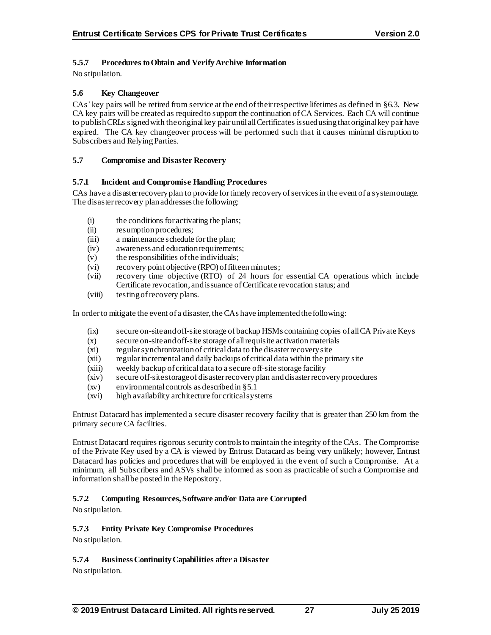# **5.5.7 Procedures to Obtain and Verify Archive Information**

No stipulation.

## **5.6 Key Changeover**

CAs' key pairs will be retired from service at the end of their respective lifetimes as defined in §6.3. New CA key pairs will be created as required to support the continuation of CA Services. Each CA will continue to publish CRLs signed with the original key pair until all Certificates issued using that original key pair have expired. The CA key changeover process will be performed such that it causes minimal disruption to Subscribers and Relying Parties.

#### **5.7 Compromise and Disaster Recovery**

#### **5.7.1 Incident and Compromise Handling Procedures**

CAs have a disaster recovery plan to provide for timely recovery of services in the event of a system outage. The disaster recovery plan addresses the following:

- (i) the conditions for activating the plans;
- (ii) resumption procedures;
- (iii) a maintenance schedule for the plan;
- (iv) awareness and education requirements;
- (v) the responsibilities of the individuals;
- (vi) recovery point objective (RPO) of fifteen minutes;
- (vii) recovery time objective (RTO) of 24 hours for essential CA operations which include Certificate revocation, and issuance of Certificate revocation status; and
- (viii) testing of recovery plans.

In order to mitigate the event of a disaster, the CAs have implemented the following:

- (ix) secure on-site and off-site storage of backup HSMs containing copies of all CA Private Keys
- (x) secure on-site and off-site storage of all requisite activation materials
- (xi) regular synchronization of critical data to the disaster recovery site
- (xii) regular incremental and daily backups of critical data within the primary site
- (xiii) weekly backup of critical data to a secure off-site storage facility
- (xiv) secure off-site storage of disaster recovery plan and disaster recovery procedures
- (xv) environmental controls as described in §5.1
- (xvi) high availability architecture for critical systems

Entrust Datacard has implemented a secure disaster recovery facility that is greater than 250 km from the primary secure CA facilities.

Entrust Datacard requires rigorous security controls to maintain the integrity of the CAs. The Compromise of the Private Key used by a CA is viewed by Entrust Datacard as being very unlikely; however, Entrust Datacard has policies and procedures that will be employed in the event of such a Compromise. At a minimum, all Subscribers and ASVs shall be informed as soon as practicable of such a Compromise and information shall be posted in the Repository.

## **5.7.2 Computing Resources, Software and/or Data are Corrupted**

No stipulation.

## **5.7.3 Entity Private Key Compromise Procedures**

No stipulation.

## **5.7.4 Business Continuity Capabilities after a Disaster**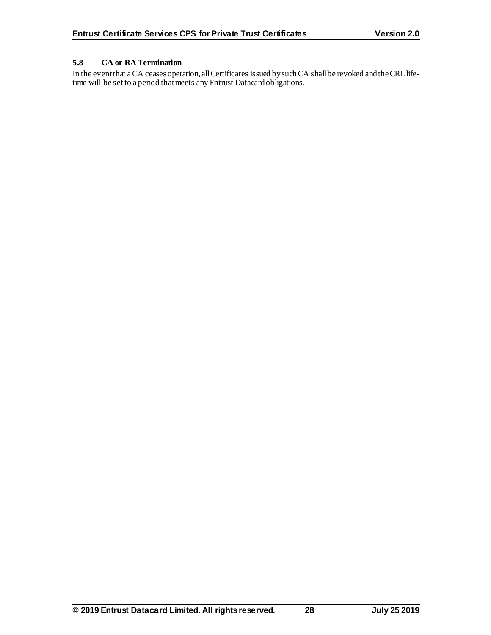# **5.8 CA or RA Termination**

In the event that a CA ceases operation, all Certificates issued by such CA shall be revoked and the CRL lifetime will be set to a period that meets any Entrust Datacard obligations.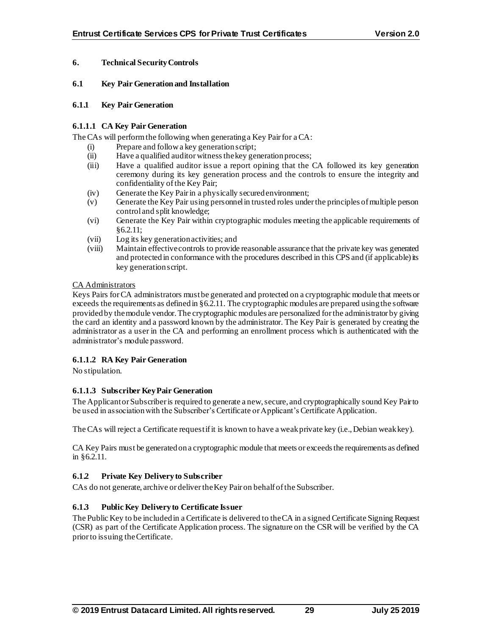## **6. Technical Security Controls**

#### **6.1 Key Pair Generation and Installation**

#### **6.1.1 Key Pair Generation**

#### **6.1.1.1 CA Key Pair Generation**

The CAs will perform the following when generating a Key Pair for a CA:

- (i) Prepare and follow a key generation script;
- (ii) Have a qualified auditor witness the key generation process;
- (iii) Have a qualified auditor issue a report opining that the CA followed its key generation ceremony during its key generation process and the controls to ensure the integrity and confidentiality of the Key Pair;
- (iv) Generate the Key Pairin a physically secured environment;
- (v) Generate the Key Pair using personnel in trusted roles under the principles of multiple person control and split knowledge;
- (vi) Generate the Key Pair within cryptographic modules meeting the applicable requirements of §6.2.11;
- (vii) Log its key generation activities; and
- (viii) Maintain effective controls to provide reasonable assurance that the private key was generated and protected in conformance with the procedures described in this CPS and (if applicable) its key generation script.

#### CA Administrators

Keys Pairs for CA administrators must be generated and protected on a cryptographic module that meets or exceeds the requirements as defined in §6.2.11. The cryptographic modules are prepared using the software provided by the module vendor. The cryptographic modules are personalized for the administrator by giving the card an identity and a password known by the administrator. The Key Pair is generated by creating the administrator as a user in the CA and performing an enrollment process which is authenticated with the administrator's module password.

## **6.1.1.2 RA Key Pair Generation**

No stipulation.

## **6.1.1.3 Subscriber Key Pair Generation**

The Applicant or Subscriber is required to generate a new, secure, and cryptographically sound Key Pair to be used in association with the Subscriber's Certificate or Applicant's Certificate Application.

The CAs will reject a Certificate request if it is known to have a weak private key (i.e., Debian weak key).

CA Key Pairs must be generated on a cryptographic module that meets or exceeds the requirements as defined in §6.2.11.

## **6.1.2 Private Key Delivery to Subscriber**

CAs do not generate, archive or deliverthe Key Pair on behalf of the Subscriber.

## **6.1.3 Public Key Delivery to Certificate Issuer**

The Public Key to be included in a Certificate is delivered to the CA in a signed Certificate Signing Request (CSR) as part of the Certificate Application process. The signature on the CSR will be verified by the CA prior to issuing the Certificate.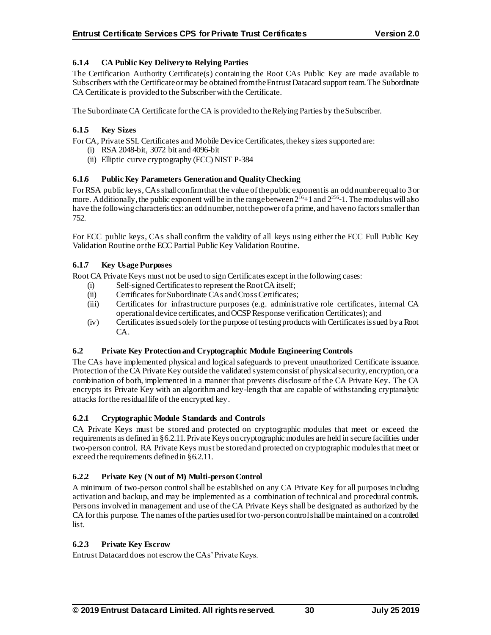# **6.1.4 CA Public Key Delivery to Relying Parties**

The Certification Authority Certificate(s) containing the Root CAs Public Key are made available to Subscribers with the Certificate or may be obtained from the Entrust Datacard support team. The Subordinate CA Certificate is provided to the Subscriber with the Certificate.

The Subordinate CA Certificate for the CA is provided to the Relying Parties by the Subscriber.

## **6.1.5 Key Sizes**

For CA, Private SSL Certificates and Mobile Device Certificates, the key sizes supported are:

- (i) RSA 2048-bit, 3072 bit and 4096-bit
- (ii) Elliptic curve cryptography (ECC) NIST P-384

## **6.1.6 Public Key Parameters Generation and Quality Checking**

For RSA public keys, CAsshall confirm that the value of the public exponent is an odd number equal to 3 or more. Additionally, the public exponent will be in the range between  $2^{16}+1$  and  $2^{256}$ -1. The modulus will also have the following characteristics: an odd number, not the power of a prime, and have no factors smaller than 752.

For ECC public keys, CAs shall confirm the validity of all keys using either the ECC Full Public Key Validation Routine or the ECC Partial Public Key Validation Routine.

## **6.1.7 Key Usage Purposes**

Root CA Private Keys must not be used to sign Certificates except in the following cases:

- (i) Self-signed Certificates to represent the Root CA itself;
- (ii) Certificates for Subordinate CAs and Cross Certificates;
- (iii) Certificates for infrastructure purposes (e.g. administrative role certificates, internal CA operational device certificates, and OCSP Response verification Certificates); and
- (iv) Certificates issued solely for the purpose of testing products with Certificates issued by a Root CA.

## **6.2 Private Key Protection and Cryptographic Module Engineering Controls**

The CAs have implemented physical and logical safeguards to prevent unauthorized Certificate issuance. Protection of the CA Private Key outside the validated system consist of physical security, encryption, or a combination of both, implemented in a manner that prevents disclosure of the CA Private Key. The CA encrypts its Private Key with an algorithm and key-length that are capable of withstanding cryptanalytic attacks for the residual life of the encrypted key.

## **6.2.1 Cryptographic Module Standards and Controls**

CA Private Keys must be stored and protected on cryptographic modules that meet or exceed the requirements as defined in §6.2.11. Private Keys on cryptographic modules are held in secure facilities under two-person control. RA Private Keys must be stored and protected on cryptographic modules that meet or exceed the requirements defined in §6.2.11.

## **6.2.2 Private Key (N out of M) Multi-person Control**

A minimum of two-person control shall be established on any CA Private Key for all purposes including activation and backup, and may be implemented as a combination of technical and procedural controls. Persons involved in management and use of the CA Private Keys shall be designated as authorized by the CA for this purpose. The names of the parties used for two-person control shall be maintained on a controlled list.

## **6.2.3 Private Key Escrow**

Entrust Datacard does not escrow the CAs' Private Keys.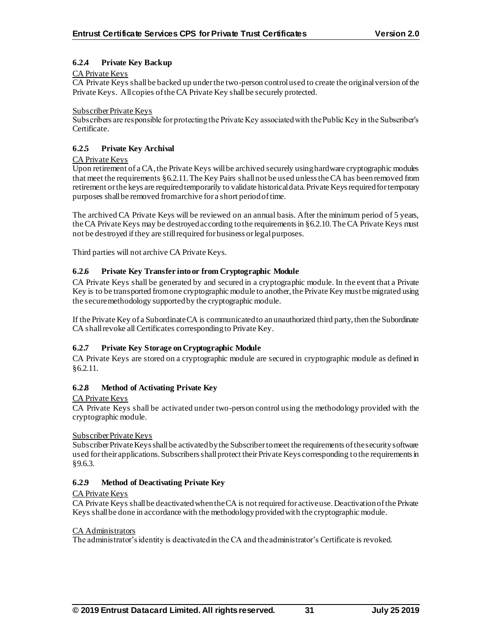## **6.2.4 Private Key Backup**

## CA Private Keys

CA Private Keys shall be backed up under the two-person control used to create the original version of the Private Keys. All copies of the CA Private Key shall be securely protected.

#### Subscriber Private Keys

Subscribers are responsible for protecting the Private Key associated with the Public Key in the Subscriber's Certificate.

## **6.2.5 Private Key Archival**

## CA Private Keys

Upon retirement of a CA, the Private Keys will be archived securely using hardware cryptographic modules that meet the requirements §6.2.11. The Key Pairs shall not be used unless the CA has been removed from retirement or the keys are required temporarily to validate historical data. Private Keys required for temporary purposes shall be removed from archive for a short period of time.

The archived CA Private Keys will be reviewed on an annual basis. After the minimum period of 5 years, the CA Private Keys may be destroyed according to the requirements in §6.2.10. The CA Private Keys must not be destroyed if they are still required for business or legal purposes.

Third parties will not archive CA Private Keys.

## **6.2.6 Private Key Transfer into or from Cryptographic Module**

CA Private Keys shall be generated by and secured in a cryptographic module. In the event that a Private Key is to be transported from one cryptographic module to another, the Private Key must be migrated using the secure methodology supported by the cryptographic module.

If the Private Key of a Subordinate CA is communicated to an unauthorized third party, then the Subordinate CA shall revoke all Certificates corresponding to Private Key.

## **6.2.7 Private Key Storage on Cryptographic Module**

CA Private Keys are stored on a cryptographic module are secured in cryptographic module as defined in §6.2.11.

## **6.2.8 Method of Activating Private Key**

## CA Private Keys

CA Private Keys shall be activated under two-person control using the methodology provided with the cryptographic module.

## Subscriber Private Keys

Subscriber Private Keys shall be activated by the Subscriber to meet the requirements of the security software used for their applications. Subscribers shall protect their Private Keys corresponding to the requirements in §9.6.3.

## **6.2.9 Method of Deactivating Private Key**

## CA Private Keys

CA Private Keys shall be deactivated when the CA is not required for active use. Deactivation of the Private Keys shall be done in accordance with the methodology provided with the cryptographic module.

#### CA Administrators

The administrator's identity is deactivated in the CA and the administrator's Certificate is revoked.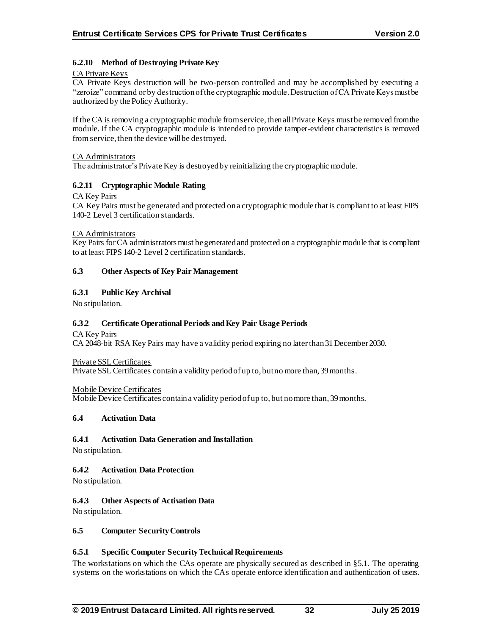## **6.2.10 Method of Destroying Private Key**

#### CA Private Keys

CA Private Keys destruction will be two-person controlled and may be accomplished by executing a "zeroize" command or by destruction of the cryptographic module. Destruction of CA Private Keys must be authorized by the Policy Authority.

If the CA is removing a cryptographic module from service, then all Private Keys must be removed from the module. If the CA cryptographic module is intended to provide tamper-evident characteristics is removed from service, then the device will be destroyed.

#### CA Administrators

The administrator's Private Key is destroyed by reinitializing the cryptographic module.

## **6.2.11 Cryptographic Module Rating**

## CA Key Pairs

CA Key Pairs must be generated and protected on a cryptographic module that is compliant to at least FIPS 140-2 Level 3 certification standards.

#### CA Administrators

Key Pairs for CA administrators must be generated and protected on a cryptographic module that is compliant to at least FIPS 140-2 Level 2 certification standards.

#### **6.3 Other Aspects of Key Pair Management**

#### **6.3.1 Public Key Archival**

No stipulation.

## **6.3.2 Certificate Operational Periods and Key Pair Usage Periods**

#### CA Key Pairs

CA 2048-bit RSA Key Pairs may have a validity period expiring no later than 31 December 2030.

Private SSL Certificates

Private SSL Certificates contain a validity period of up to, but no more than, 39 months.

#### Mobile Device Certificates

Mobile Device Certificates contain a validity period of up to, but no more than, 39 months.

#### **6.4 Activation Data**

#### **6.4.1 Activation Data Generation and Installation**

No stipulation.

## **6.4.2 Activation Data Protection**

No stipulation.

## **6.4.3 Other Aspects of Activation Data**

No stipulation.

#### **6.5 Computer Security Controls**

## **6.5.1 Specific Computer Security Technical Requirements**

The workstations on which the CAs operate are physically secured as described in §5.1. The operating systems on the workstations on which the CAs operate enforce identification and authentication of users.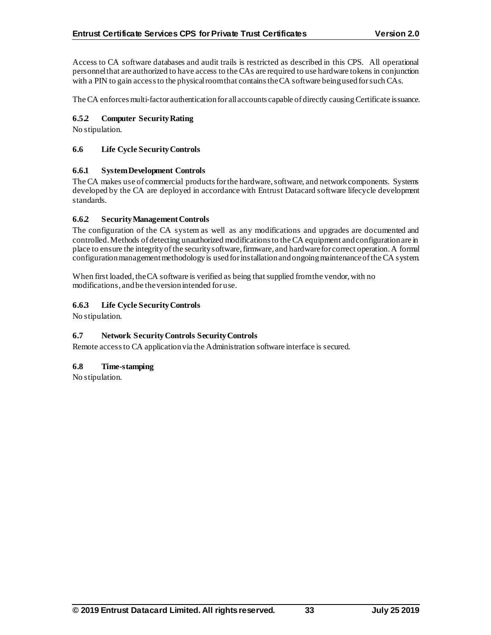Access to CA software databases and audit trails is restricted as described in this CPS. All operational personnel that are authorized to have access to the CAs are required to use hardware tokens in conjunction with a PIN to gain access to the physical room that contains the CA software being used for such CAs.

The CA enforces multi-factor authentication for all accounts capable of directly causing Certificate is suance.

## **6.5.2 Computer Security Rating**

No stipulation.

## **6.6 Life Cycle Security Controls**

## **6.6.1 System Development Controls**

The CA makes use of commercial products for the hardware, software, and network components. Systems developed by the CA are deployed in accordance with Entrust Datacard software lifecycle development standards.

## **6.6.2 Security Management Controls**

The configuration of the CA system as well as any modifications and upgrades are documented and controlled. Methods of detecting unauthorized modifications to the CA equipment and configuration are in place to ensure the integrity of the security software, firmware, and hardware for correct operation. A formal configuration management methodology is used for installation and ongoing maintenance of the CA system.

When first loaded, the CA software is verified as being that supplied from the vendor, with no modifications, and be the version intended for use.

## **6.6.3 Life Cycle Security Controls**

No stipulation.

## **6.7 Network Security Controls Security Controls**

Remote access to CA application via the Administration software interface is secured.

## **6.8 Time-stamping**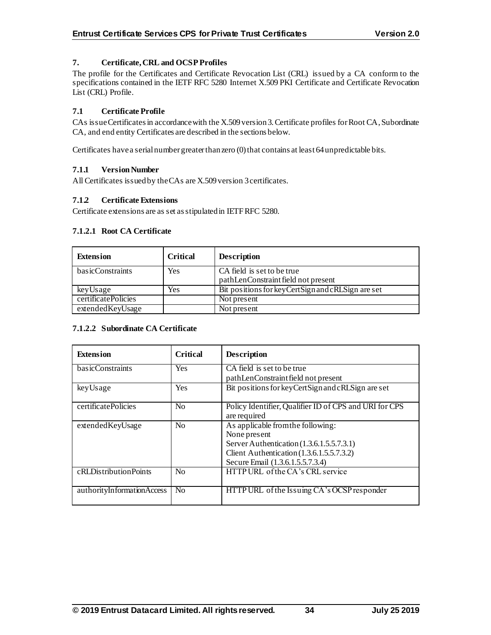## **7. Certificate, CRL and OCSP Profiles**

The profile for the Certificates and Certificate Revocation List (CRL) issued by a CA conform to the specifications contained in the IETF RFC 5280 Internet X.509 PKI Certificate and Certificate Revocation List (CRL) Profile.

## **7.1 Certificate Profile**

CAs issue Certificates in accordance with the X.509 version 3. Certificate profiles for Root CA, Subordinate CA, and end entity Certificates are described in the sections below.

Certificates have a serial number greater than zero (0) that contains at least 64 unpredictable bits.

## **7.1.1 Version Number**

All Certificates issued by the CAs are X.509 version 3 certificates.

## **7.1.2 Certificate Extensions**

Certificate extensions are as set as stipulated in IETF RFC 5280.

## **7.1.2.1 Root CA Certificate**

| <b>Extension</b>    | <b>Critical</b> | <b>Description</b>                                 |
|---------------------|-----------------|----------------------------------------------------|
| basicConstraints    | Yes             | CA field is set to be true                         |
|                     |                 | pathLenConstraint field not present                |
| keyUsage            | Yes             | Bit positions for key CertSign and cRLSign are set |
| certificatePolicies |                 | Not present                                        |
| extended Key Usage  |                 | Not present                                        |

## **7.1.2.2 Subordinate CA Certificate**

| <b>Extension</b>           | <b>Critical</b> | <b>Description</b>                                                                                                                                                              |
|----------------------------|-----------------|---------------------------------------------------------------------------------------------------------------------------------------------------------------------------------|
| basicConstraints           | <b>Yes</b>      | CA field is set to be true<br>pathLenConstraint field not present                                                                                                               |
| keyUsage                   | Yes             | Bit positions for key CertSign and cRLSign are set                                                                                                                              |
| certificatePolicies        | No              | Policy Identifier, Qualifier ID of CPS and URI for CPS<br>are required                                                                                                          |
| extendedKeyUsage           | N <sub>0</sub>  | As applicable from the following:<br>None present<br>Server Authentication (1.3.6.1.5.5.7.3.1)<br>Client Authentication (1.3.6.1.5.5.7.3.2)<br>Secure Email (1.3.6.1.5.5.7.3.4) |
| cRLDistributionPoints      | No              | HTTP URL of the CA's CRL service                                                                                                                                                |
| authorityInformationAccess | N <sub>0</sub>  | HTTP URL of the Issuing CA's OCSP responder                                                                                                                                     |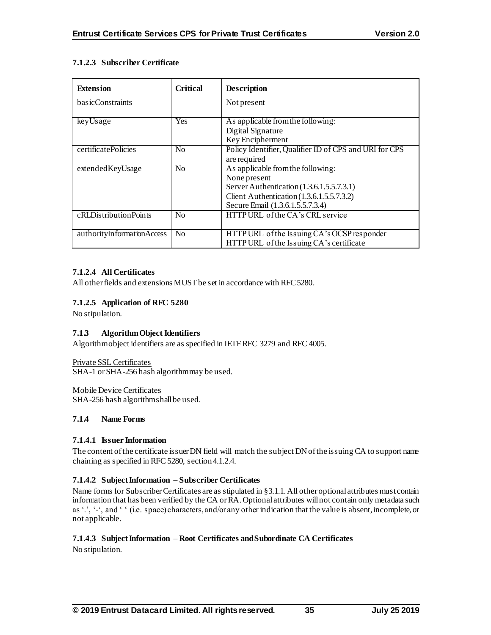# **7.1.2.3 Subscriber Certificate**

| <b>Extension</b>           | <b>Critical</b> | <b>Description</b>                                                                                                                                                              |
|----------------------------|-----------------|---------------------------------------------------------------------------------------------------------------------------------------------------------------------------------|
| basicConstraints           |                 | Not present                                                                                                                                                                     |
| keyUsage                   | Yes             | As applicable from the following:<br>Digital Signature<br>Key Encipherment                                                                                                      |
| certificatePolicies        | N <sub>o</sub>  | Policy Identifier, Qualifier ID of CPS and URI for CPS<br>are required                                                                                                          |
| extendedKeyUsage           | N <sub>0</sub>  | As applicable from the following:<br>None present<br>Server Authentication (1.3.6.1.5.5.7.3.1)<br>Client Authentication (1.3.6.1.5.5.7.3.2)<br>Secure Email (1.3.6.1.5.5.7.3.4) |
| cRLDistributionPoints      | N <sub>0</sub>  | HTTP URL of the CA's CRL service                                                                                                                                                |
| authorityInformationAccess | N <sub>o</sub>  | HTTP URL of the Issuing CA's OCSP responder<br>HTTP URL of the Issuing CA's certificate                                                                                         |

# **7.1.2.4 All Certificates**

All other fields and extensions MUST be set in accordance with RFC 5280.

## **7.1.2.5 Application of RFC 5280**

No stipulation.

## **7.1.3 Algorithm Object Identifiers**

Algorithm object identifiers are as specified in IETF RFC 3279 and RFC 4005.

Private SSL Certificates SHA-1 or SHA-256 hash algorithm may be used.

Mobile Device Certificates

SHA-256 hash algorithm shall be used.

## **7.1.4 Name Forms**

## **7.1.4.1 Issuer Information**

The content of the certificate issuer DN field will match the subject DN of the issuing CA to support name chaining as specified in RFC 5280, section 4.1.2.4.

# **7.1.4.2 Subject Information – Subscriber Certificates**

Name forms for Subscriber Certificates are as stipulated in §3.1.1.All other optional attributes must contain information that has been verified by the CA or RA. Optional attributes will not contain only metadata such as '.', '‐', and ' ' (i.e. space) characters, and/or any other indication that the value is absent, incomplete, or not applicable.

# **7.1.4.3 Subject Information – Root Certificates and Subordinate CA Certificates**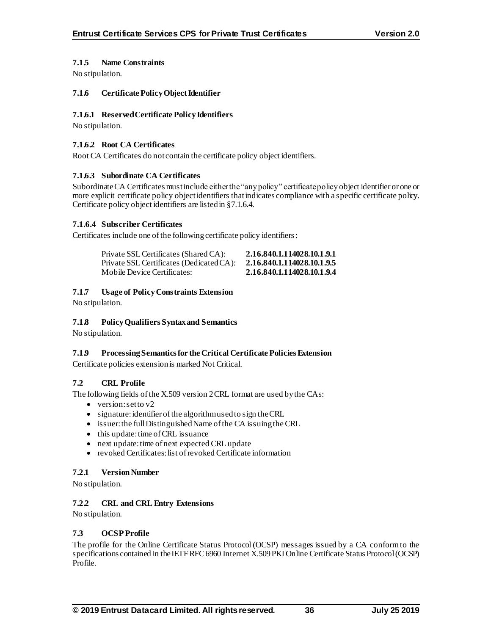## **7.1.5 Name Constraints**

No stipulation.

## **7.1.6 Certificate Policy Object Identifier**

## **7.1.6.1 Reserved Certificate Policy Identifiers**

No stipulation.

## **7.1.6.2 Root CA Certificates**

Root CA Certificates do not contain the certificate policy object identifiers.

## **7.1.6.3 Subordinate CA Certificates**

SubordinateCA Certificates must include either the "any policy" certificate policy object identifier or one or more explicit certificate policy object identifiers that indicates compliance with a specific certificate policy. Certificate policy object identifiers are listed in §7.1.6.4.

## **7.1.6.4 Subscriber Certificates**

Certificates include one of the following certificate policy identifiers:

| Private SSL Certificates (Shared CA):    | 2.16.840.1.114028.10.1.9.1 |
|------------------------------------------|----------------------------|
| Private SSL Certificates (Dedicated CA): | 2.16.840.1.114028.10.1.9.5 |
| Mobile Device Certificates:              | 2.16.840.1.114028.10.1.9.4 |

## **7.1.7 Usage of Policy Constraints Extension**

No stipulation.

## **7.1.8 Policy Qualifiers Syntax and Semantics**

No stipulation.

# **7.1.9 Processing Semantics for the Critical Certificate Policies Extension**

Certificate policies extension is marked Not Critical.

# **7.2 CRL Profile**

The following fields of the X.509 version 2 CRL format are used by the CAs:

- version: set to  $v2$
- signature: identifier of the algorithm used to sign the CRL
- issuer: the full Distinguished Name of the CA issuing the CRL
- this update: time of CRL issuance
- next update: time of next expected CRL update
- revoked Certificates: list of revoked Certificate information

## **7.2.1 Version Number**

No stipulation.

## **7.2.2 CRL and CRL Entry Extensions**

No stipulation.

## **7.3 OCSP Profile**

The profile for the Online Certificate Status Protocol (OCSP) messages issued by a CA conform to the specifications contained in the IETF RFC 6960 Internet X.509 PKI Online Certificate Status Protocol (OCSP) Profile.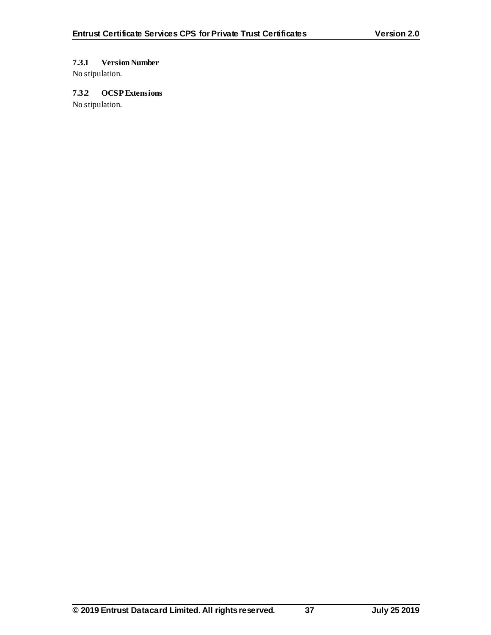# **7.3.1 Version Number**

No stipulation.

# **7.3.2 OCSP Extensions**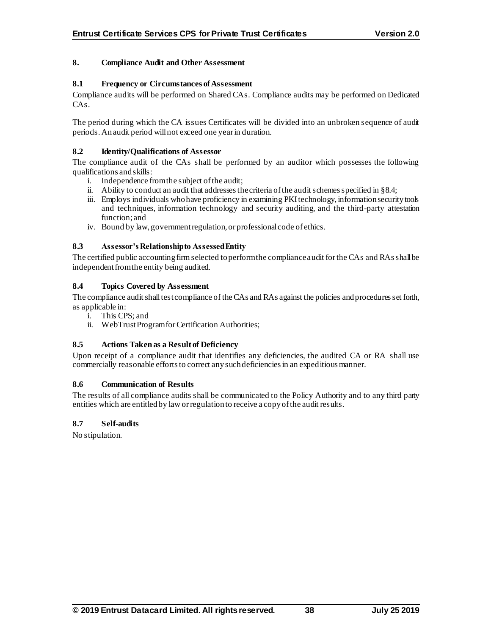## **8. Compliance Audit and Other Assessment**

## **8.1 Frequency or Circumstances of Assessment**

Compliance audits will be performed on Shared CAs. Compliance audits may be performed on Dedicated  $CAs$ 

The period during which the CA issues Certificates will be divided into an unbroken sequence of audit periods. An audit period will not exceed one year in duration.

#### **8.2 Identity/Qualifications of Assessor**

The compliance audit of the CAs shall be performed by an auditor which possesses the following qualifications and skills:

- i. Independence from the subject of the audit;
- ii. Ability to conduct an audit that addresses the criteria of the audit schemes specified in §8.4;
- iii. Employs individuals who have proficiency in examining PKI technology, information security tools and techniques, information technology and security auditing, and the third-party attestation function; and
- iv. Bound by law, government regulation, or professional code of ethics.

## **8.3 Assessor's Relationship to Assessed Entity**

The certified public accounting firm selected to perform the compliance audit for the CAs and RAsshall be independent from the entity being audited.

## **8.4 Topics Covered by Assessment**

The compliance audit shall test compliance of the CAs and RAs against the policies and procedures set forth, as applicable in:

- i. This CPS; and
- ii. WebTrust Program for Certification Authorities;

## **8.5 Actions Taken as a Result of Deficiency**

Upon receipt of a compliance audit that identifies any deficiencies, the audited CA or RA shall use commercially reasonable efforts to correct any such deficiencies in an expeditious manner.

## **8.6 Communication of Results**

The results of all compliance audits shall be communicated to the Policy Authority and to any third party entities which are entitled by law orregulation to receive a copy of the audit results.

## **8.7 Self-audits**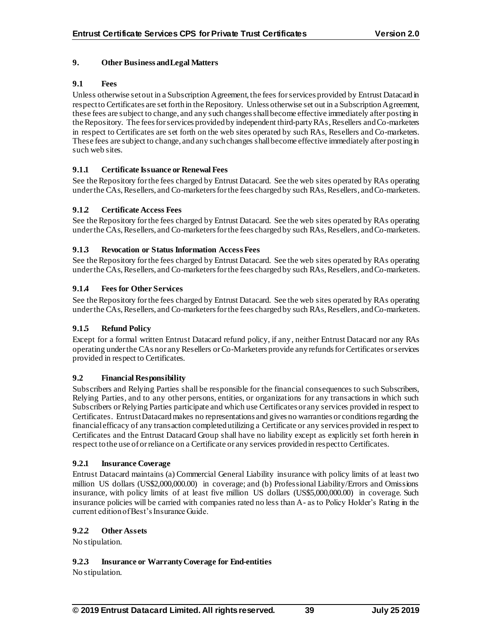# **9. Other Business and Legal Matters**

# **9.1 Fees**

Unless otherwise set out in a Subscription Agreement, the fees for services provided by Entrust Datacard in respect to Certificates are set forth in the Repository. Unless otherwise set out in a Subscription Agreement, these fees are subject to change, and any such changes shall become effective immediately after posting in the Repository. The fees for services provided by independent third-party RAs, Resellers and Co-marketers in respect to Certificates are set forth on the web sites operated by such RAs, Resellers and Co-marketers. These fees are subject to change, and any such changes shall become effective immediately after posting in such web sites.

# **9.1.1 Certificate Issuance or Renewal Fees**

See the Repository for the fees charged by Entrust Datacard. See the web sites operated by RAs operating under the CAs, Resellers, and Co-marketers for the fees charged by such RAs, Resellers, and Co-marketers.

# **9.1.2 Certificate Access Fees**

See the Repository for the fees charged by Entrust Datacard. See the web sites operated by RAs operating under the CAs, Resellers, and Co-marketers for the fees charged by such RAs, Resellers, and Co-marketers.

# **9.1.3 Revocation or Status Information Access Fees**

See the Repository for the fees charged by Entrust Datacard. See the web sites operated by RAs operating under the CAs, Resellers, and Co-marketers for the fees charged by such RAs, Resellers, and Co-marketers.

# **9.1.4 Fees for Other Services**

See the Repository for the fees charged by Entrust Datacard. See the web sites operated by RAs operating under the CAs, Resellers, and Co-marketers for the fees charged by such RAs, Resellers, and Co-marketers.

# **9.1.5 Refund Policy**

Except for a formal written Entrust Datacard refund policy, if any, neither Entrust Datacard nor any RAs operating under the CAs nor any Resellers or Co-Marketers provide any refunds for Certificates or services provided in respect to Certificates.

# **9.2 Financial Responsibility**

Subscribers and Relying Parties shall be responsible for the financial consequences to such Subscribers, Relying Parties, and to any other persons, entities, or organizations for any transactions in which such Subscribers or Relying Parties participate and which use Certificates or any services provided in respect to Certificates. Entrust Datacardmakes no representations and gives no warranties or conditions regarding the financial efficacy of any transaction completed utilizing a Certificate or any services provided in respect to Certificates and the Entrust Datacard Group shall have no liability except as explicitly set forth herein in respect to the use of or reliance on a Certificate or any services provided in respect to Certificates.

# **9.2.1 Insurance Coverage**

Entrust Datacard maintains (a) Commercial General Liability insurance with policy limits of at least two million US dollars (US\$2,000,000.00) in coverage; and (b) Professional Liability/Errors and Omissions insurance, with policy limits of at least five million US dollars (US\$5,000,000.00) in coverage. Such insurance policies will be carried with companies rated no less than A- as to Policy Holder's Rating in the current edition of Best's Insurance Guide.

# **9.2.2 Other Assets**

No stipulation.

# **9.2.3 Insurance or Warranty Coverage for End-entities**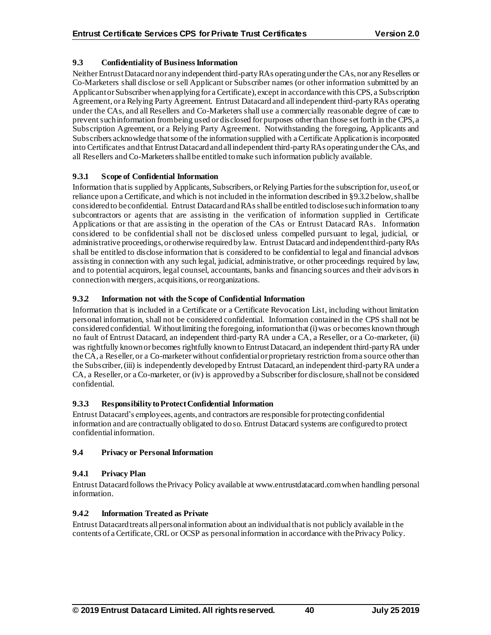# **9.3 Confidentiality of Business Information**

Neither Entrust Datacard nor any independent third-party RAs operating under the CAs, nor any Resellers or Co-Marketers shall disclose or sell Applicant or Subscriber names (or other information submitted by an Applicant or Subscriber when applying for a Certificate), except in accordance with this CPS, a Subscription Agreement, or a Relying Party Agreement. Entrust Datacard and all independent third-party RAs operating under the CAs, and all Resellers and Co-Marketers shall use a commercially reasonable degree of care to prevent such information from being used or disclosed for purposes other than those set forth in the CPS, a Subscription Agreement, or a Relying Party Agreement. Notwithstanding the foregoing, Applicants and Subscribers acknowledge that some of the information supplied with a Certificate Application is incorporated into Certificates and that Entrust Datacard and all independent third-party RAs operating under the CAs, and all Resellers and Co-Marketers shall be entitled to make such information publicly available.

# **9.3.1 Scope of Confidential Information**

Information that is supplied by Applicants, Subscribers, or Relying Parties for the subscription for, use of, or reliance upon a Certificate, and which is not included in the information described in §9.3.2below, shall be considered to be confidential. Entrust Datacard and RAsshall be entitled to disclose such information to any subcontractors or agents that are assisting in the verification of information supplied in Certificate Applications or that are assisting in the operation of the CAs or Entrust Datacard RAs. Information considered to be confidential shall not be disclosed unless compelled pursuant to legal, judicial, or administrative proceedings, or otherwise required by law. Entrust Datacard and independent third-party RAs shall be entitled to disclose information that is considered to be confidential to legal and financial advisors assisting in connection with any such legal, judicial, administrative, or other proceedings required by law, and to potential acquirors, legal counsel, accountants, banks and financing sources and their advisors in connection with mergers, acquisitions, or reorganizations.

# **9.3.2 Information not with the Scope of Confidential Information**

Information that is included in a Certificate or a Certificate Revocation List, including without limitation personal information, shall not be considered confidential. Information contained in the CPS shall not be considered confidential. Without limiting the foregoing, information that (i) was or becomes known through no fault of Entrust Datacard, an independent third-party RA under a CA, a Reseller, or a Co-marketer, (ii) was rightfully known or becomes rightfully known to EntrustDatacard, an independent third-party RA under the CA, a Reseller, or a Co-marketer without confidential or proprietary restriction from a source other than the Subscriber, (iii) is independently developed by Entrust Datacard, an independent third-party RA under a CA, a Reseller, or a Co-marketer, or (iv) is approved by a Subscriber for disclosure, shall not be considered confidential.

# **9.3.3 Responsibility to Protect Confidential Information**

Entrust Datacard's employees, agents, and contractors are responsible for protecting confidential information and are contractually obligated to do so. Entrust Datacard systems are configured to protect confidential information.

# **9.4 Privacy or Personal Information**

# **9.4.1 Privacy Plan**

Entrust Datacard follows the Privacy Policy available at www.entrustdatacard.com when handling personal information.

# **9.4.2 Information Treated as Private**

Entrust Datacard treats all personal information about an individual that is not publicly available in the contents of a Certificate, CRL or OCSP as personalinformation in accordance with the Privacy Policy.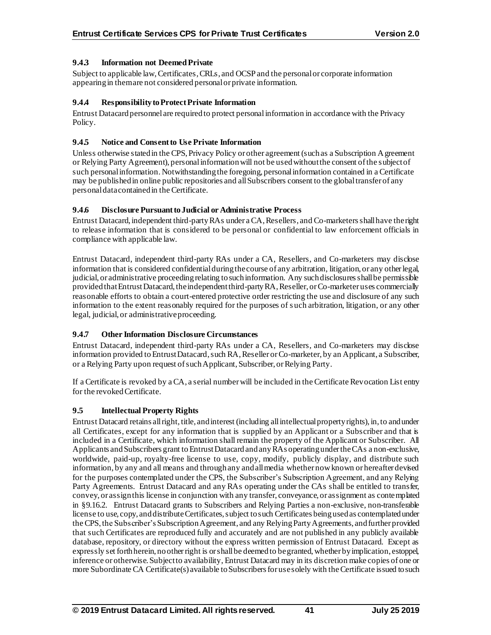# **9.4.3 Information not Deemed Private**

Subject to applicable law, Certificates, CRLs, and OCSP and the personal or corporate information appearing in them are not considered personalor private information.

## **9.4.4 Responsibility to Protect Private Information**

Entrust Datacard personnel are required to protect personalinformation in accordance with the Privacy Policy.

## **9.4.5 Notice and Consent to Use Private Information**

Unless otherwise stated in the CPS, Privacy Policy or other agreement (such as a Subscription Agreement or Relying Party Agreement), personal informationwill not be used without the consent of the subject of such personal information. Notwithstanding the foregoing, personal information contained in a Certificate may be published in online public repositories and all Subscribers consent to the global transfer of any personal data contained in the Certificate.

## **9.4.6 Disclosure Pursuant to Judicial or Administrative Process**

Entrust Datacard, independent third-party RAs under a CA, Resellers, and Co-marketersshall have the right to release information that is considered to be personal or confidential to law enforcement officials in compliance with applicable law.

Entrust Datacard, independent third-party RAs under a CA, Resellers, and Co-marketers may disclose information that is considered confidential during the course of any arbitration, litigation, or any other legal, judicial, or administrative proceeding relating to such information. Any such disclosures shall be permissible provided that EntrustDatacard, the independent third-party RA, Reseller, or Co-marketer uses commercially reasonable efforts to obtain a court-entered protective order restricting the use and disclosure of any such information to the extent reasonably required for the purposes of s uch arbitration, litigation, or any other legal, judicial, or administrative proceeding.

# **9.4.7 Other Information Disclosure Circumstances**

Entrust Datacard, independent third-party RAs under a CA, Resellers, and Co-marketers may disclose information provided to Entrust Datacard, such RA, Reseller or Co-marketer, by an Applicant, a Subscriber, or a Relying Party upon request of such Applicant, Subscriber, or Relying Party.

If a Certificate is revoked by a CA, a serial number will be included in the Certificate Revocation List entry for the revoked Certificate.

# **9.5 Intellectual Property Rights**

Entrust Datacard retains all right, title, and interest (including all intellectual property rights), in, to and under all Certificates, except for any information that is supplied by an Applicant or a Subscriber and that is included in a Certificate, which information shall remain the property of the Applicant or Subscriber. All Applicants and Subscribers grant to Entrust Datacard and any RAs operating under the CAs a non-exclusive, worldwide, paid-up, royalty-free license to use, copy, modify, publicly display, and distribute such information, by any and all means and through any and all media whether now known or hereafter devised for the purposes contemplated under the CPS, the Subscriber's Subscription Agreement, and any Relying Party Agreements. Entrust Datacard and any RAs operating under the CAs shall be entitled to transfer, convey, or assign this license in conjunction with any transfer, conveyance, or assignment as contemplated in §9.16.2. Entrust Datacard grants to Subscribers and Relying Parties a non-exclusive, non-transferable license to use, copy, and distribute Certificates, subject to such Certificates being used as contemplated under the CPS, the Subscriber's Subscription Agreement, and any Relying Party Agreements, and further provided that such Certificates are reproduced fully and accurately and are not published in any publicly available database, repository, or directory without the express written permission of Entrust Datacard. Except as expressly set forth herein, no otherright is or shall be deemed to be granted, whether by implication, estoppel, inference or otherwise. Subject to availability, Entrust Datacard may in its discretion make copies of one or more Subordinate CA Certificate(s) available to Subscribers for use solely with the Certificate issued to such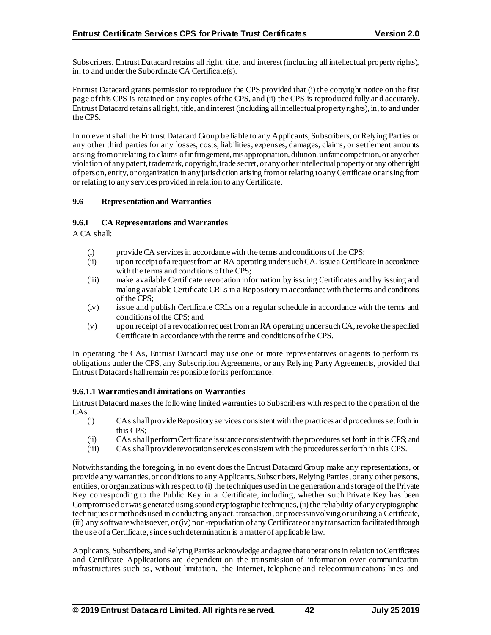Subscribers. Entrust Datacard retains all right, title, and interest (including all intellectual property rights), in, to and under the Subordinate CA Certificate(s).

Entrust Datacard grants permission to reproduce the CPS provided that (i) the copyright notice on the first page of this CPS is retained on any copies of the CPS, and (ii) the CPS is reproduced fully and accurately. Entrust Datacard retains all right, title, and interest (including all intellectual property rights), in, to and under the CPS.

In no event shall the Entrust Datacard Group be liable to any Applicants, Subscribers, or Relying Parties or any other third parties for any losses, costs, liabilities, expenses, damages, claims, or settlement amounts arising from or relating to claims of infringement, misappropriation, dilution, unfair competition, or any other violation of any patent, trademark, copyright, trade secret, or any other intellectual property or any other right of person, entity, or organization in any jurisdiction arising from or relating to any Certificate or arising from or relating to any services provided in relation to any Certificate.

#### **9.6 Representation and Warranties**

#### **9.6.1 CA Representations and Warranties**

A CA shall:

- (i) provide CA services in accordance with the terms and conditions of the CPS;
- (ii) upon receipt of a request from an RA operating under such CA, issue a Certificate in accordance with the terms and conditions of the CPS;
- (iii) make available Certificate revocation information by issuing Certificates and by issuing and making available Certificate CRLs in a Repository in accordance with the terms and conditions of the CPS;
- (iv) issue and publish Certificate CRLs on a regular schedule in accordance with the terms and conditions of the CPS; and
- (v) upon receipt of a revocation request from an RA operating under such CA, revoke the specified Certificate in accordance with the terms and conditions of the CPS.

In operating the CAs, Entrust Datacard may use one or more representatives or agents to perform its obligations under the CPS, any Subscription Agreements, or any Relying Party Agreements, provided that Entrust Datacard shall remain responsible for its performance.

#### **9.6.1.1 Warranties and Limitations on Warranties**

Entrust Datacard makes the following limited warranties to Subscribers with respect to the operation of the CAs:

- (i) CAs shall provide Repository services consistent with the practices and procedures set forth in this CPS;
- (ii) CAs shall perform Certificate issuance consistent with the procedures set forth in this CPS; and
- (iii) CAs shall provide revocation services consistent with the procedures set forth in this CPS.

Notwithstanding the foregoing, in no event does the Entrust Datacard Group make any representations, or provide any warranties, or conditions to any Applicants, Subscribers, Relying Parties, or any other persons, entities, or organizations with respect to (i) the techniques used in the generation and storage of the Private Key corresponding to the Public Key in a Certificate, including, whether such Private Key has been Compromised or was generated using sound cryptographic techniques, (ii) the reliability of any cryptographic techniques or methods used in conducting any act, transaction, or process involving or utilizing a Certificate, (iii) any software whatsoever, or (iv) non-repudiation of any Certificateor any transaction facilitated through the use of a Certificate, since such determination is a matter of applicable law.

Applicants, Subscribers, and Relying Parties acknowledge and agree that operations in relation to Certificates and Certificate Applications are dependent on the transmission of information over communication infrastructures such as, without limitation, the Internet, telephone and telecommunications lines and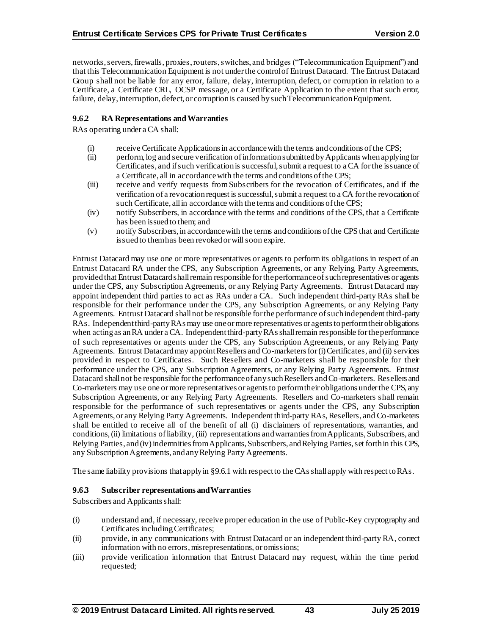networks, servers, firewalls, proxies, routers, switches, and bridges ("Telecommunication Equipment") and that this Telecommunication Equipment is not under the control of Entrust Datacard. The Entrust Datacard Group shall not be liable for any error, failure, delay, interruption, defect, or corruption in relation to a Certificate, a Certificate CRL, OCSP message, or a Certificate Application to the extent that such error, failure, delay, interruption, defect, or corruption is caused by such Telecommunication Equipment.

#### **9.6.2 RA Representations and Warranties**

RAs operating under a CA shall:

- (i) receive Certificate Applications in accordance with the terms and conditions of the CPS;
- (ii) perform, log and secure verification of information submitted by Applicants when applying for Certificates, and if such verification is successful, submit a request to a CA for the issuance of a Certificate, all in accordance with the terms and conditions of the CPS;
- (iii) receive and verify requests from Subscribers for the revocation of Certificates, and if the verification of a revocation request is successful, submit a request to a CA for the revocation of such Certificate, all in accordance with the terms and conditions of the CPS;
- (iv) notify Subscribers, in accordance with the terms and conditions of the CPS, that a Certificate has been issued to them; and
- (v) notify Subscribers, in accordance with the terms and conditions of the CPS that and Certificate issued to them has been revoked or will soon expire.

Entrust Datacard may use one or more representatives or agents to perform its obligations in respect of an Entrust Datacard RA under the CPS, any Subscription Agreements, or any Relying Party Agreements, provided that Entrust Datacard shall remain responsible for the performance of such representatives or agents under the CPS, any Subscription Agreements, or any Relying Party Agreements. Entrust Datacard may appoint independent third parties to act as RAs under a CA. Such independent third-party RAs shall be responsible for their performance under the CPS, any Subscription Agreements, or any Relying Party Agreements. Entrust Datacard shall not be responsible for the performance of such independent third-party RAs. Independent third-party RAs may use one or more representatives or agents to perform their obligations when acting as an RA under a CA. Independent third-party RAs shall remain responsible for the performance of such representatives or agents under the CPS, any Subscription Agreements, or any Relying Party Agreements. Entrust Datacardmay appoint Resellers and Co-marketers for (i) Certificates, and (ii) services provided in respect to Certificates. Such Resellers and Co-marketers shall be responsible for their performance under the CPS, any Subscription Agreements, or any Relying Party Agreements. Entrust Datacard shall not be responsible for the performance of any such Resellers and Co-marketers. Resellers and Co-marketers may use one or more representatives or agents to perform their obligations under the CPS, any Subscription Agreements, or any Relying Party Agreements. Resellers and Co-marketers shall remain responsible for the performance of such representatives or agents under the CPS, any Subscription Agreements, or any Relying Party Agreements. Independent third-party RAs, Resellers, and Co-marketers shall be entitled to receive all of the benefit of all (i) disclaimers of representations, warranties, and conditions, (ii) limitations of liability, (iii) representations and warranties from Applicants, Subscribers, and Relying Parties, and (iv) indemnities from Applicants, Subscribers, and Relying Parties, set forth in this CPS, any Subscription Agreements, and any Relying Party Agreements.

The same liability provisions that apply in §9.6.1 with respect to the CAsshall apply with respect to RAs.

## **9.6.3 Subscriber representations and Warranties**

Subscribers and Applicants shall:

- (i) understand and, if necessary, receive proper education in the use of Public-Key cryptography and Certificates including Certificates;
- (ii) provide, in any communications with Entrust Datacard or an independent third-party RA, correct information with no errors, misrepresentations, or omissions;
- (iii) provide verification information that Entrust Datacard may request, within the time period requested;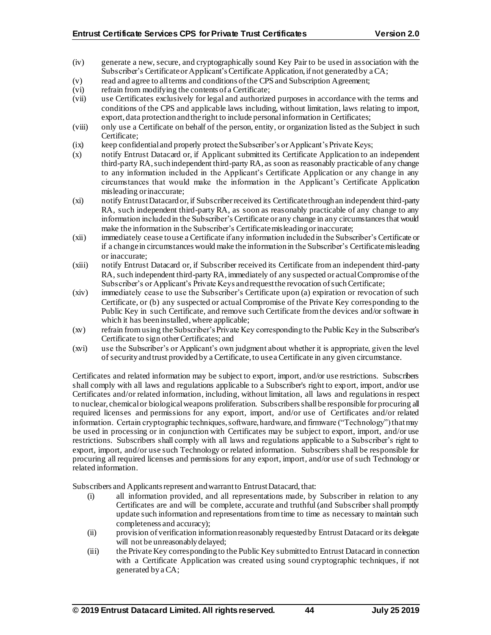- (iv) generate a new, secure, and cryptographically sound Key Pair to be used in association with the Subscriber's Certificateor Applicant's Certificate Application, if not generated by a CA;
- (v) read and agree to all terms and conditions of the CPS and Subscription Agreement;
- (vi) refrain from modifying the contents of a Certificate;
- (vii) use Certificates exclusively for legal and authorized purposes in accordance with the terms and conditions of the CPS and applicable laws including, without limitation, laws relating to import, export, data protection and the right to include personal information in Certificates;
- (viii) only use a Certificate on behalf of the person, entity, or organization listed as the Subject in such Certificate;
- (ix) keep confidential and properly protect the Subscriber's or Applicant's Private Keys;
- (x) notify Entrust Datacard or, if Applicant submitted its Certificate Application to an independent third-party RA, such independent third-party RA, as soon as reasonably practicable of any change to any information included in the Applicant's Certificate Application or any change in any circumstances that would make the information in the Applicant's Certificate Application misleading or inaccurate;
- (xi) notify Entrust Datacard or, if Subscriber received its Certificatethrough an independent third-party RA, such independent third-party RA, as soon as reasonably practicable of any change to any information included in the Subscriber's Certificate or any change in any circumstances that would make the information in the Subscriber's Certificatemisleading or inaccurate;
- (xii) immediately cease to use a Certificate if any information included in the Subscriber's Certificate or if a change in circumstances would make the information in the Subscriber's Certificatemisleading or inaccurate;
- (xiii) notify Entrust Datacard or, if Subscriber received its Certificate from an independent third-party RA, such independent third-party RA, immediately of any suspected or actual Compromise of the Subscriber's or Applicant's Private Keys and request the revocation of such Certificate;
- (xiv) immediately cease to use the Subscriber's Certificate upon (a) expiration or revocation of such Certificate, or (b) any suspected or actual Compromise of the Private Key corresponding to the Public Key in such Certificate, and remove such Certificate from the devices and/or software in which it has been installed, where applicable;
- (xv) refrain from using the Subscriber's Private Key corresponding to the Public Key in the Subscriber's Certificate to sign other Certificates; and
- (xvi) use the Subscriber's or Applicant's own judgment about whether it is appropriate, given the level of security and trust provided by a Certificate, to use a Certificate in any given circumstance.

Certificates and related information may be subject to export, import, and/or use restrictions. Subscribers shall comply with all laws and regulations applicable to a Subscriber's right to export, import, and/or use Certificates and/or related information, including, without limitation, all laws and regulationsin respect to nuclear, chemical or biological weapons proliferation. Subscribers shall be responsible for procuring all required licenses and permissions for any export, import, and/or use of Certificates and/or related information. Certain cryptographic techniques, software, hardware, and firmware ("Technology") that may be used in processing or in conjunction with Certificates may be subject to export, import, and/or use restrictions. Subscribers shall comply with all laws and regulations applicable to a Subscriber's right to export, import, and/or use such Technology or related information. Subscribers shall be responsible for procuring all required licenses and permissions for any export, import, and/or use of such Technology or related information.

Subscribers and Applicants represent and warrant to Entrust Datacard, that:

- (i) all information provided, and all representations made, by Subscriber in relation to any Certificates are and will be complete, accurate and truthful (and Subscriber shall promptly update such information and representations from time to time as necessary to maintain such completeness and accuracy);
- (ii) provision of verification information reasonably requested by Entrust Datacard or its delegate will not be unreasonably delayed;
- (iii) the Private Key corresponding to the Public Key submitted to Entrust Datacard in connection with a Certificate Application was created using sound cryptographic techniques, if not generated by a CA;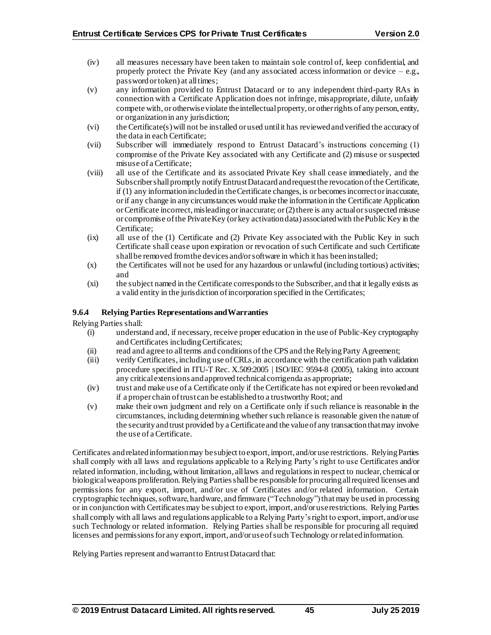- (iv) all measures necessary have been taken to maintain sole control of, keep confidential, and properly protect the Private Key (and any associated access information or device  $-e.g.,$ password or token) at all times;
- (v) any information provided to Entrust Datacard or to any independent third-party RAs in connection with a Certificate Application does not infringe, misappropriate, dilute, unfairly compete with, or otherwise violate the intellectual property, or other rights of any person, entity, or organization in any jurisdiction;
- (vi) the Certificate(s) will not be installed or used until it has reviewed and verified the accuracy of the data in each Certificate;
- (vii) Subscriber will immediately respond to Entrust Datacard's instructions concerning (1) compromise of the Private Key associated with any Certificate and (2) misuse or suspected misuse of a Certificate;
- (viii) all use of the Certificate and its associated Private Key shall cease immediately, and the Subscriber shall promptly notify Entrust Datacard and request the revocation of the Certificate, if (1) any information included in the Certificate changes, is or becomes incorrect or inaccurate, or if any change in any circumstances would make the information in the Certificate Application or Certificate incorrect, misleading or inaccurate; or (2) there is any actual or suspected misuse or compromise of the Private Key (or key activation data) associated with the Public Key in the Certificate;
- (ix) all use of the (1) Certificate and (2) Private Key associated with the Public Key in such Certificate shall cease upon expiration or revocation of such Certificate and such Certificate shall be removed from the devices and/or software in which it has been installed;
- (x) the Certificates will not be used for any hazardous or unlawful (including tortious) activities; and
- (xi) the subject named in the Certificate corresponds to the Subscriber, and that it legally exists as a valid entity in the jurisdiction of incorporation specified in the Certificates;

#### **9.6.4 Relying Parties Representations and Warranties**

Relying Parties shall:

- (i) understand and, if necessary, receive proper education in the use of Public-Key cryptography and Certificates including Certificates;
- (ii) read and agree to all terms and conditions of the CPS and the Relying Party Agreement;
- (iii) verify Certificates, including use of CRLs, in accordance with the certification path validation procedure specified in ITU-T Rec. X.509:2005 | ISO/IEC 9594-8 (2005), taking into account any critical extensions and approved technical corrigenda as appropriate;
- (iv) trust and make use of a Certificate only if the Certificate has not expired or been revoked and if a proper chain of trust can be established to a trustworthy Root; and
- (v) make their own judgment and rely on a Certificate only if such reliance is reasonable in the circumstances, including determining whether such reliance is reasonable given the nature of the security and trust provided by a Certificateand the value of any transaction that may involve the use of a Certificate.

Certificates and related information may be subject to export, import, and/or use restrictions. Relying Parties shall comply with all laws and regulations applicable to a Relying Party's right to use Certificates and/or related information, including, without limitation, all laws and regulationsin respect to nuclear, chemical or biological weapons proliferation.Relying Parties shall be responsible for procuring all required licenses and permissions for any export, import, and/or use of Certificates and/or related information. Certain cryptographic techniques, software, hardware, and firmware ("Technology") that may be used in processing or in conjunction with Certificates may be subject to export, import, and/or use restrictions. Relying Parties shall comply with all laws and regulations applicable to a Relying Party's right to export, import, and/or use such Technology or related information. Relying Parties shall be responsible for procuring all required licenses and permissions for any export, import, and/or use of such Technology or related information.

Relying Parties represent and warrant to Entrust Datacard that: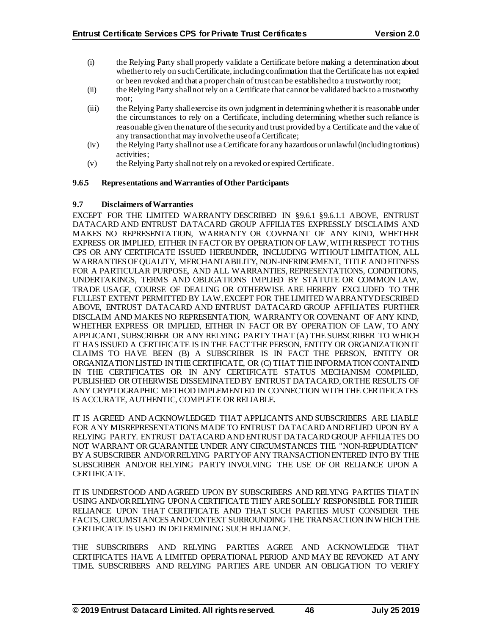- (i) the Relying Party shall properly validate a Certificate before making a determination about whether to rely on such Certificate, including confirmation that the Certificate has not expired or been revoked and that a proper chain of trust can be established to a trustworthy root;
- (ii) the Relying Party shall not rely on a Certificate that cannot be validated back to a trustworthy root;
- (iii) the Relying Party shall exercise its own judgment in determining whether it is reasonable under the circumstances to rely on a Certificate, including determining whether such reliance is reasonable given the nature of the security and trust provided by a Certificate and the value of any transaction that may involve the use of a Certificate;
- (iv) the Relying Party shall not use a Certificate for any hazardous or unlawful (including tortious) activities;
- (v) the Relying Party shall not rely on a revoked or expired Certificate.

#### **9.6.5 Representations and Warranties of Other Participants**

#### **9.7 Disclaimers of Warranties**

EXCEPT FOR THE LIMITED WARRANTY DESCRIBED IN §9.6.1 §9.6.1.1 ABOVE, ENTRUST DATACARD AND ENTRUST DATACARD GROUP AFFILIATES EXPRESSLY DISCLAIMS AND MAKES NO REPRESENTATION, WARRANTY OR COVENANT OF ANY KIND, WHETHER EXPRESS OR IMPLIED, EITHER IN FACT OR BY OPERATION OF LAW, WITH RESPECT TO THIS CPS OR ANY CERTIFICATE ISSUED HEREUNDER, INCLUDING WITHOUT LIMITATION, ALL WARRANTIES OF QUALITY, MERCHANTABILITY, NON-INFRINGEMENT, TITLE AND FITNESS FOR A PARTICULAR PURPOSE, AND ALL WARRANTIES, REPRESENTATIONS, CONDITIONS, UNDERTAKINGS, TERMS AND OBLIGATIONS IMPLIED BY STATUTE OR COMMON LAW, TRADE USAGE, COURSE OF DEALING OR OTHERWISE ARE HEREBY EXCLUDED TO THE FULLEST EXTENT PERMITTED BY LAW. EXCEPT FOR THE LIMITED WARRANTY DESCRIBED ABOVE, ENTRUST DATACARD AND ENTRUST DATACARD GROUP AFFILIATES FURTHER DISCLAIM AND MAKES NO REPRESENTATION, WARRANTY OR COVENANT OF ANY KIND, WHETHER EXPRESS OR IMPLIED, EITHER IN FACT OR BY OPERATION OF LAW, TO ANY APPLICANT, SUBSCRIBER OR ANY RELYING PARTY THAT (A) THE SUBSCRIBER TO WHICH IT HAS ISSUED A CERTIFICATE IS IN THE FACT THE PERSON, ENTITY OR ORGANIZATION IT CLAIMS TO HAVE BEEN (B) A SUBSCRIBER IS IN FACT THE PERSON, ENTITY OR ORGANIZATION LISTED IN THE CERTIFICATE, OR (C) THAT THE INFORMATION CONTAINED IN THE CERTIFICATES OR IN ANY CERTIFICATE STATUS MECHANISM COMPILED, PUBLISHED OR OTHERWISE DISSEMINATED BY ENTRUST DATACARD, OR THE RESULTS OF ANY CRYPTOGRAPHIC METHOD IMPLEMENTED IN CONNECTION WITH THE CERTIFICATES IS ACCURATE, AUTHENTIC, COMPLETE OR RELIABLE.

IT IS AGREED AND ACKNOWLEDGED THAT APPLICANTS AND SUBSCRIBERS ARE LIABLE FOR ANY MISREPRESENTATIONS MADE TO ENTRUST DATACARD AND RELIED UPON BY A RELYING PARTY. ENTRUST DATACARD AND ENTRUST DATACARD GROUP AFFILIATES DO NOT WARRANT OR GUARANTEE UNDER ANY CIRCUMSTANCES THE "NON-REPUDIATION" BY A SUBSCRIBER AND/OR RELYING PARTY OF ANY TRANSACTION ENTERED INTO BY THE SUBSCRIBER AND/OR RELYING PARTY INVOLVING THE USE OF OR RELIANCE UPON A CERTIFICATE.

IT IS UNDERSTOOD AND AGREED UPON BY SUBSCRIBERS AND RELYING PARTIES THAT IN USING AND/OR RELYING UPON A CERTIFICATE THEY ARE SOLELY RESPONSIBLE FOR THEIR RELIANCE UPON THAT CERTIFICATE AND THAT SUCH PARTIES MUST CONSIDER THE FACTS, CIRCUMSTANCES AND CONTEXT SURROUNDING THE TRANSACTION IN WHICH THE CERTIFICATE IS USED IN DETERMINING SUCH RELIANCE.

THE SUBSCRIBERS AND RELYING PARTIES AGREE AND ACKNOWLEDGE THAT CERTIFICATES HAVE A LIMITED OPERATIONAL PERIOD AND MAY BE REVOKED AT ANY TIME. SUBSCRIBERS AND RELYING PARTIES ARE UNDER AN OBLIGATION TO VERIFY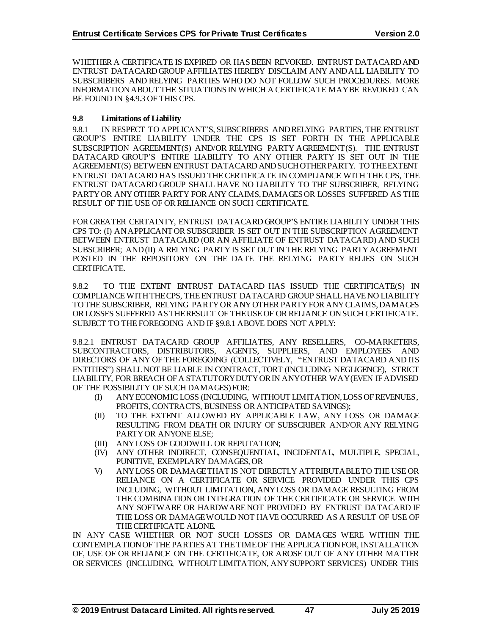WHETHER A CERTIFICATE IS EXPIRED OR HAS BEEN REVOKED. ENTRUST DATACARD AND ENTRUST DATACARD GROUP AFFILIATES HEREBY DISCLAIM ANY AND ALL LIABILITY TO SUBSCRIBERS AND RELYING PARTIES WHO DO NOT FOLLOW SUCH PROCEDURES. MORE INFORMATION ABOUT THE SITUATIONS IN WHICH A CERTIFICATE MAY BE REVOKED CAN BE FOUND IN §4.9.3 OF THIS CPS.

## **9.8 Limitations of Liability**

9.8.1 IN RESPECT TO APPLICANT'S, SUBSCRIBERS AND RELYING PARTIES, THE ENTRUST GROUP'S ENTIRE LIABILITY UNDER THE CPS IS SET FORTH IN THE APPLICABLE SUBSCRIPTION AGREEMENT(S) AND/OR RELYING PARTY AGREEMENT(S). THE ENTRUST DATACARD GROUP'S ENTIRE LIABILITY TO ANY OTHER PARTY IS SET OUT IN THE AGREEMENT(S) BETWEEN ENTRUST DATACARD AND SUCH OTHER PARTY. TO THE EXTENT ENTRUST DATACARD HAS ISSUED THE CERTIFICATE IN COMPLIANCE WITH THE CPS, THE ENTRUST DATACARD GROUP SHALL HAVE NO LIABILITY TO THE SUBSCRIBER, RELYING PARTY OR ANY OTHER PARTY FOR ANY CLAIMS, DAMAGES OR LOSSES SUFFERED AS THE RESULT OF THE USE OF OR RELIANCE ON SUCH CERTIFICATE.

FOR GREATER CERTAINTY, ENTRUST DATACARD GROUP'S ENTIRE LIABILITY UNDER THIS CPS TO: (I) AN APPLICANT OR SUBSCRIBER IS SET OUT IN THE SUBSCRIPTION AGREEMENT BETWEEN ENTRUST DATACARD (OR AN AFFILIATE OF ENTRUST DATACARD) AND SUCH SUBSCRIBER; AND (II) A RELYING PARTY IS SET OUT IN THE RELYING PARTY AGREEMENT POSTED IN THE REPOSITORY ON THE DATE THE RELYING PARTY RELIES ON SUCH CERTIFICATE.

9.8.2 TO THE EXTENT ENTRUST DATACARD HAS ISSUED THE CERTIFICATE(S) IN COMPLIANCE WITH THE CPS, THE ENTRUST DATACARD GROUP SHALL HAVE NO LIABILITY TO THE SUBSCRIBER, RELYING PARTY OR ANY OTHER PARTY FOR ANY CLAIMS, DAMAGES OR LOSSES SUFFERED AS THE RESULT OF THE USE OF OR RELIANCE ON SUCH CERTIFICATE. SUBJECT TO THE FOREGOING AND IF §9.8.1 ABOVE DOES NOT APPLY:

9.8.2.1 ENTRUST DATACARD GROUP AFFILIATES, ANY RESELLERS, CO-MARKETERS, SUBCONTRACTORS, DISTRIBUTORS, AGENTS, SUPPLIERS, AND EMPLOYEES AND DIRECTORS OF ANY OF THE FOREGOING (COLLECTIVELY, "ENTRUST DATACARD AND ITS ENTITIES") SHALL NOT BE LIABLE IN CONTRACT, TORT (INCLUDING NEGLIGENCE), STRICT LIABILITY, FOR BREACH OF A STATUTORY DUTY OR IN ANY OTHER WAY (EVEN IF ADVISED OF THE POSSIBILITY OF SUCH DAMAGES) FOR:

- (I) ANY ECONOMIC LOSS (INCLUDING, WITHOUT LIMITATION, LOSS OF REVENUES, PROFITS, CONTRACTS, BUSINESS OR ANTICIPATED SAVINGS);
- (II) TO THE EXTENT ALLOWED BY APPLICABLE LAW, ANY LOSS OR DAMAGE RESULTING FROM DEATH OR INJURY OF SUBSCRIBER AND/OR ANY RELYING PARTY OR ANYONE ELSE;
- (III) ANY LOSS OF GOODWILL OR REPUTATION;
- (IV) ANY OTHER INDIRECT, CONSEQUENTIAL, INCIDENTAL, MULTIPLE, SPECIAL, PUNITIVE, EXEMPLARY DAMAGES, OR
- V) ANY LOSS OR DAMAGE THAT IS NOT DIRECTLY ATTRIBUTABLE TO THE USE OR RELIANCE ON A CERTIFICATE OR SERVICE PROVIDED UNDER THIS CPS INCLUDING, WITHOUT LIMITATION, ANY LOSS OR DAMAGE RESULTING FROM THE COMBINATION OR INTEGRATION OF THE CERTIFICATE OR SERVICE WITH ANY SOFTWARE OR HARDWARE NOT PROVIDED BY ENTRUST DATACARD IF THE LOSS OR DAMAGE WOULD NOT HAVE OCCURRED AS A RESULT OF USE OF THE CERTIFICATE ALONE.

IN ANY CASE WHETHER OR NOT SUCH LOSSES OR DAMAGES WERE WITHIN THE CONTEMPLATION OF THE PARTIES AT THE TIME OF THE APPLICATION FOR, INSTALLATION OF, USE OF OR RELIANCE ON THE CERTIFICATE, OR AROSE OUT OF ANY OTHER MATTER OR SERVICES (INCLUDING, WITHOUT LIMITATION, ANY SUPPORT SERVICES) UNDER THIS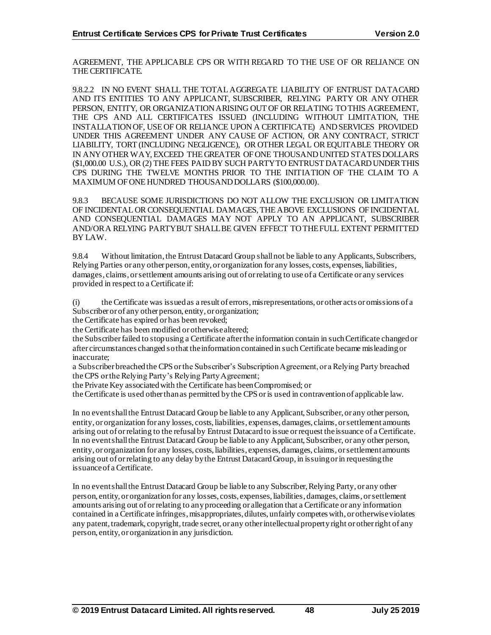AGREEMENT, THE APPLICABLE CPS OR WITH REGARD TO THE USE OF OR RELIANCE ON THE CERTIFICATE.

9.8.2.2 IN NO EVENT SHALL THE TOTAL AGGREGATE LIABILITY OF ENTRUST DATACARD AND ITS ENTITIES TO ANY APPLICANT, SUBSCRIBER, RELYING PARTY OR ANY OTHER PERSON, ENTITY, OR ORGANIZATION ARISING OUT OF OR RELATING TO THIS AGREEMENT, THE CPS AND ALL CERTIFICATES ISSUED (INCLUDING WITHOUT LIMITATION, THE INSTALLATION OF, USE OF OR RELIANCE UPON A CERTIFICATE) AND SERVICES PROVIDED UNDER THIS AGREEMENT UNDER ANY CAUSE OF ACTION, OR ANY CONTRACT, STRICT LIABILITY, TORT (INCLUDING NEGLIGENCE), OR OTHER LEGAL OR EQUITABLE THEORY OR IN ANY OTHER WAY, EXCEED THE GREATER OF ONE THOUSAND UNITED STATES DOLLARS (\$1,000.00 U.S.), OR (2) THE FEES PAID BY SUCH PARTY TO ENTRUST DATACARD UNDERTHIS CPS DURING THE TWELVE MONTHS PRIOR TO THE INITIATION OF THE CLAIM TO A MAXIMUM OF ONE HUNDRED THOUSAND DOLLARS (\$100,000.00).

9.8.3 BECAUSE SOME JURISDICTIONS DO NOT ALLOW THE EXCLUSION OR LIMITATION OF INCIDENTAL OR CONSEQUENTIAL DAMAGES, THE ABOVE EXCLUSIONS OF INCIDENTAL AND CONSEQUENTIAL DAMAGES MAY NOT APPLY TO AN APPLICANT, SUBSCRIBER AND/OR A RELYING PARTY BUT SHALL BE GIVEN EFFECT TO THE FULL EXTENT PERMITTED BY LAW.

9.8.4 Without limitation, the Entrust Datacard Group shall not be liable to any Applicants, Subscribers, Relying Parties or any other person, entity, or organization for any losses, costs, expenses, liabilities, damages, claims, or settlement amounts arising out of or relating to use of a Certificate or any services provided in respect to a Certificate if:

(i) the Certificate was issued as a result of errors, misrepresentations, or other acts or omissions of a Subscriber or of any other person, entity, or organization;

the Certificate has expired or has been revoked;

the Certificate has been modified or otherwise altered;

the Subscriber failed to stop using a Certificate after the information contain in such Certificate changed or after circumstances changed so that the information contained in such Certificate became misleading or inaccurate;

a Subscriber breached the CPS or the Subscriber's Subscription Agreement, or a Relying Party breached the CPS or the Relying Party's Relying Party Agreement;

the Private Key associated with the Certificate has been Compromised; or

the Certificate is used other than as permitted by the CPS or is used in contravention of applicable law.

In no event shall the Entrust Datacard Group be liable to any Applicant, Subscriber, or any other person, entity, or organization for any losses, costs, liabilities, expenses, damages, claims, or settlement amounts arising out of or relating to the refusal by Entrust Datacard to issue or request the issuance of a Certificate. In no event shall the Entrust Datacard Group be liable to any Applicant, Subscriber, or any other person, entity, or organization for any losses, costs, liabilities, expenses, damages, claims, or settlement amounts arising out of or relating to any delay by the Entrust DatacardGroup, in issuing or in requesting the issuance of a Certificate.

In no event shall the Entrust Datacard Group be liable to any Subscriber, Relying Party, or any other person, entity, or organization for any losses, costs, expenses, liabilities, damages, claims, or settlement amounts arising out of or relating to any proceeding or allegation that a Certificate or any information contained in a Certificate infringes, misappropriates, dilutes, unfairly competes with, or otherwise violates any patent, trademark, copyright, trade secret, or any other intellectual property right or other right of any person, entity, or organization in any jurisdiction.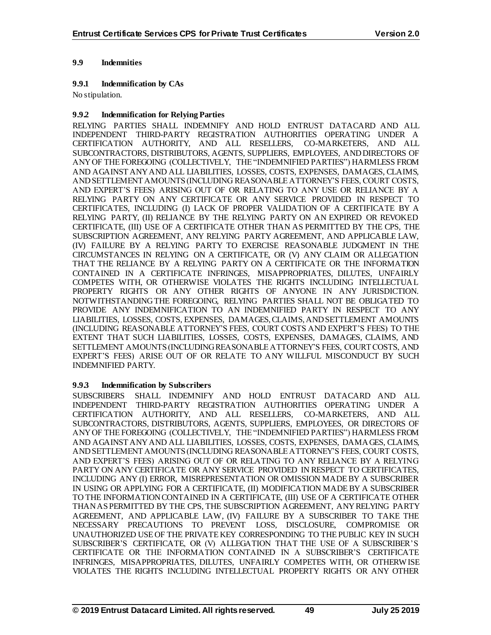## **9.9 Indemnities**

#### **9.9.1 Indemnification by CAs**

No stipulation.

#### **9.9.2 Indemnification for Relying Parties**

RELYING PARTIES SHALL INDEMNIFY AND HOLD ENTRUST DATACARD AND ALL INDEPENDENT THIRD-PARTY REGISTRATION AUTHORITIES OPERATING UNDER A CERTIFICATION AUTHORITY, AND ALL RESELLERS, CO-MARKETERS, AND ALL SUBCONTRACTORS, DISTRIBUTORS, AGENTS, SUPPLIERS, EMPLOYEES, AND DIRECTORS OF ANY OF THE FOREGOING (COLLECTIVELY, THE "INDEMNIFIED PARTIES") HARMLESS FROM AND AGAINST ANY AND ALL LIABILITIES, LOSSES, COSTS, EXPENSES, DAMAGES, CLAIMS, AND SETTLEMENT AMOUNTS (INCLUDING REASONABLE ATTORNEY'S FEES, COURT COSTS, AND EXPERT'S FEES) ARISING OUT OF OR RELATING TO ANY USE OR RELIANCE BY A RELYING PARTY ON ANY CERTIFICATE OR ANY SERVICE PROVIDED IN RESPECT TO CERTIFICATES, INCLUDING (I) LACK OF PROPER VALIDATION OF A CERTIFICATE BY A RELYING PARTY, (II) RELIANCE BY THE RELYING PARTY ON AN EXPIRED OR REVOKED CERTIFICATE, (III) USE OF A CERTIFICATE OTHER THAN AS PERMITTED BY THE CPS, THE SUBSCRIPTION AGREEMENT, ANY RELYING PARTY AGREEMENT, AND APPLICABLE LAW, (IV) FAILURE BY A RELYING PARTY TO EXERCISE REASONABLE JUDGMENT IN THE CIRCUMSTANCES IN RELYING ON A CERTIFICATE, OR (V) ANY CLAIM OR ALLEGATION THAT THE RELIANCE BY A RELYING PARTY ON A CERTIFICATE OR THE INFORMATION CONTAINED IN A CERTIFICATE INFRINGES, MISAPPROPRIATES, DILUTES, UNFAIRLY COMPETES WITH, OR OTHERWISE VIOLATES THE RIGHTS INCLUDING INTELLECTUAL PROPERTY RIGHTS OR ANY OTHER RIGHTS OF ANYONE IN ANY JURISDICTION. NOTWITHSTANDING THE FOREGOING, RELYING PARTIES SHALL NOT BE OBLIGATED TO PROVIDE ANY INDEMNIFICATION TO AN INDEMNIFIED PARTY IN RESPECT TO ANY LIABILITIES, LOSSES, COSTS, EXPENSES, DAMAGES, CLAIMS, AND SETTLEMENT AMOUNTS (INCLUDING REASONABLE ATTORNEY'S FEES, COURT COSTS AND EXPERT'S FEES) TO THE EXTENT THAT SUCH LIABILITIES, LOSSES, COSTS, EXPENSES, DAMAGES, CLAIMS, AND SETTLEMENT AMOUNTS (INCLUDING REASONABLE ATTORNEY'S FEES, COURT COSTS, AND EXPERT'S FEES) ARISE OUT OF OR RELATE TO ANY WILLFUL MISCONDUCT BY SUCH INDEMNIFIED PARTY.

## **9.9.3 Indemnification by Subscribers**

SUBSCRIBERS SHALL INDEMNIFY AND HOLD ENTRUST DATACARD AND ALL INDEPENDENT THIRD-PARTY REGISTRATION AUTHORITIES OPERATING UNDER A CERTIFICATION AUTHORITY, AND ALL RESELLERS, CO-MARKETERS, AND ALL SUBCONTRACTORS, DISTRIBUTORS, AGENTS, SUPPLIERS, EMPLOYEES, OR DIRECTORS OF ANY OF THE FOREGOING (COLLECTIVELY, THE "INDEMNIFIED PARTIES") HARMLESS FROM AND AGAINST ANY AND ALL LIABILITIES, LOSSES, COSTS, EXPENSES, DAMAGES, CLAIMS, AND SETTLEMENT AMOUNTS (INCLUDING REASONABLE ATTORNEY'S FEES, COURT COSTS, AND EXPERT'S FEES) ARISING OUT OF OR RELATING TO ANY RELIANCE BY A RELYING PARTY ON ANY CERTIFICATE OR ANY SERVICE PROVIDED IN RESPECT TO CERTIFICATES, INCLUDING ANY (I) ERROR, MISREPRESENTATION OR OMISSION MADE BY A SUBSCRIBER IN USING OR APPLYING FOR A CERTIFICATE, (II) MODIFICATION MADE BY A SUBSCRIBER TO THE INFORMATION CONTAINED IN A CERTIFICATE, (III) USE OF A CERTIFICATE OTHER THAN AS PERMITTED BY THE CPS, THE SUBSCRIPTION AGREEMENT, ANY RELYING PARTY AGREEMENT, AND APPLICABLE LAW, (IV) FAILURE BY A SUBSCRIBER TO TAKE THE NECESSARY PRECAUTIONS TO PREVENT LOSS, DISCLOSURE, COMPROMISE OR UNAUTHORIZED USE OF THE PRIVATE KEY CORRESPONDING TO THE PUBLIC KEY IN SUCH SUBSCRIBER'S CERTIFICATE, OR (V) ALLEGATION THAT THE USE OF A SUBSCRIBER'S CERTIFICATE OR THE INFORMATION CONTAINED IN A SUBSCRIBER'S CERTIFICATE INFRINGES, MISAPPROPRIATES, DILUTES, UNFAIRLY COMPETES WITH, OR OTHERWISE VIOLATES THE RIGHTS INCLUDING INTELLECTUAL PROPERTY RIGHTS OR ANY OTHER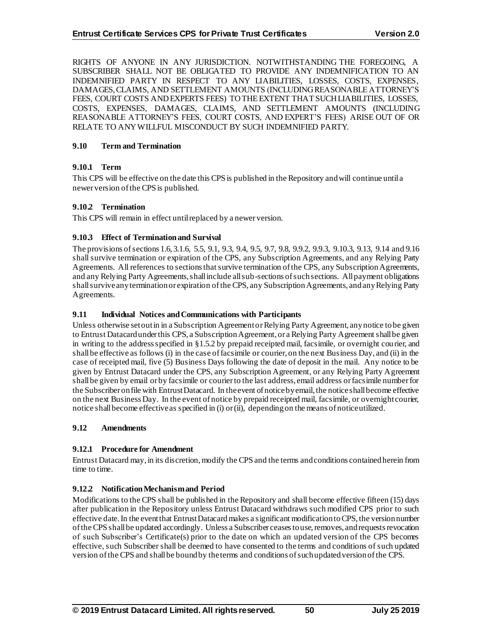RIGHTS OF ANYONE IN ANY JURISDICTION. NOTWITHSTANDING THE FOREGOING, A SUBSCRIBER SHALL NOT BE OBLIGATED TO PROVIDE ANY INDEMNIFICATION TO AN INDEMNIFIED PARTY IN RESPECT TO ANY LIABILITIES, LOSSES, COSTS, EXPENSES, DAMAGES, CLAIMS, AND SETTLEMENT AMOUNTS (INCLUDING REASONABLE ATTORNEY'S FEES, COURT COSTS AND EXPERTS FEES) TO THE EXTENT THAT SUCH LIABILITIES, LOSSES, COSTS, EXPENSES, DAMAGES, CLAIMS, AND SETTLEMENT AMOUNTS (INCLUDING REASONABLE ATTORNEY'S FEES, COURT COSTS, AND EXPERT'S FEES) ARISE OUT OF OR RELATE TO ANY WILLFUL MISCONDUCT BY SUCH INDEMNIFIED PARTY.

#### **9.10 Term and Termination**

## **9.10.1 Term**

This CPS will be effective on the date this CPS is published in the Repository and will continue until a newer version of the CPS is published.

#### **9.10.2 Termination**

This CPS will remain in effect until replaced by a newer version.

#### **9.10.3 Effect of Termination and Survival**

The provisions of sections 1.6, 3.1.6, 5.5, 9.1, 9.3, 9.4, 9.5, 9.7, 9.8, 9.9.2, 9.9.3, 9.10.3, 9.13, 9.14 and 9.16 shall survive termination or expiration of the CPS, any Subscription Agreements, and any Relying Party Agreements. All references to sections that survive termination of the CPS, any Subscription Agreements, and any Relying Party Agreements, shall include all sub-sections of such sections. All payment obligations shall survive any termination or expiration of the CPS, any Subscription Agreements, and any Relying Party Agreements.

#### **9.11 Individual Notices and Communications with Participants**

Unless otherwise set out in in a Subscription Agreement or Relying Party Agreement, any notice to be given to Entrust Datacardunder this CPS, a Subscription Agreement, or a Relying Party Agreement shall be given in writing to the address specified in §1.5.2 by prepaid receipted mail, facsimile, or overnight courier, and shall be effective as follows (i) in the case of facsimile or courier, on the next Business Day, and (ii) in the case of receipted mail, five (5) Business Days following the date of deposit in the mail. Any notice to be given by Entrust Datacard under the CPS, any Subscription Agreement, or any Relying Party Agreement shall be given by email or by facsimile or courier to the last address, email address or facsimile number for the Subscriber on file with Entrust Datacard. In the event of notice by email, the notice shall become effective on the next Business Day. In the event of notice by prepaid receipted mail, facsimile, or overnight courier, notice shall become effective as specified in (i) or (ii), depending on the means of notice utilized.

## **9.12 Amendments**

## **9.12.1 Procedure for Amendment**

Entrust Datacard may, in its discretion, modify the CPS and the terms and conditions contained herein from time to time.

## **9.12.2 Notification Mechanism and Period**

Modifications to the CPS shall be published in the Repository and shall become effective fifteen (15) days after publication in the Repository unless Entrust Datacard withdraws such modified CPS prior to such effective date. In the event that Entrust Datacardmakes a significant modification to CPS, the version number of the CPS shall be updated accordingly. Unless a Subscriber ceases to use, removes, and requests revocation of such Subscriber's Certificate(s) prior to the date on which an updated version of the CPS becomes effective, such Subscriber shall be deemed to have consented to the terms and conditions of such updated version of the CPS and shall be bound by the terms and conditions of such updated version of the CPS.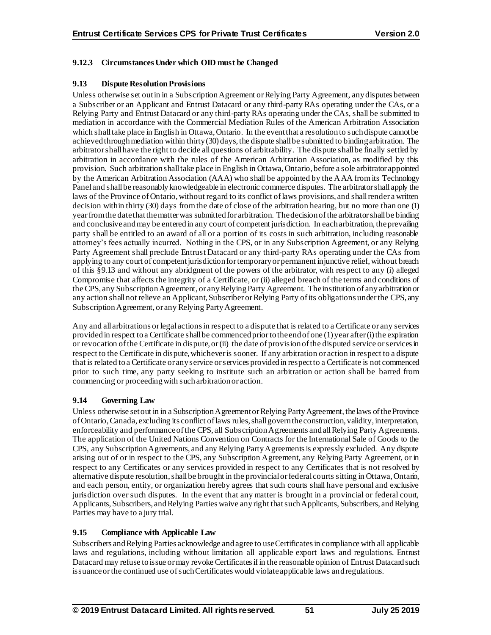## **9.12.3 Circumstances Under which OID must be Changed**

## **9.13 Dispute Resolution Provisions**

Unless otherwise set out in in a Subscription Agreement or Relying Party Agreement, any disputes between a Subscriber or an Applicant and Entrust Datacard or any third-party RAs operating under the CAs, or a Relying Party and Entrust Datacard or any third-party RAs operating under the CAs, shall be submitted to mediation in accordance with the Commercial Mediation Rules of the American Arbitration Association which shall take place in English in Ottawa, Ontario. In the event that a resolution to such dispute cannot be achieved through mediation within thirty (30) days, the dispute shall be submitted to binding arbitration. The arbitrator shall have the right to decide all questions of arbitrability. The dispute shall be finally settled by arbitration in accordance with the rules of the American Arbitration Association, as modified by this provision. Such arbitration shall take place in English in Ottawa, Ontario, before a sole arbitrator appointed by the American Arbitration Association (AAA) who shall be appointed by the AAA from its Technology Panel and shall be reasonably knowledgeable in electronic commerce disputes. The arbitrator shall apply the laws of the Province of Ontario, without regard to its conflict of laws provisions, and shall render a written decision within thirty (30) days from the date of close of the arbitration hearing, but no more than one (1) year from the date that the matter was submitted for arbitration. The decision of the arbitrator shall be binding and conclusive and may be entered in any court of competent jurisdiction. In each arbitration, the prevailing party shall be entitled to an award of all or a portion of its costs in such arbitration, including reasonable attorney's fees actually incurred. Nothing in the CPS, or in any Subscription Agreement, or any Relying Party Agreement shall preclude Entrust Datacard or any third-party RAs operating under the CAs from applying to any court of competent jurisdiction for temporary or permanent injunctive relief, without breach of this §9.13 and without any abridgment of the powers of the arbitrator, with respect to any (i) alleged Compromise that affects the integrity of a Certificate, or (ii) alleged breach of the terms and conditions of the CPS, any Subscription Agreement, or any Relying Party Agreement. The institution of any arbitration or any action shall not relieve an Applicant, Subscriber or Relying Party of its obligations under the CPS, any Subscription Agreement, or any Relying Party Agreement.

Any and all arbitrations or legal actions in respect to a dispute that is related to a Certificate or any services provided in respect to a Certificate shall be commenced prior to the end of one (1) year after (i) the expiration or revocation of the Certificate in dispute, or (ii) the date of provision of the disputed service or services in respect to the Certificate in dispute, whichever is sooner. If any arbitration or action in respect to a dispute that is related to a Certificate or any service or services provided in respect to a Certificate is not commenced prior to such time, any party seeking to institute such an arbitration or action shall be barred from commencing or proceeding with such arbitration or action.

## **9.14 Governing Law**

Unless otherwise set out in in a Subscription Agreement or Relying Party Agreement, the laws of the Province of Ontario, Canada, excluding its conflict of laws rules, shall govern the construction, validity, interpretation, enforceability and performance of the CPS, all Subscription Agreements and all Relying Party Agreements. The application of the United Nations Convention on Contracts for the International Sale of Goods to the CPS, any Subscription Agreements, and any Relying Party Agreements is expressly excluded. Any dispute arising out of or in respect to the CPS, any Subscription Agreement, any Relying Party Agreement, or in respect to any Certificates or any services provided in respect to any Certificates that is not resolved by alternative dispute resolution, shall be brought in the provincial or federal courts sitting in Ottawa, Ontario, and each person, entity, or organization hereby agrees that such courts shall have personal and exclusive jurisdiction over such disputes. In the event that any matter is brought in a provincial or federal court, Applicants, Subscribers, and Relying Parties waive any right thatsuch Applicants, Subscribers, and Relying Parties may have to a jury trial.

## **9.15 Compliance with Applicable Law**

Subscribers and Relying Parties acknowledge and agree to use Certificates in compliance with all applicable laws and regulations, including without limitation all applicable export laws and regulations. Entrust Datacard may refuse to issue or may revoke Certificates if in the reasonable opinion of Entrust Datacard such issuance or the continued use of such Certificates would violate applicable laws and regulations.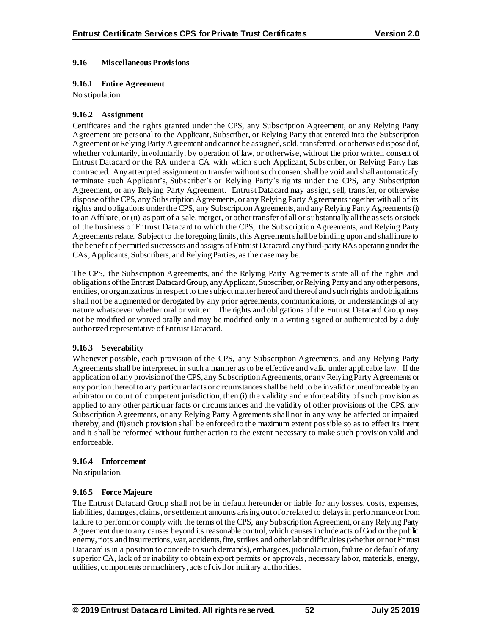## **9.16 Miscellaneous Provisions**

#### **9.16.1 Entire Agreement**

No stipulation.

#### **9.16.2 Assignment**

Certificates and the rights granted under the CPS, any Subscription Agreement, or any Relying Party Agreement are personal to the Applicant, Subscriber, or Relying Party that entered into the Subscription Agreement or Relying Party Agreement and cannot be assigned, sold, transferred, or otherwise disposed of, whether voluntarily, involuntarily, by operation of law, or otherwise, without the prior written consent of Entrust Datacard or the RA under a CA with which such Applicant, Subscriber, or Relying Party has contracted. Any attempted assignment or transfer without such consent shall be void and shall automatically terminate such Applicant's, Subscriber's or Relying Party's rights under the CPS, any Subscription Agreement, or any Relying Party Agreement. Entrust Datacard may assign, sell, transfer, or otherwise dispose of the CPS, any Subscription Agreements, or any Relying Party Agreements together with all of its rights and obligations under the CPS, any Subscription Agreements, and any Relying Party Agreements (i) to an Affiliate, or (ii) as part of a sale, merger, or other transfer of all or substantially all the assets or stock of the business of Entrust Datacard to which the CPS, the Subscription Agreements, and Relying Party Agreements relate. Subject to the foregoing limits, this Agreement shall be binding upon and shall inure to the benefit of permitted successors and assigns of Entrust Datacard, any third-party RAs operating under the CAs, Applicants, Subscribers, and Relying Parties, as the case may be.

The CPS, the Subscription Agreements, and the Relying Party Agreements state all of the rights and obligations of the Entrust DatacardGroup, any Applicant, Subscriber, or Relying Party and any other persons, entities, or organizations in respect to the subject matter hereof and thereof and such rights and obligations shall not be augmented or derogated by any prior agreements, communications, or understandings of any nature whatsoever whether oral or written. The rights and obligations of the Entrust Datacard Group may not be modified or waived orally and may be modified only in a writing signed or authenticated by a duly authorized representative of Entrust Datacard.

## **9.16.3 Severability**

Whenever possible, each provision of the CPS, any Subscription Agreements, and any Relying Party Agreements shall be interpreted in such a manner as to be effective and valid under applicable law. If the application of any provision of the CPS, any Subscription Agreements, or any Relying Party Agreements or any portion thereof to any particular facts or circumstances shall be held to be invalid or unenforceable by an arbitrator or court of competent jurisdiction, then (i) the validity and enforceability of such provision as applied to any other particular facts or circumstances and the validity of other provisions of the CPS, any Subscription Agreements, or any Relying Party Agreements shall not in any way be affected or impaired thereby, and (ii)such provision shall be enforced to the maximum extent possible so as to effect its intent and it shall be reformed without further action to the extent necessary to make such provision valid and enforceable.

#### **9.16.4 Enforcement**

No stipulation.

## **9.16.5 Force Majeure**

The Entrust Datacard Group shall not be in default hereunder or liable for any losses, costs, expenses, liabilities, damages, claims, or settlement amounts arising out of or related to delays in performance or from failure to perform or comply with the terms of the CPS, any Subscription Agreement, or any Relying Party Agreement due to any causes beyond its reasonable control, which causes include acts of God or the public enemy, riots and insurrections, war, accidents, fire, strikes and other labor difficulties (whether or not Entrust Datacard is in a position to concede to such demands), embargoes, judicial action, failure or default of any superior CA, lack of or inability to obtain export permits or approvals, necessary labor, materials, energy, utilities, components or machinery, acts of civil or military authorities.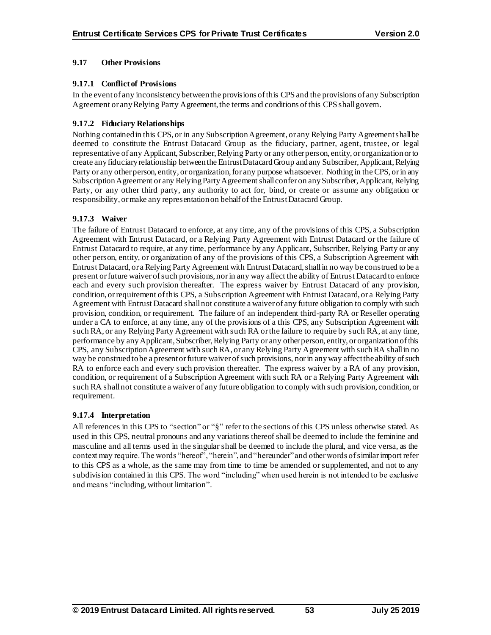## **9.17 Other Provisions**

## **9.17.1 Conflict of Provisions**

In the event of any inconsistency between the provisions of this CPS and the provisions of any Subscription Agreement or any Relying Party Agreement, the terms and conditions of this CPS shall govern.

## **9.17.2 Fiduciary Relationships**

Nothing contained in this CPS, or in any Subscription Agreement, or any Relying Party Agreement shall be deemed to constitute the Entrust Datacard Group as the fiduciary, partner, agent, trustee, or legal representative of any Applicant, Subscriber, Relying Party or any other person, entity, or organization or to create any fiduciary relationship between the Entrust DatacardGroup and any Subscriber, Applicant, Relying Party or any other person, entity, or organization, for any purpose whatsoever. Nothing in the CPS, or in any Subscription Agreement or any Relying Party Agreement shall confer on any Subscriber, Applicant, Relying Party, or any other third party, any authority to act for, bind, or create or assume any obligation or responsibility, or make any representation on behalf of the Entrust Datacard Group.

## **9.17.3 Waiver**

The failure of Entrust Datacard to enforce, at any time, any of the provisions of this CPS, a Subscription Agreement with Entrust Datacard, or a Relying Party Agreement with Entrust Datacard or the failure of Entrust Datacard to require, at any time, performance by any Applicant, Subscriber, Relying Party or any other person, entity, or organization of any of the provisions of this CPS, a Subscription Agreement with Entrust Datacard, or a Relying Party Agreement with Entrust Datacard, shall in no way be construed to be a present or future waiver of such provisions, nor in any way affect the ability of Entrust Datacard to enforce each and every such provision thereafter. The express waiver by Entrust Datacard of any provision, condition, or requirement of this CPS, a Subscription Agreement with Entrust Datacard, or a Relying Party Agreement with Entrust Datacard shall not constitute a waiver of any future obligation to comply with such provision, condition, or requirement. The failure of an independent third-party RA or Reseller operating under a CA to enforce, at any time, any of the provisions of a this CPS, any Subscription Agreement with such RA, or any Relying Party Agreement with such RA or the failure to require by such RA, at any time, performance by any Applicant, Subscriber, Relying Party or any other person, entity, or organization of this CPS, any Subscription Agreement with such RA, or any Relying Party Agreement with such RA shall in no way be construed to be a present or future waiver of such provisions, nor in any way affect the ability of such RA to enforce each and every such provision thereafter. The express waiver by a RA of any provision, condition, or requirement of a Subscription Agreement with such RA or a Relying Party Agreement with such RA shall not constitute a waiver of any future obligation to comply with such provision, condition, or requirement.

## **9.17.4 Interpretation**

All references in this CPS to "section" or "§" refer to the sections of this CPS unless otherwise stated. As used in this CPS, neutral pronouns and any variations thereof shall be deemed to include the feminine and masculine and all terms used in the singular shall be deemed to include the plural, and vice versa, as the context may require. The words "hereof", "herein", and "hereunder" and other words of similar import refer to this CPS as a whole, as the same may from time to time be amended or supplemented, and not to any subdivision contained in this CPS. The word "including" when used herein is not intended to be exclusive and means "including, without limitation".